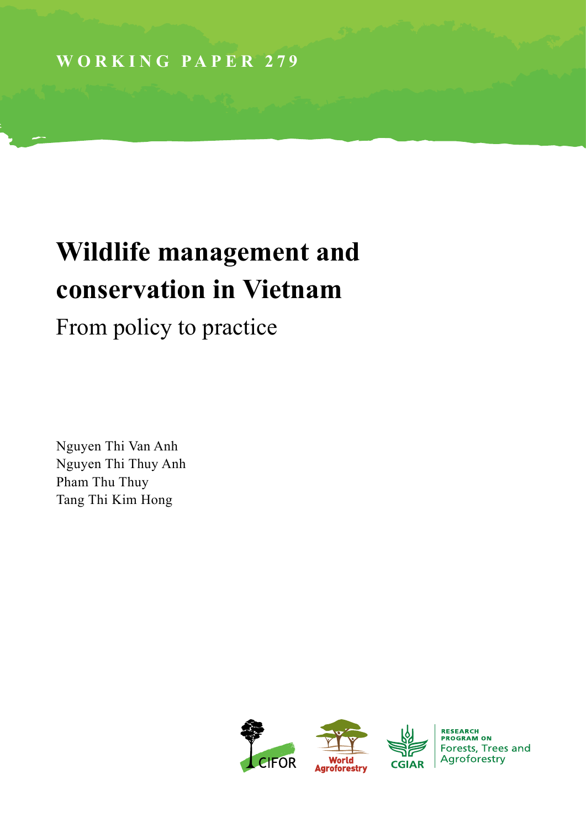# **Wildlife management and conservation in Vietnam**

From policy to practice

Nguyen Thi Van Anh Nguyen Thi Thuy Anh Pham Thu Thuy Tang Thi Kim Hong

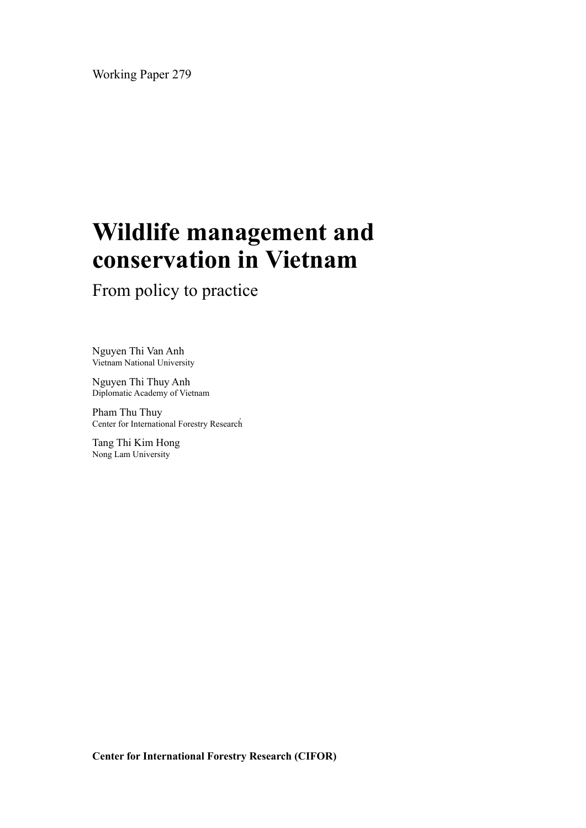Working Paper 279

# **Wildlife management and conservation in Vietnam**

From policy to practice

Nguyen Thi Van Anh Vietnam National University

Nguyen Thi Thuy Anh Diplomatic Academy of Vietnam

Pham Thu Thuy Center for International Forestry Research́

Tang Thi Kim Hong Nong Lam University

**Center for International Forestry Research (CIFOR)**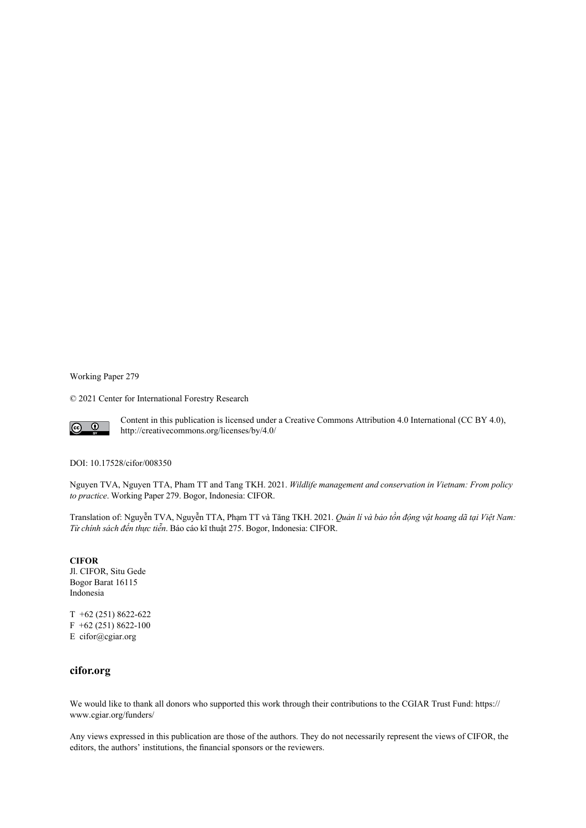Working Paper 279

© 2021 Center for International Forestry Research



Content in this publication is licensed under a Creative Commons Attribution 4.0 International (CC BY 4.0), http://creativecommons.org/licenses/by/4.0/

DOI: 10.17528/cifor/008350

Nguyen TVA, Nguyen TTA, Pham TT and Tang TKH. 2021. *Wildlife management and conservation in Vietnam: From policy to practice*. Working Paper 279. Bogor, Indonesia: CIFOR.

Translation of: Nguyễn TVA, Nguyễn TTA, Phạm TT và Tăng TKH. 2021. *Quản lí và bảo tồn động vật hoang dã tại Việt Nam: Từ chính sách đến thực tiễn*. Báo cáo kĩ thuật 275. Bogor, Indonesia: CIFOR.

**CIFOR** Jl. CIFOR, Situ Gede Bogor Barat 16115 Indonesia

T +62 (251) 8622-622 F +62 (251) 8622-100 E cifor@cgiar.org

#### **cifor.org**

We would like to thank all donors who supported this work through their contributions to the CGIAR Trust Fund: https:// www.cgiar.org/funders/

Any views expressed in this publication are those of the authors. They do not necessarily represent the views of CIFOR, the editors, the authors' institutions, the financial sponsors or the reviewers.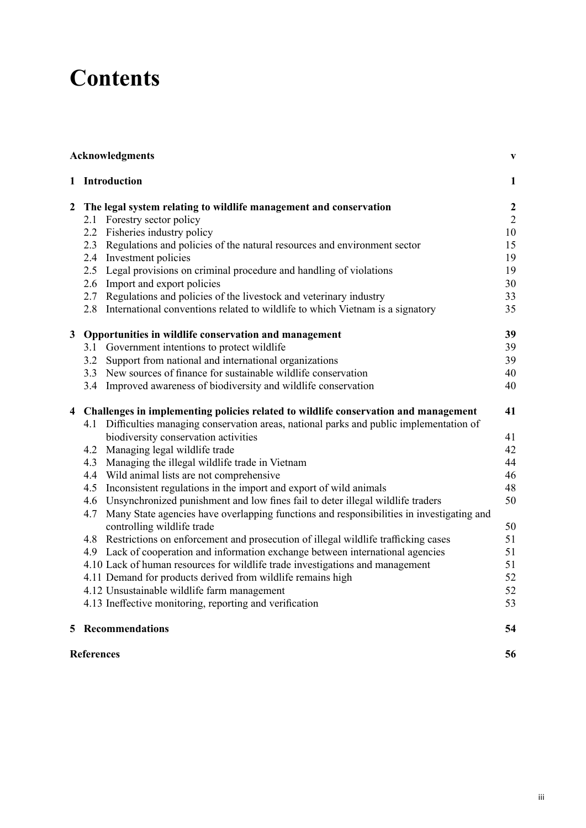### **Contents**

|                |                   | <b>Acknowledgments</b>                                                                                                                                                         | $\mathbf{V}$     |
|----------------|-------------------|--------------------------------------------------------------------------------------------------------------------------------------------------------------------------------|------------------|
|                |                   | 1 Introduction                                                                                                                                                                 | $\mathbf{1}$     |
|                |                   | 2 The legal system relating to wildlife management and conservation                                                                                                            | $\boldsymbol{2}$ |
|                |                   | 2.1 Forestry sector policy                                                                                                                                                     | $\overline{2}$   |
|                |                   | 2.2 Fisheries industry policy                                                                                                                                                  | 10               |
|                |                   | 2.3 Regulations and policies of the natural resources and environment sector                                                                                                   | 15               |
|                |                   | 2.4 Investment policies                                                                                                                                                        | 19               |
|                |                   | 2.5 Legal provisions on criminal procedure and handling of violations                                                                                                          | 19               |
|                |                   | 2.6 Import and export policies                                                                                                                                                 | 30               |
|                |                   | 2.7 Regulations and policies of the livestock and veterinary industry                                                                                                          | 33               |
|                | 2.8               | International conventions related to wildlife to which Vietnam is a signatory                                                                                                  | 35               |
| 3 <sup>1</sup> |                   | Opportunities in wildlife conservation and management                                                                                                                          | 39               |
|                |                   | 3.1 Government intentions to protect wildlife                                                                                                                                  | 39               |
|                |                   | 3.2 Support from national and international organizations                                                                                                                      | 39               |
|                |                   | 3.3 New sources of finance for sustainable wildlife conservation                                                                                                               | 40               |
|                |                   | 3.4 Improved awareness of biodiversity and wildlife conservation                                                                                                               | 40               |
|                | 4.1               | 4 Challenges in implementing policies related to wildlife conservation and management<br>Difficulties managing conservation areas, national parks and public implementation of | 41               |
|                |                   | biodiversity conservation activities                                                                                                                                           | 41               |
|                |                   | 4.2 Managing legal wildlife trade                                                                                                                                              | 42               |
|                |                   | 4.3 Managing the illegal wildlife trade in Vietnam                                                                                                                             | 44               |
|                |                   | 4.4 Wild animal lists are not comprehensive                                                                                                                                    | 46               |
|                |                   | 4.5 Inconsistent regulations in the import and export of wild animals                                                                                                          | 48               |
|                |                   | 4.6 Unsynchronized punishment and low fines fail to deter illegal wildlife traders                                                                                             | 50               |
|                | 4.7               | Many State agencies have overlapping functions and responsibilities in investigating and                                                                                       |                  |
|                |                   | controlling wildlife trade                                                                                                                                                     | 50               |
|                |                   | 4.8 Restrictions on enforcement and prosecution of illegal wildlife trafficking cases                                                                                          | 51               |
|                |                   | 4.9 Lack of cooperation and information exchange between international agencies                                                                                                | 51               |
|                |                   | 4.10 Lack of human resources for wildlife trade investigations and management                                                                                                  | 51               |
|                |                   | 4.11 Demand for products derived from wildlife remains high                                                                                                                    | 52               |
|                |                   | 4.12 Unsustainable wildlife farm management                                                                                                                                    | 52               |
|                |                   | 4.13 Ineffective monitoring, reporting and verification                                                                                                                        | 53               |
|                |                   | <b>5</b> Recommendations                                                                                                                                                       | 54               |
|                | <b>References</b> |                                                                                                                                                                                | 56               |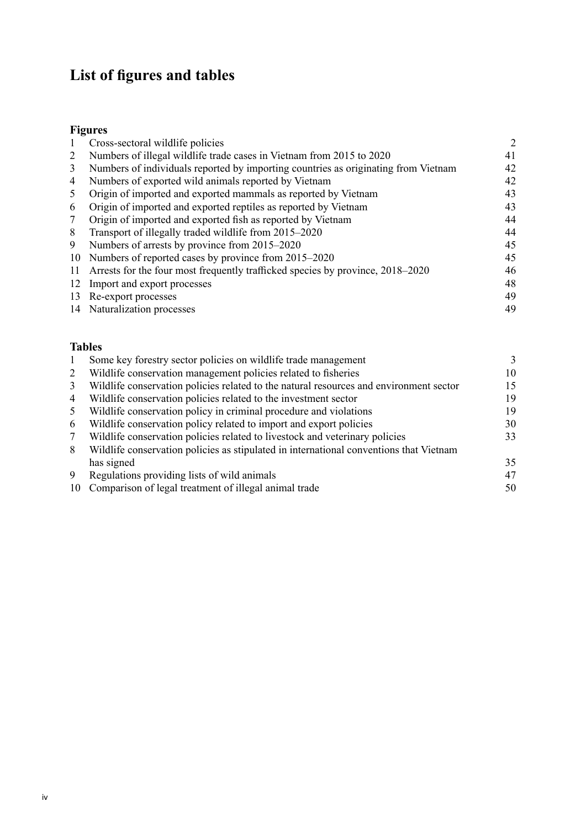### **List of figures and tables**

### **[Figures](#page-9-0)**

|    | Cross-sectoral wildlife policies                                                   | 2  |
|----|------------------------------------------------------------------------------------|----|
| 2  | Numbers of illegal wildlife trade cases in Vietnam from 2015 to 2020               | 41 |
| 3  | Numbers of individuals reported by importing countries as originating from Vietnam | 42 |
| 4  | Numbers of exported wild animals reported by Vietnam                               | 42 |
| 5  | Origin of imported and exported mammals as reported by Vietnam                     | 43 |
| 6  | Origin of imported and exported reptiles as reported by Vietnam                    | 43 |
| 7  | Origin of imported and exported fish as reported by Vietnam                        | 44 |
| 8  | Transport of illegally traded wildlife from 2015-2020                              | 44 |
| 9  | Numbers of arrests by province from 2015–2020                                      | 45 |
| 10 | Numbers of reported cases by province from 2015–2020                               | 45 |
| 11 | Arrests for the four most frequently trafficked species by province, 2018–2020     | 46 |
| 12 | Import and export processes                                                        | 48 |
| 13 | Re-export processes                                                                | 49 |
| 14 | Naturalization processes                                                           | 49 |
|    |                                                                                    |    |

### **[Tables](#page-10-0)**

|                | Some key forestry sector policies on wildlife trade management                         |    |
|----------------|----------------------------------------------------------------------------------------|----|
| 2              | Wildlife conservation management policies related to fisheries                         | 10 |
| 3              | Wildlife conservation policies related to the natural resources and environment sector | 15 |
| $\overline{4}$ | Wildlife conservation policies related to the investment sector                        | 19 |
| 5              | Wildlife conservation policy in criminal procedure and violations                      | 19 |
| 6              | Wildlife conservation policy related to import and export policies                     | 30 |
| 7              | Wildlife conservation policies related to livestock and veterinary policies            | 33 |
| 8              | Wildlife conservation policies as stipulated in international conventions that Vietnam |    |
|                | has signed                                                                             | 35 |
| -9             | Regulations providing lists of wild animals                                            | 47 |
| 10             | Comparison of legal treatment of illegal animal trade                                  | 50 |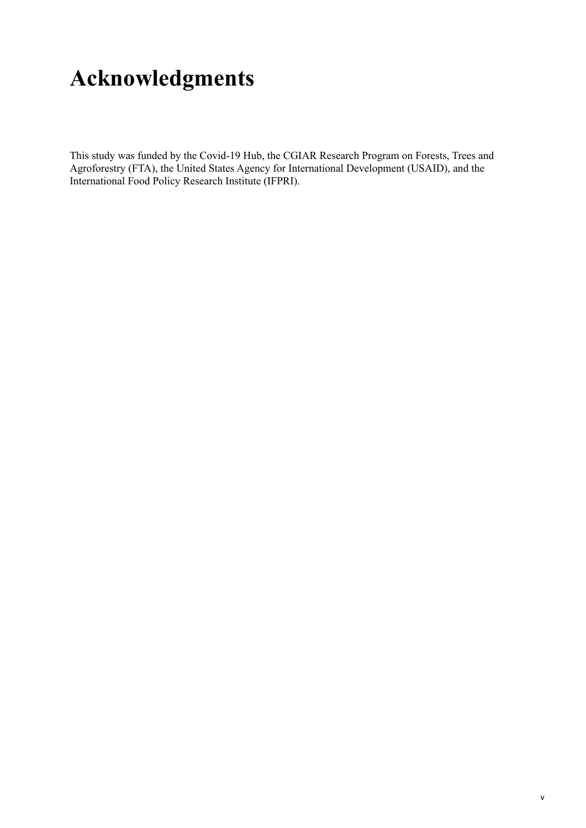# <span id="page-6-0"></span>**Acknowledgments**

This study was funded by the Covid-19 Hub, the CGIAR Research Program on Forests, Trees and Agroforestry (FTA), the United States Agency for International Development (USAID), and the International Food Policy Research Institute (IFPRI).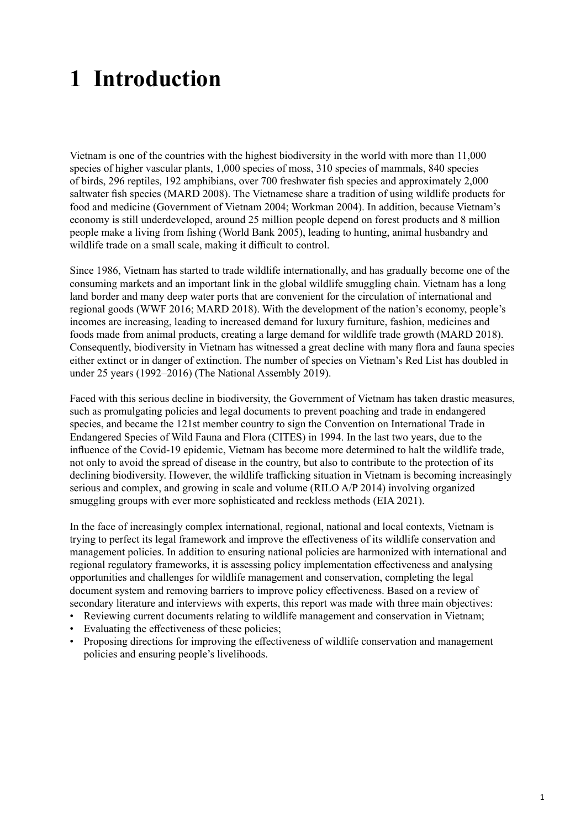# <span id="page-8-0"></span>**1 Introduction**

Vietnam is one of the countries with the highest biodiversity in the world with more than 11,000 species of higher vascular plants, 1,000 species of moss, 310 species of mammals, 840 species of birds, 296 reptiles, 192 amphibians, over 700 freshwater fish species and approximately 2,000 saltwater fish species (MARD 2008). The Vietnamese share a tradition of using wildlife products for food and medicine (Government of Vietnam 2004; Workman 2004). In addition, because Vietnam's economy is still underdeveloped, around 25 million people depend on forest products and 8 million people make a living from fishing (World Bank 2005), leading to hunting, animal husbandry and wildlife trade on a small scale, making it difficult to control.

Since 1986, Vietnam has started to trade wildlife internationally, and has gradually become one of the consuming markets and an important link in the global wildlife smuggling chain. Vietnam has a long land border and many deep water ports that are convenient for the circulation of international and regional goods (WWF 2016; MARD 2018). With the development of the nation's economy, people's incomes are increasing, leading to increased demand for luxury furniture, fashion, medicines and foods made from animal products, creating a large demand for wildlife trade growth (MARD 2018). Consequently, biodiversity in Vietnam has witnessed a great decline with many flora and fauna species either extinct or in danger of extinction. The number of species on Vietnam's Red List has doubled in under 25 years (1992–2016) (The National Assembly 2019).

Faced with this serious decline in biodiversity, the Government of Vietnam has taken drastic measures, such as promulgating policies and legal documents to prevent poaching and trade in endangered species, and became the 121st member country to sign the Convention on International Trade in Endangered Species of Wild Fauna and Flora (CITES) in 1994. In the last two years, due to the influence of the Covid-19 epidemic, Vietnam has become more determined to halt the wildlife trade, not only to avoid the spread of disease in the country, but also to contribute to the protection of its declining biodiversity. However, the wildlife trafficking situation in Vietnam is becoming increasingly serious and complex, and growing in scale and volume (RILO A/P 2014) involving organized smuggling groups with ever more sophisticated and reckless methods (EIA 2021).

In the face of increasingly complex international, regional, national and local contexts, Vietnam is trying to perfect its legal framework and improve the effectiveness of its wildlife conservation and management policies. In addition to ensuring national policies are harmonized with international and regional regulatory frameworks, it is assessing policy implementation effectiveness and analysing opportunities and challenges for wildlife management and conservation, completing the legal document system and removing barriers to improve policy effectiveness. Based on a review of secondary literature and interviews with experts, this report was made with three main objectives:

- Reviewing current documents relating to wildlife management and conservation in Vietnam;
- Evaluating the effectiveness of these policies;
- Proposing directions for improving the effectiveness of wildlife conservation and management policies and ensuring people's livelihoods.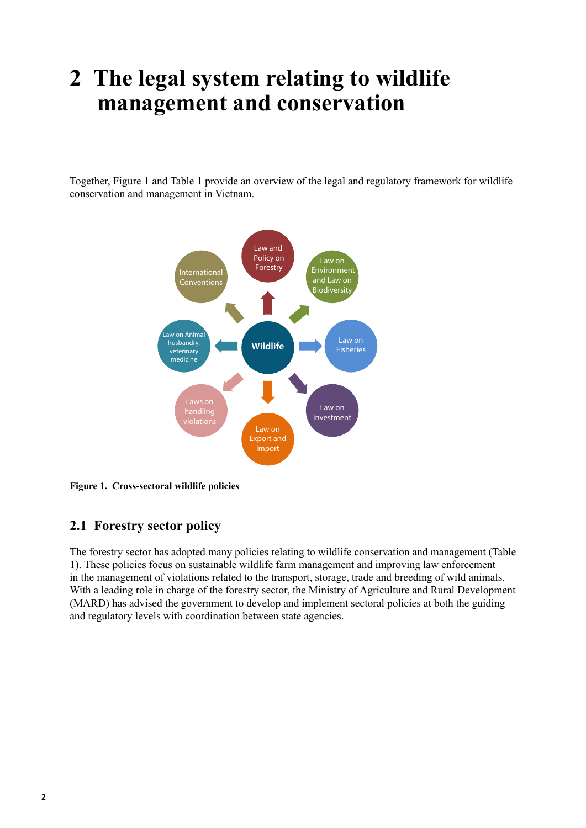## <span id="page-9-0"></span>**2 The legal system relating to wildlife management and conservation**

Together, Figure 1 and Table 1 provide an overview of the legal and regulatory framework for wildlife conservation and management in Vietnam.



**Figure 1. Cross-sectoral wildlife policies** 

#### **2.1 Forestry sector policy**

The forestry sector has adopted many policies relating to wildlife conservation and management (Table 1). These policies focus on sustainable wildlife farm management and improving law enforcement in the management of violations related to the transport, storage, trade and breeding of wild animals. With a leading role in charge of the forestry sector, the Ministry of Agriculture and Rural Development (MARD) has advised the government to develop and implement sectoral policies at both the guiding and regulatory levels with coordination between state agencies.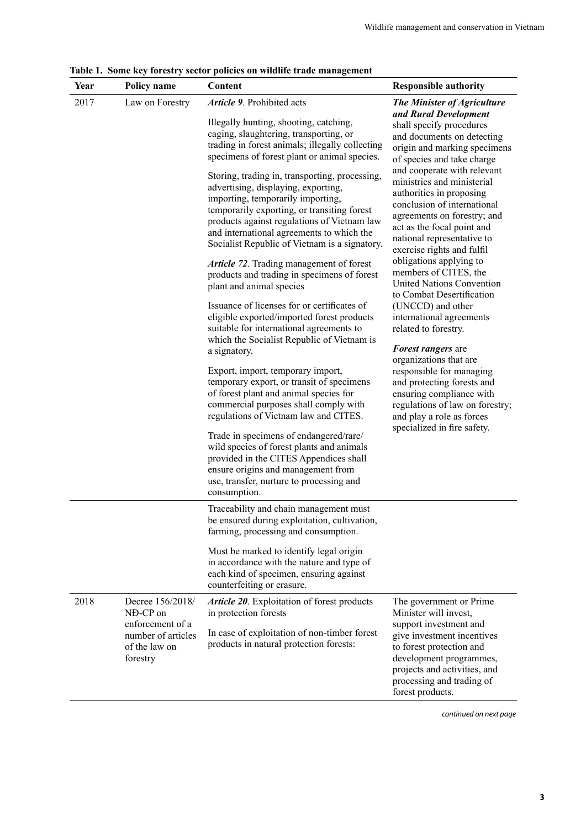| Year | Policy name                                                                                         | Content                                                                                                                                                                                                                                                                                                                                                                                                                                                                                                                                                                                                                                                                                                                                                                                                                                                                                                                                                                                                                                                                                                                                                                                                                                                                                                                    | <b>Responsible authority</b>                                                                                                                                                                                                                                                                                                                                                                                                                                                                                                                                                                                                                                                                                                                                                                                                                                     |
|------|-----------------------------------------------------------------------------------------------------|----------------------------------------------------------------------------------------------------------------------------------------------------------------------------------------------------------------------------------------------------------------------------------------------------------------------------------------------------------------------------------------------------------------------------------------------------------------------------------------------------------------------------------------------------------------------------------------------------------------------------------------------------------------------------------------------------------------------------------------------------------------------------------------------------------------------------------------------------------------------------------------------------------------------------------------------------------------------------------------------------------------------------------------------------------------------------------------------------------------------------------------------------------------------------------------------------------------------------------------------------------------------------------------------------------------------------|------------------------------------------------------------------------------------------------------------------------------------------------------------------------------------------------------------------------------------------------------------------------------------------------------------------------------------------------------------------------------------------------------------------------------------------------------------------------------------------------------------------------------------------------------------------------------------------------------------------------------------------------------------------------------------------------------------------------------------------------------------------------------------------------------------------------------------------------------------------|
| 2017 | Law on Forestry                                                                                     | Article 9. Prohibited acts<br>Illegally hunting, shooting, catching,<br>caging, slaughtering, transporting, or<br>trading in forest animals; illegally collecting<br>specimens of forest plant or animal species.<br>Storing, trading in, transporting, processing,<br>advertising, displaying, exporting,<br>importing, temporarily importing,<br>temporarily exporting, or transiting forest<br>products against regulations of Vietnam law<br>and international agreements to which the<br>Socialist Republic of Vietnam is a signatory.<br>Article 72. Trading management of forest<br>products and trading in specimens of forest<br>plant and animal species<br>Issuance of licenses for or certificates of<br>eligible exported/imported forest products<br>suitable for international agreements to<br>which the Socialist Republic of Vietnam is<br>a signatory.<br>Export, import, temporary import,<br>temporary export, or transit of specimens<br>of forest plant and animal species for<br>commercial purposes shall comply with<br>regulations of Vietnam law and CITES.<br>Trade in specimens of endangered/rare/<br>wild species of forest plants and animals<br>provided in the CITES Appendices shall<br>ensure origins and management from<br>use, transfer, nurture to processing and<br>consumption. | The Minister of Agriculture<br>and Rural Development<br>shall specify procedures<br>and documents on detecting<br>origin and marking specimens<br>of species and take charge<br>and cooperate with relevant<br>ministries and ministerial<br>authorities in proposing<br>conclusion of international<br>agreements on forestry; and<br>act as the focal point and<br>national representative to<br>exercise rights and fulfil<br>obligations applying to<br>members of CITES, the<br><b>United Nations Convention</b><br>to Combat Desertification<br>(UNCCD) and other<br>international agreements<br>related to forestry.<br>Forest rangers are<br>organizations that are<br>responsible for managing<br>and protecting forests and<br>ensuring compliance with<br>regulations of law on forestry;<br>and play a role as forces<br>specialized in fire safety. |
|      |                                                                                                     | Traceability and chain management must<br>be ensured during exploitation, cultivation,<br>farming, processing and consumption.<br>Must be marked to identify legal origin<br>in accordance with the nature and type of<br>each kind of specimen, ensuring against                                                                                                                                                                                                                                                                                                                                                                                                                                                                                                                                                                                                                                                                                                                                                                                                                                                                                                                                                                                                                                                          |                                                                                                                                                                                                                                                                                                                                                                                                                                                                                                                                                                                                                                                                                                                                                                                                                                                                  |
| 2018 | Decree 156/2018/<br>NĐ-CP on<br>enforcement of a<br>number of articles<br>of the law on<br>forestry | counterfeiting or erasure.<br>Article 20. Exploitation of forest products<br>in protection forests<br>In case of exploitation of non-timber forest<br>products in natural protection forests:                                                                                                                                                                                                                                                                                                                                                                                                                                                                                                                                                                                                                                                                                                                                                                                                                                                                                                                                                                                                                                                                                                                              | The government or Prime<br>Minister will invest,<br>support investment and<br>give investment incentives<br>to forest protection and<br>development programmes,<br>projects and activities, and<br>processing and trading of<br>forest products.                                                                                                                                                                                                                                                                                                                                                                                                                                                                                                                                                                                                                 |

<span id="page-10-0"></span>**Table 1. Some key forestry sector policies on wildlife trade management**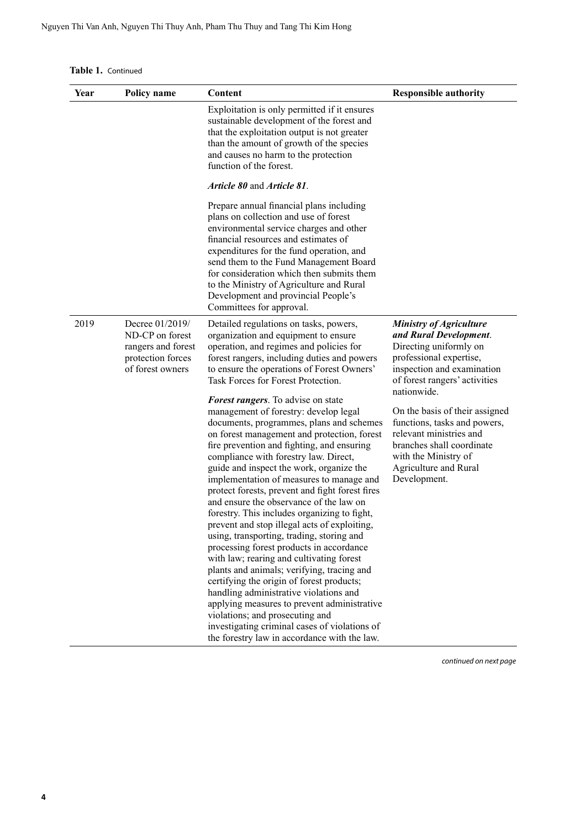| Year | Policy name                                                                                       | Content                                                                                                                                                                                                                                                                                                                                                                                                                                                                                                                                                                                                                                                                                                                                                                                                                                                                                                                                                                                                                                                                                                                                                                                                                                                                                  | <b>Responsible authority</b>                                                                                                                                                                                                                                                                                                                                                           |
|------|---------------------------------------------------------------------------------------------------|------------------------------------------------------------------------------------------------------------------------------------------------------------------------------------------------------------------------------------------------------------------------------------------------------------------------------------------------------------------------------------------------------------------------------------------------------------------------------------------------------------------------------------------------------------------------------------------------------------------------------------------------------------------------------------------------------------------------------------------------------------------------------------------------------------------------------------------------------------------------------------------------------------------------------------------------------------------------------------------------------------------------------------------------------------------------------------------------------------------------------------------------------------------------------------------------------------------------------------------------------------------------------------------|----------------------------------------------------------------------------------------------------------------------------------------------------------------------------------------------------------------------------------------------------------------------------------------------------------------------------------------------------------------------------------------|
|      |                                                                                                   | Exploitation is only permitted if it ensures<br>sustainable development of the forest and<br>that the exploitation output is not greater<br>than the amount of growth of the species<br>and causes no harm to the protection<br>function of the forest.                                                                                                                                                                                                                                                                                                                                                                                                                                                                                                                                                                                                                                                                                                                                                                                                                                                                                                                                                                                                                                  |                                                                                                                                                                                                                                                                                                                                                                                        |
|      |                                                                                                   | Article 80 and Article 81.                                                                                                                                                                                                                                                                                                                                                                                                                                                                                                                                                                                                                                                                                                                                                                                                                                                                                                                                                                                                                                                                                                                                                                                                                                                               |                                                                                                                                                                                                                                                                                                                                                                                        |
|      |                                                                                                   | Prepare annual financial plans including<br>plans on collection and use of forest<br>environmental service charges and other<br>financial resources and estimates of<br>expenditures for the fund operation, and<br>send them to the Fund Management Board<br>for consideration which then submits them<br>to the Ministry of Agriculture and Rural<br>Development and provincial People's<br>Committees for approval.                                                                                                                                                                                                                                                                                                                                                                                                                                                                                                                                                                                                                                                                                                                                                                                                                                                                   |                                                                                                                                                                                                                                                                                                                                                                                        |
| 2019 | Decree 01/2019/<br>ND-CP on forest<br>rangers and forest<br>protection forces<br>of forest owners | Detailed regulations on tasks, powers,<br>organization and equipment to ensure<br>operation, and regimes and policies for<br>forest rangers, including duties and powers<br>to ensure the operations of Forest Owners'<br>Task Forces for Forest Protection.<br><b>Forest rangers</b> . To advise on state<br>management of forestry: develop legal<br>documents, programmes, plans and schemes<br>on forest management and protection, forest<br>fire prevention and fighting, and ensuring<br>compliance with forestry law. Direct,<br>guide and inspect the work, organize the<br>implementation of measures to manage and<br>protect forests, prevent and fight forest fires<br>and ensure the observance of the law on<br>forestry. This includes organizing to fight,<br>prevent and stop illegal acts of exploiting,<br>using, transporting, trading, storing and<br>processing forest products in accordance<br>with law; rearing and cultivating forest<br>plants and animals; verifying, tracing and<br>certifying the origin of forest products;<br>handling administrative violations and<br>applying measures to prevent administrative<br>violations; and prosecuting and<br>investigating criminal cases of violations of<br>the forestry law in accordance with the law. | <b>Ministry of Agriculture</b><br>and Rural Development.<br>Directing uniformly on<br>professional expertise,<br>inspection and examination<br>of forest rangers' activities<br>nationwide.<br>On the basis of their assigned<br>functions, tasks and powers,<br>relevant ministries and<br>branches shall coordinate<br>with the Ministry of<br>Agriculture and Rural<br>Development. |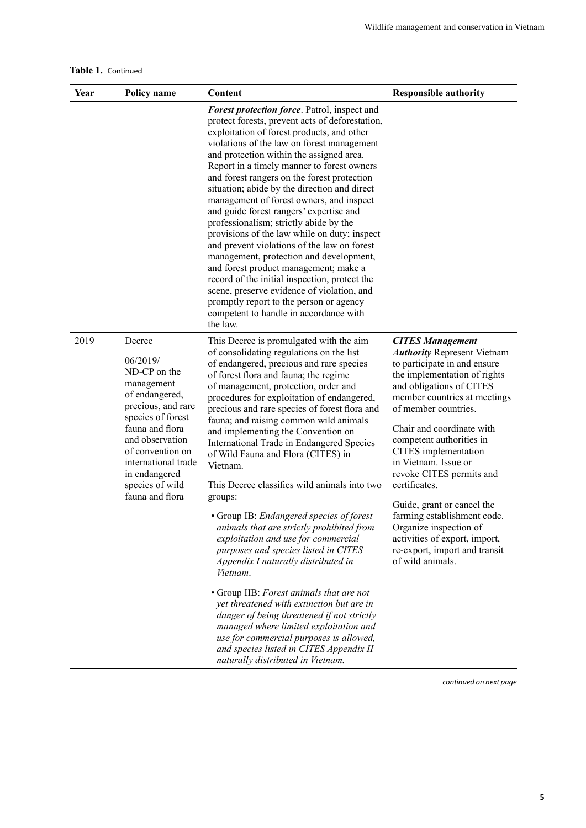|  | Table 1. Continued |
|--|--------------------|
|--|--------------------|

| Year | Policy name                                                                                                                                                                                                                                           | Content                                                                                                                                                                                                                                                                                                                                                                                                                                                                                                                                                                                                                                                                                                                                                                                                                                                                                                  | <b>Responsible authority</b>                                                                                                                                                                                                                                                                                                                                                                                                                                                                                                                         |
|------|-------------------------------------------------------------------------------------------------------------------------------------------------------------------------------------------------------------------------------------------------------|----------------------------------------------------------------------------------------------------------------------------------------------------------------------------------------------------------------------------------------------------------------------------------------------------------------------------------------------------------------------------------------------------------------------------------------------------------------------------------------------------------------------------------------------------------------------------------------------------------------------------------------------------------------------------------------------------------------------------------------------------------------------------------------------------------------------------------------------------------------------------------------------------------|------------------------------------------------------------------------------------------------------------------------------------------------------------------------------------------------------------------------------------------------------------------------------------------------------------------------------------------------------------------------------------------------------------------------------------------------------------------------------------------------------------------------------------------------------|
|      |                                                                                                                                                                                                                                                       | Forest protection force. Patrol, inspect and<br>protect forests, prevent acts of deforestation,<br>exploitation of forest products, and other<br>violations of the law on forest management<br>and protection within the assigned area.<br>Report in a timely manner to forest owners<br>and forest rangers on the forest protection<br>situation; abide by the direction and direct<br>management of forest owners, and inspect<br>and guide forest rangers' expertise and<br>professionalism; strictly abide by the<br>provisions of the law while on duty; inspect<br>and prevent violations of the law on forest<br>management, protection and development,<br>and forest product management; make a<br>record of the initial inspection, protect the<br>scene, preserve evidence of violation, and<br>promptly report to the person or agency<br>competent to handle in accordance with<br>the law. |                                                                                                                                                                                                                                                                                                                                                                                                                                                                                                                                                      |
| 2019 | Decree<br>06/2019/<br>NĐ-CP on the<br>management<br>of endangered,<br>precious, and rare<br>species of forest<br>fauna and flora<br>and observation<br>of convention on<br>international trade<br>in endangered<br>species of wild<br>fauna and flora | This Decree is promulgated with the aim<br>of consolidating regulations on the list<br>of endangered, precious and rare species<br>of forest flora and fauna; the regime<br>of management, protection, order and<br>procedures for exploitation of endangered,<br>precious and rare species of forest flora and<br>fauna; and raising common wild animals<br>and implementing the Convention on<br>International Trade in Endangered Species<br>of Wild Fauna and Flora (CITES) in<br>Vietnam.<br>This Decree classifies wild animals into two<br>groups:<br>• Group IB: Endangered species of forest<br>animals that are strictly prohibited from<br>exploitation and use for commercial<br>purposes and species listed in CITES<br>Appendix I naturally distributed in<br>Vietnam.                                                                                                                     | <b>CITES Management</b><br><b>Authority Represent Vietnam</b><br>to participate in and ensure<br>the implementation of rights<br>and obligations of CITES<br>member countries at meetings<br>of member countries.<br>Chair and coordinate with<br>competent authorities in<br>CITES implementation<br>in Vietnam. Issue or<br>revoke CITES permits and<br>certificates.<br>Guide, grant or cancel the<br>farming establishment code.<br>Organize inspection of<br>activities of export, import,<br>re-export, import and transit<br>of wild animals. |
|      |                                                                                                                                                                                                                                                       | • Group IIB: Forest animals that are not<br>yet threatened with extinction but are in<br>danger of being threatened if not strictly<br>managed where limited exploitation and<br>use for commercial purposes is allowed,<br>and species listed in CITES Appendix II<br>naturally distributed in Vietnam.                                                                                                                                                                                                                                                                                                                                                                                                                                                                                                                                                                                                 |                                                                                                                                                                                                                                                                                                                                                                                                                                                                                                                                                      |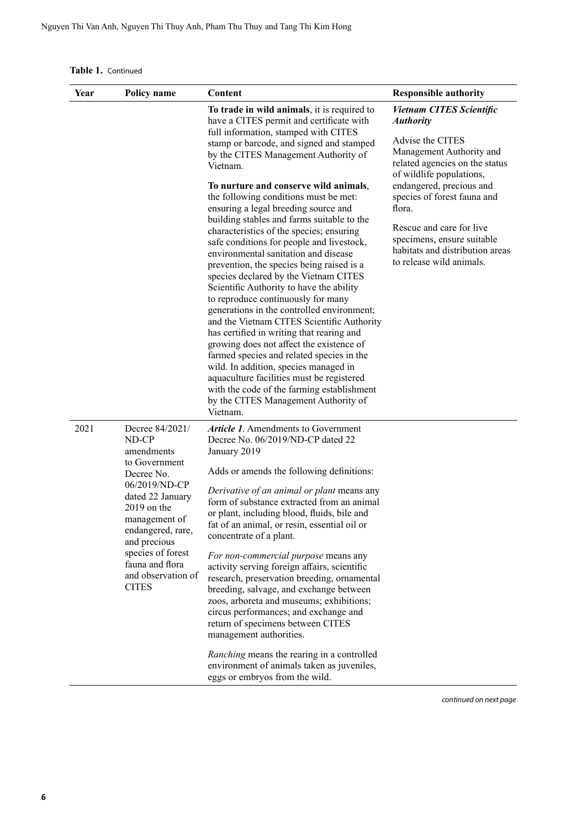| Table 1. Continued |  |
|--------------------|--|
|--------------------|--|

| Year | Policy name                                                                                                                                                                                                                                                     | Content                                                                                                                                                                                                                                                                                                                                                                                                                                                                                                                                                                                                                                                                                                                                                                                                                                                                                                                                                                                                                                                                                                                                    | <b>Responsible authority</b>                                                                                                                                                                                                                                                                                                                                    |
|------|-----------------------------------------------------------------------------------------------------------------------------------------------------------------------------------------------------------------------------------------------------------------|--------------------------------------------------------------------------------------------------------------------------------------------------------------------------------------------------------------------------------------------------------------------------------------------------------------------------------------------------------------------------------------------------------------------------------------------------------------------------------------------------------------------------------------------------------------------------------------------------------------------------------------------------------------------------------------------------------------------------------------------------------------------------------------------------------------------------------------------------------------------------------------------------------------------------------------------------------------------------------------------------------------------------------------------------------------------------------------------------------------------------------------------|-----------------------------------------------------------------------------------------------------------------------------------------------------------------------------------------------------------------------------------------------------------------------------------------------------------------------------------------------------------------|
|      |                                                                                                                                                                                                                                                                 | To trade in wild animals, it is required to<br>have a CITES permit and certificate with<br>full information, stamped with CITES<br>stamp or barcode, and signed and stamped<br>by the CITES Management Authority of<br>Vietnam.<br>To nurture and conserve wild animals,<br>the following conditions must be met:<br>ensuring a legal breeding source and<br>building stables and farms suitable to the<br>characteristics of the species; ensuring<br>safe conditions for people and livestock,<br>environmental sanitation and disease<br>prevention, the species being raised is a<br>species declared by the Vietnam CITES<br>Scientific Authority to have the ability<br>to reproduce continuously for many<br>generations in the controlled environment;<br>and the Vietnam CITES Scientific Authority<br>has certified in writing that rearing and<br>growing does not affect the existence of<br>farmed species and related species in the<br>wild. In addition, species managed in<br>aquaculture facilities must be registered<br>with the code of the farming establishment<br>by the CITES Management Authority of<br>Vietnam. | <b>Vietnam CITES Scientific</b><br><b>Authority</b><br>Advise the CITES<br>Management Authority and<br>related agencies on the status<br>of wildlife populations,<br>endangered, precious and<br>species of forest fauna and<br>flora.<br>Rescue and care for live<br>specimens, ensure suitable<br>habitats and distribution areas<br>to release wild animals. |
| 2021 | Decree 84/2021/<br>ND-CP<br>amendments<br>to Government<br>Decree No.<br>06/2019/ND-CP<br>dated 22 January<br>$2019$ on the<br>management of<br>endangered, rare,<br>and precious<br>species of forest<br>fauna and flora<br>and observation of<br><b>CITES</b> | <b>Article 1.</b> Amendments to Government<br>Decree No. 06/2019/ND-CP dated 22<br>January 2019<br>Adds or amends the following definitions:<br>Derivative of an animal or plant means any<br>form of substance extracted from an animal<br>or plant, including blood, fluids, bile and<br>fat of an animal, or resin, essential oil or<br>concentrate of a plant.<br>For non-commercial purpose means any<br>activity serving foreign affairs, scientific<br>research, preservation breeding, ornamental<br>breeding, salvage, and exchange between<br>zoos, arboreta and museums; exhibitions;<br>circus performances; and exchange and<br>return of specimens between CITES<br>management authorities.<br>Ranching means the rearing in a controlled<br>environment of animals taken as juveniles,<br>eggs or embryos from the wild.                                                                                                                                                                                                                                                                                                    |                                                                                                                                                                                                                                                                                                                                                                 |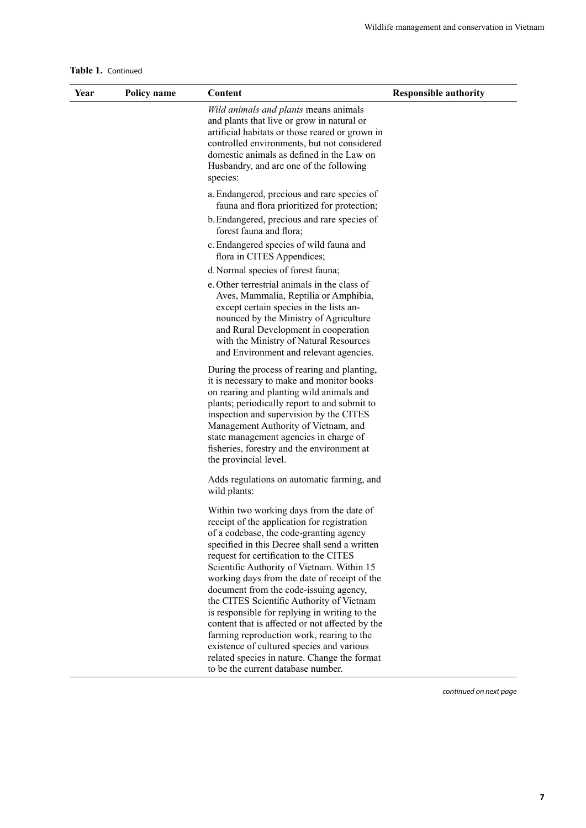|  | Table 1. Continued |
|--|--------------------|
|--|--------------------|

| Year | <b>Policy name</b> | Content                                                                                                                                                                                                                                                                                                                                                                                                                                                                                                                                                                                                                                                          | <b>Responsible authority</b> |
|------|--------------------|------------------------------------------------------------------------------------------------------------------------------------------------------------------------------------------------------------------------------------------------------------------------------------------------------------------------------------------------------------------------------------------------------------------------------------------------------------------------------------------------------------------------------------------------------------------------------------------------------------------------------------------------------------------|------------------------------|
|      |                    | Wild animals and plants means animals<br>and plants that live or grow in natural or<br>artificial habitats or those reared or grown in<br>controlled environments, but not considered<br>domestic animals as defined in the Law on<br>Husbandry, and are one of the following<br>species:                                                                                                                                                                                                                                                                                                                                                                        |                              |
|      |                    | a. Endangered, precious and rare species of<br>fauna and flora prioritized for protection;                                                                                                                                                                                                                                                                                                                                                                                                                                                                                                                                                                       |                              |
|      |                    | b. Endangered, precious and rare species of<br>forest fauna and flora;                                                                                                                                                                                                                                                                                                                                                                                                                                                                                                                                                                                           |                              |
|      |                    | c. Endangered species of wild fauna and<br>flora in CITES Appendices;                                                                                                                                                                                                                                                                                                                                                                                                                                                                                                                                                                                            |                              |
|      |                    | d. Normal species of forest fauna;                                                                                                                                                                                                                                                                                                                                                                                                                                                                                                                                                                                                                               |                              |
|      |                    | e. Other terrestrial animals in the class of<br>Aves, Mammalia, Reptilia or Amphibia,<br>except certain species in the lists an-<br>nounced by the Ministry of Agriculture<br>and Rural Development in cooperation<br>with the Ministry of Natural Resources<br>and Environment and relevant agencies.                                                                                                                                                                                                                                                                                                                                                           |                              |
|      |                    | During the process of rearing and planting,<br>it is necessary to make and monitor books<br>on rearing and planting wild animals and<br>plants; periodically report to and submit to<br>inspection and supervision by the CITES<br>Management Authority of Vietnam, and<br>state management agencies in charge of<br>fisheries, forestry and the environment at<br>the provincial level.                                                                                                                                                                                                                                                                         |                              |
|      |                    | Adds regulations on automatic farming, and<br>wild plants:                                                                                                                                                                                                                                                                                                                                                                                                                                                                                                                                                                                                       |                              |
|      |                    | Within two working days from the date of<br>receipt of the application for registration<br>of a codebase, the code-granting agency<br>specified in this Decree shall send a written<br>request for certification to the CITES<br>Scientific Authority of Vietnam. Within 15<br>working days from the date of receipt of the<br>document from the code-issuing agency,<br>the CITES Scientific Authority of Vietnam<br>is responsible for replying in writing to the<br>content that is affected or not affected by the<br>farming reproduction work, rearing to the<br>existence of cultured species and various<br>related species in nature. Change the format |                              |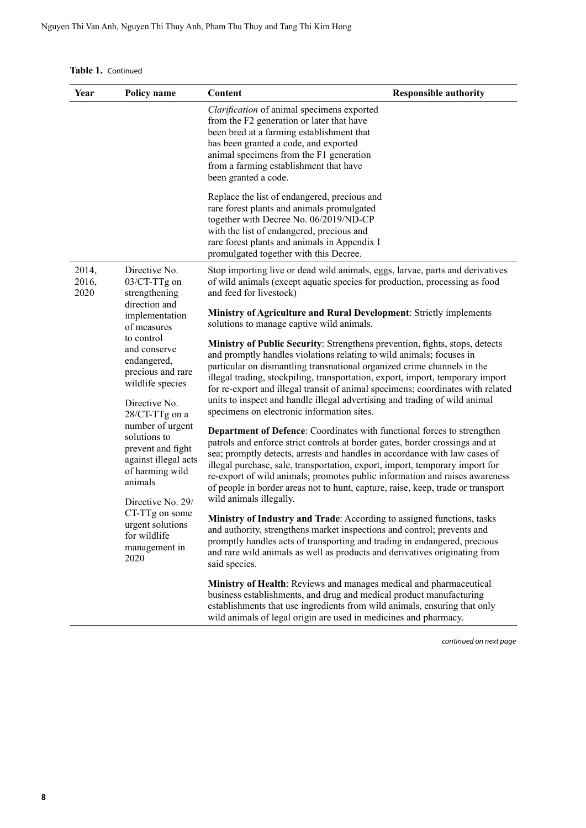| Year                   | Policy name                                                                                                                                                                                                                                                                                                                              | Content                                                                                                                                                                                                                                                                                                                                                                                                                                                                                                                         | <b>Responsible authority</b> |
|------------------------|------------------------------------------------------------------------------------------------------------------------------------------------------------------------------------------------------------------------------------------------------------------------------------------------------------------------------------------|---------------------------------------------------------------------------------------------------------------------------------------------------------------------------------------------------------------------------------------------------------------------------------------------------------------------------------------------------------------------------------------------------------------------------------------------------------------------------------------------------------------------------------|------------------------------|
|                        |                                                                                                                                                                                                                                                                                                                                          | Clarification of animal specimens exported<br>from the F2 generation or later that have<br>been bred at a farming establishment that<br>has been granted a code, and exported<br>animal specimens from the F1 generation<br>from a farming establishment that have<br>been granted a code.                                                                                                                                                                                                                                      |                              |
|                        |                                                                                                                                                                                                                                                                                                                                          | Replace the list of endangered, precious and<br>rare forest plants and animals promulgated<br>together with Decree No. 06/2019/ND-CP<br>with the list of endangered, precious and<br>rare forest plants and animals in Appendix I<br>promulgated together with this Decree.                                                                                                                                                                                                                                                     |                              |
| 2014,<br>2016,<br>2020 | Directive No.<br>03/CT-TTg on<br>strengthening                                                                                                                                                                                                                                                                                           | Stop importing live or dead wild animals, eggs, larvae, parts and derivatives<br>of wild animals (except aquatic species for production, processing as food<br>and feed for livestock)                                                                                                                                                                                                                                                                                                                                          |                              |
|                        | direction and<br>implementation<br>of measures                                                                                                                                                                                                                                                                                           | <b>Ministry of Agriculture and Rural Development:</b> Strictly implements<br>solutions to manage captive wild animals.                                                                                                                                                                                                                                                                                                                                                                                                          |                              |
|                        | to control<br>and conserve<br>endangered,<br>precious and rare<br>wildlife species<br>Directive No.<br>28/CT-TTg on a<br>number of urgent<br>solutions to<br>prevent and fight<br>against illegal acts<br>of harming wild<br>animals<br>Directive No. 29/<br>CT-TTg on some<br>urgent solutions<br>for wildlife<br>management in<br>2020 | Ministry of Public Security: Strengthens prevention, fights, stops, detects<br>and promptly handles violations relating to wild animals; focuses in<br>particular on dismantling transnational organized crime channels in the<br>illegal trading, stockpiling, transportation, export, import, temporary import<br>for re-export and illegal transit of animal specimens; coordinates with related<br>units to inspect and handle illegal advertising and trading of wild animal<br>specimens on electronic information sites. |                              |
|                        |                                                                                                                                                                                                                                                                                                                                          | Department of Defence: Coordinates with functional forces to strengthen<br>patrols and enforce strict controls at border gates, border crossings and at<br>sea; promptly detects, arrests and handles in accordance with law cases of<br>illegal purchase, sale, transportation, export, import, temporary import for<br>re-export of wild animals; promotes public information and raises awareness<br>of people in border areas not to hunt, capture, raise, keep, trade or transport<br>wild animals illegally.              |                              |
|                        |                                                                                                                                                                                                                                                                                                                                          | Ministry of Industry and Trade: According to assigned functions, tasks<br>and authority, strengthens market inspections and control; prevents and<br>promptly handles acts of transporting and trading in endangered, precious<br>and rare wild animals as well as products and derivatives originating from<br>said species.                                                                                                                                                                                                   |                              |
|                        |                                                                                                                                                                                                                                                                                                                                          | Ministry of Health: Reviews and manages medical and pharmaceutical<br>business establishments, and drug and medical product manufacturing<br>establishments that use ingredients from wild animals, ensuring that only<br>wild animals of legal origin are used in medicines and pharmacy.                                                                                                                                                                                                                                      |                              |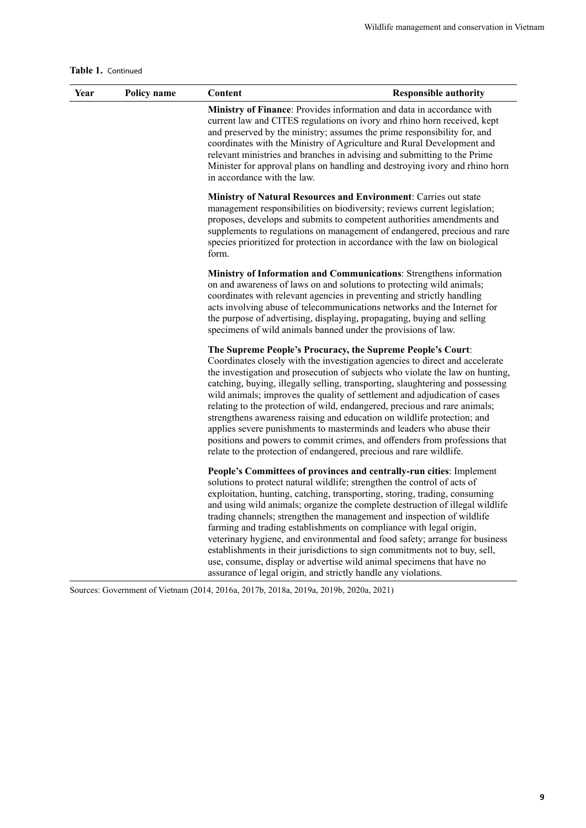#### **Table 1.** Continued

| Year | Policy name | <b>Responsible authority</b><br>Content                                                                                                                                                                                                                                                                                                                                                                                                                                                                                                                                                                                                                                                                                                                                             |
|------|-------------|-------------------------------------------------------------------------------------------------------------------------------------------------------------------------------------------------------------------------------------------------------------------------------------------------------------------------------------------------------------------------------------------------------------------------------------------------------------------------------------------------------------------------------------------------------------------------------------------------------------------------------------------------------------------------------------------------------------------------------------------------------------------------------------|
|      |             | Ministry of Finance: Provides information and data in accordance with<br>current law and CITES regulations on ivory and rhino horn received, kept<br>and preserved by the ministry; assumes the prime responsibility for, and<br>coordinates with the Ministry of Agriculture and Rural Development and<br>relevant ministries and branches in advising and submitting to the Prime<br>Minister for approval plans on handling and destroying ivory and rhino horn<br>in accordance with the law.                                                                                                                                                                                                                                                                                   |
|      |             | <b>Ministry of Natural Resources and Environment: Carries out state</b><br>management responsibilities on biodiversity; reviews current legislation;<br>proposes, develops and submits to competent authorities amendments and<br>supplements to regulations on management of endangered, precious and rare<br>species prioritized for protection in accordance with the law on biological<br>form.                                                                                                                                                                                                                                                                                                                                                                                 |
|      |             | <b>Ministry of Information and Communications: Strengthens information</b><br>on and awareness of laws on and solutions to protecting wild animals;<br>coordinates with relevant agencies in preventing and strictly handling<br>acts involving abuse of telecommunications networks and the Internet for<br>the purpose of advertising, displaying, propagating, buying and selling<br>specimens of wild animals banned under the provisions of law.                                                                                                                                                                                                                                                                                                                               |
|      |             | The Supreme People's Procuracy, the Supreme People's Court:<br>Coordinates closely with the investigation agencies to direct and accelerate<br>the investigation and prosecution of subjects who violate the law on hunting,<br>catching, buying, illegally selling, transporting, slaughtering and possessing<br>wild animals; improves the quality of settlement and adjudication of cases<br>relating to the protection of wild, endangered, precious and rare animals;<br>strengthens awareness raising and education on wildlife protection; and<br>applies severe punishments to masterminds and leaders who abuse their<br>positions and powers to commit crimes, and offenders from professions that<br>relate to the protection of endangered, precious and rare wildlife. |
|      |             | People's Committees of provinces and centrally-run cities: Implement<br>solutions to protect natural wildlife; strengthen the control of acts of<br>exploitation, hunting, catching, transporting, storing, trading, consuming<br>and using wild animals; organize the complete destruction of illegal wildlife<br>trading channels; strengthen the management and inspection of wildlife<br>farming and trading establishments on compliance with legal origin,<br>veterinary hygiene, and environmental and food safety; arrange for business<br>establishments in their jurisdictions to sign commitments not to buy, sell,<br>use, consume, display or advertise wild animal specimens that have no<br>assurance of legal origin, and strictly handle any violations.           |

Sources: Government of Vietnam (2014, 2016a, 2017b, 2018a, 2019a, 2019b, 2020a, 2021)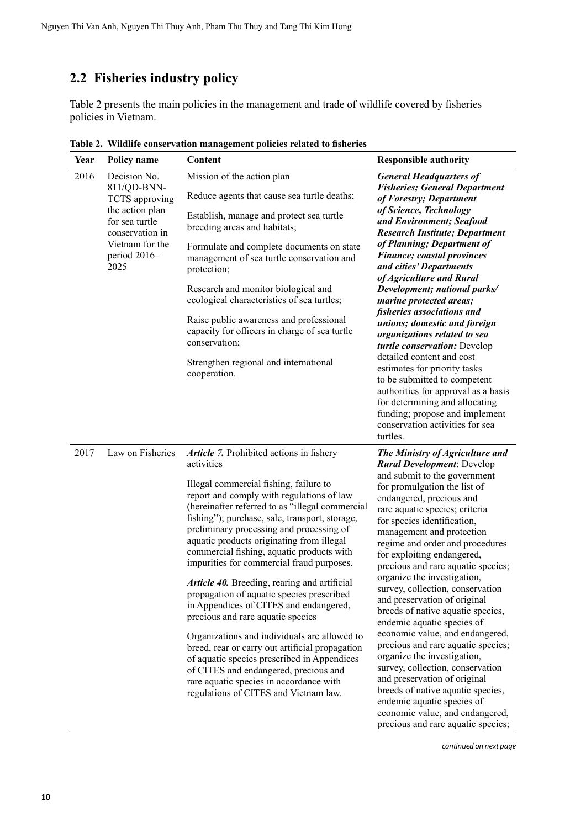### <span id="page-17-0"></span>**2.2 Fisheries industry policy**

Table 2 presents the main policies in the management and trade of wildlife covered by fisheries policies in Vietnam.

| Year | Policy name                                                                                                                                      | Content                                                                                                                                                                                                                                                                                                                                                                                                                                                                                                                                                                                                                                                                                                                                                                                                                                                                                          | <b>Responsible authority</b>                                                                                                                                                                                                                                                                                                                                                                                                                                                                                                                                                                                                                                                                                                                                                                                                                                        |
|------|--------------------------------------------------------------------------------------------------------------------------------------------------|--------------------------------------------------------------------------------------------------------------------------------------------------------------------------------------------------------------------------------------------------------------------------------------------------------------------------------------------------------------------------------------------------------------------------------------------------------------------------------------------------------------------------------------------------------------------------------------------------------------------------------------------------------------------------------------------------------------------------------------------------------------------------------------------------------------------------------------------------------------------------------------------------|---------------------------------------------------------------------------------------------------------------------------------------------------------------------------------------------------------------------------------------------------------------------------------------------------------------------------------------------------------------------------------------------------------------------------------------------------------------------------------------------------------------------------------------------------------------------------------------------------------------------------------------------------------------------------------------------------------------------------------------------------------------------------------------------------------------------------------------------------------------------|
| 2016 | Decision No.<br>811/QD-BNN-<br>TCTS approving<br>the action plan<br>for sea turtle<br>conservation in<br>Vietnam for the<br>period 2016-<br>2025 | Mission of the action plan<br>Reduce agents that cause sea turtle deaths;<br>Establish, manage and protect sea turtle<br>breeding areas and habitats;<br>Formulate and complete documents on state<br>management of sea turtle conservation and<br>protection;<br>Research and monitor biological and<br>ecological characteristics of sea turtles;<br>Raise public awareness and professional<br>capacity for officers in charge of sea turtle<br>conservation;<br>Strengthen regional and international<br>cooperation.                                                                                                                                                                                                                                                                                                                                                                        | <b>General Headquarters of</b><br><b>Fisheries; General Department</b><br>of Forestry; Department<br>of Science, Technology<br>and Environment; Seafood<br><b>Research Institute; Department</b><br>of Planning; Department of<br><b>Finance; coastal provinces</b><br>and cities' Departments<br>of Agriculture and Rural<br>Development; national parks/<br>marine protected areas;<br>fisheries associations and<br>unions; domestic and foreign<br>organizations related to sea<br>turtle conservation: Develop<br>detailed content and cost<br>estimates for priority tasks<br>to be submitted to competent<br>authorities for approval as a basis<br>for determining and allocating<br>funding; propose and implement<br>conservation activities for sea<br>turtles.                                                                                          |
| 2017 | Law on Fisheries                                                                                                                                 | Article 7. Prohibited actions in fishery<br>activities<br>Illegal commercial fishing, failure to<br>report and comply with regulations of law<br>(hereinafter referred to as "illegal commercial<br>fishing"); purchase, sale, transport, storage,<br>preliminary processing and processing of<br>aquatic products originating from illegal<br>commercial fishing, aquatic products with<br>impurities for commercial fraud purposes.<br>Article 40. Breeding, rearing and artificial<br>propagation of aquatic species prescribed<br>in Appendices of CITES and endangered,<br>precious and rare aquatic species<br>Organizations and individuals are allowed to<br>breed, rear or carry out artificial propagation<br>of aquatic species prescribed in Appendices<br>of CITES and endangered, precious and<br>rare aquatic species in accordance with<br>regulations of CITES and Vietnam law. | The Ministry of Agriculture and<br><b>Rural Development: Develop</b><br>and submit to the government<br>for promulgation the list of<br>endangered, precious and<br>rare aquatic species; criteria<br>for species identification,<br>management and protection<br>regime and order and procedures<br>for exploiting endangered,<br>precious and rare aquatic species;<br>organize the investigation,<br>survey, collection, conservation<br>and preservation of original<br>breeds of native aquatic species,<br>endemic aquatic species of<br>economic value, and endangered,<br>precious and rare aquatic species;<br>organize the investigation,<br>survey, collection, conservation<br>and preservation of original<br>breeds of native aquatic species,<br>endemic aquatic species of<br>economic value, and endangered,<br>precious and rare aquatic species; |

**Table 2. Wildlife conservation management policies related to fisheries**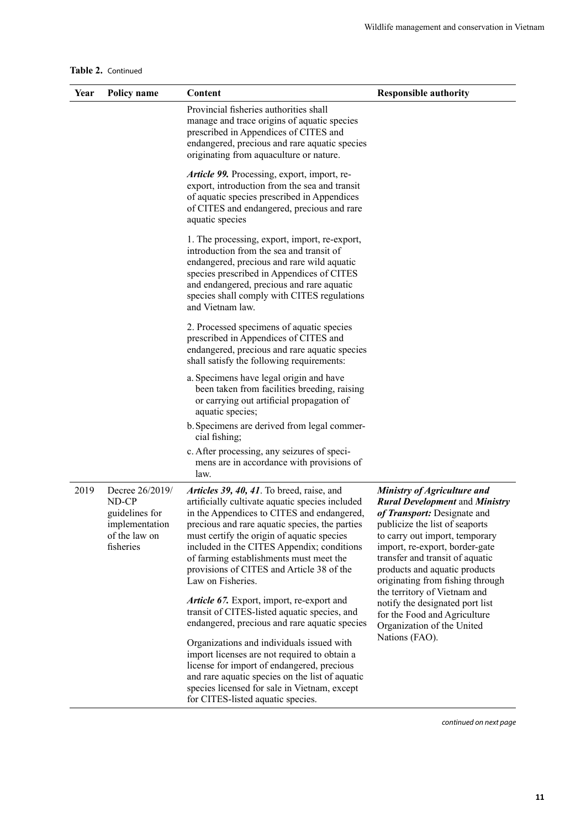| Table 2. Continued |  |
|--------------------|--|
|--------------------|--|

| Year | Policy name                                                                                | Content                                                                                                                                                                                                                                                                                                                                                                                               | <b>Responsible authority</b>                                                                                                                                                                                                                                                                                      |
|------|--------------------------------------------------------------------------------------------|-------------------------------------------------------------------------------------------------------------------------------------------------------------------------------------------------------------------------------------------------------------------------------------------------------------------------------------------------------------------------------------------------------|-------------------------------------------------------------------------------------------------------------------------------------------------------------------------------------------------------------------------------------------------------------------------------------------------------------------|
|      |                                                                                            | Provincial fisheries authorities shall<br>manage and trace origins of aquatic species<br>prescribed in Appendices of CITES and<br>endangered, precious and rare aquatic species<br>originating from aquaculture or nature.                                                                                                                                                                            |                                                                                                                                                                                                                                                                                                                   |
|      |                                                                                            | Article 99. Processing, export, import, re-<br>export, introduction from the sea and transit<br>of aquatic species prescribed in Appendices<br>of CITES and endangered, precious and rare<br>aquatic species                                                                                                                                                                                          |                                                                                                                                                                                                                                                                                                                   |
|      |                                                                                            | 1. The processing, export, import, re-export,<br>introduction from the sea and transit of<br>endangered, precious and rare wild aquatic<br>species prescribed in Appendices of CITES<br>and endangered, precious and rare aquatic<br>species shall comply with CITES regulations<br>and Vietnam law.                                                                                                  |                                                                                                                                                                                                                                                                                                                   |
|      |                                                                                            | 2. Processed specimens of aquatic species<br>prescribed in Appendices of CITES and<br>endangered, precious and rare aquatic species<br>shall satisfy the following requirements:                                                                                                                                                                                                                      |                                                                                                                                                                                                                                                                                                                   |
|      |                                                                                            | a. Specimens have legal origin and have<br>been taken from facilities breeding, raising<br>or carrying out artificial propagation of<br>aquatic species;                                                                                                                                                                                                                                              |                                                                                                                                                                                                                                                                                                                   |
|      |                                                                                            | b. Specimens are derived from legal commer-<br>cial fishing;                                                                                                                                                                                                                                                                                                                                          |                                                                                                                                                                                                                                                                                                                   |
|      |                                                                                            | c. After processing, any seizures of speci-<br>mens are in accordance with provisions of<br>law.                                                                                                                                                                                                                                                                                                      |                                                                                                                                                                                                                                                                                                                   |
| 2019 | Decree 26/2019/<br>ND-CP<br>guidelines for<br>implementation<br>of the law on<br>fisheries | Articles 39, 40, 41. To breed, raise, and<br>artificially cultivate aquatic species included<br>in the Appendices to CITES and endangered,<br>precious and rare aquatic species, the parties<br>must certify the origin of aquatic species<br>included in the CITES Appendix; conditions<br>of farming establishments must meet the<br>provisions of CITES and Article 38 of the<br>Law on Fisheries. | Ministry of Agriculture and<br><b>Rural Development and Ministry</b><br>of Transport: Designate and<br>publicize the list of seaports<br>to carry out import, temporary<br>import, re-export, border-gate<br>transfer and transit of aquatic<br>products and aquatic products<br>originating from fishing through |
|      |                                                                                            | Article 67. Export, import, re-export and<br>transit of CITES-listed aquatic species, and<br>endangered, precious and rare aquatic species                                                                                                                                                                                                                                                            | the territory of Vietnam and<br>notify the designated port list<br>for the Food and Agriculture<br>Organization of the United                                                                                                                                                                                     |
|      |                                                                                            | Organizations and individuals issued with<br>import licenses are not required to obtain a<br>license for import of endangered, precious<br>and rare aquatic species on the list of aquatic<br>species licensed for sale in Vietnam, except<br>for CITES-listed aquatic species.                                                                                                                       | Nations (FAO).                                                                                                                                                                                                                                                                                                    |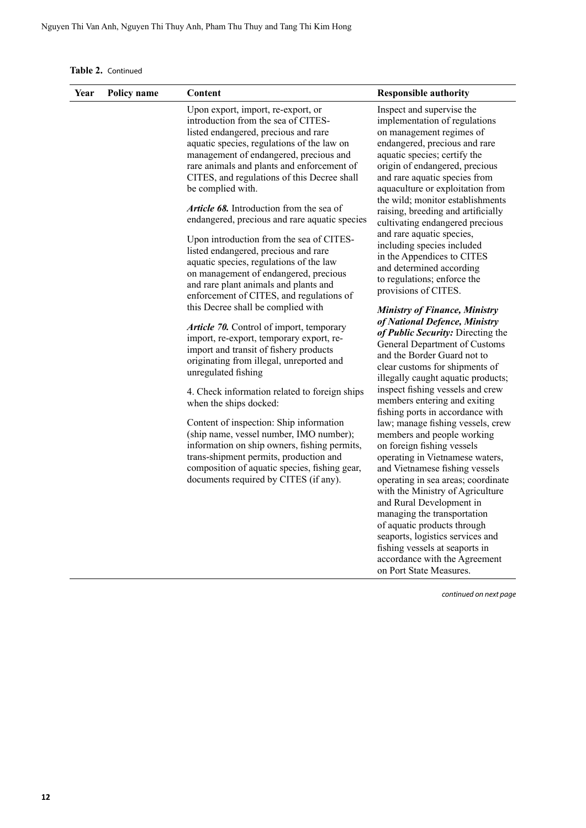**Table 2.** Continued

| Year | Policy name | Content                                                                                                                                                                                                                                                                                                                                                                                                                                                                                                                                                                                                                                                                                                                                                                                                                                                                                                                                                                                                                                                                                                                                                                                                                                                                                      | <b>Responsible authority</b>                                                                                                                                                                                                                                                                                                                                                                                                                                                                                                                                                                                                                                                                                                                                                                                                                                                                                                                                                                                                                                                                                                                                                                                                                                                                                                                                                                      |
|------|-------------|----------------------------------------------------------------------------------------------------------------------------------------------------------------------------------------------------------------------------------------------------------------------------------------------------------------------------------------------------------------------------------------------------------------------------------------------------------------------------------------------------------------------------------------------------------------------------------------------------------------------------------------------------------------------------------------------------------------------------------------------------------------------------------------------------------------------------------------------------------------------------------------------------------------------------------------------------------------------------------------------------------------------------------------------------------------------------------------------------------------------------------------------------------------------------------------------------------------------------------------------------------------------------------------------|---------------------------------------------------------------------------------------------------------------------------------------------------------------------------------------------------------------------------------------------------------------------------------------------------------------------------------------------------------------------------------------------------------------------------------------------------------------------------------------------------------------------------------------------------------------------------------------------------------------------------------------------------------------------------------------------------------------------------------------------------------------------------------------------------------------------------------------------------------------------------------------------------------------------------------------------------------------------------------------------------------------------------------------------------------------------------------------------------------------------------------------------------------------------------------------------------------------------------------------------------------------------------------------------------------------------------------------------------------------------------------------------------|
|      |             | Upon export, import, re-export, or<br>introduction from the sea of CITES-<br>listed endangered, precious and rare<br>aquatic species, regulations of the law on<br>management of endangered, precious and<br>rare animals and plants and enforcement of<br>CITES, and regulations of this Decree shall<br>be complied with.<br><b>Article 68.</b> Introduction from the sea of<br>endangered, precious and rare aquatic species<br>Upon introduction from the sea of CITES-<br>listed endangered, precious and rare<br>aquatic species, regulations of the law<br>on management of endangered, precious<br>and rare plant animals and plants and<br>enforcement of CITES, and regulations of<br>this Decree shall be complied with<br>Article 70. Control of import, temporary<br>import, re-export, temporary export, re-<br>import and transit of fishery products<br>originating from illegal, unreported and<br>unregulated fishing<br>4. Check information related to foreign ships<br>when the ships docked:<br>Content of inspection: Ship information<br>(ship name, vessel number, IMO number);<br>information on ship owners, fishing permits,<br>trans-shipment permits, production and<br>composition of aquatic species, fishing gear,<br>documents required by CITES (if any). | Inspect and supervise the<br>implementation of regulations<br>on management regimes of<br>endangered, precious and rare<br>aquatic species; certify the<br>origin of endangered, precious<br>and rare aquatic species from<br>aquaculture or exploitation from<br>the wild; monitor establishments<br>raising, breeding and artificially<br>cultivating endangered precious<br>and rare aquatic species,<br>including species included<br>in the Appendices to CITES<br>and determined according<br>to regulations; enforce the<br>provisions of CITES.<br><b>Ministry of Finance, Ministry</b><br>of National Defence, Ministry<br>of Public Security: Directing the<br>General Department of Customs<br>and the Border Guard not to<br>clear customs for shipments of<br>illegally caught aquatic products;<br>inspect fishing vessels and crew<br>members entering and exiting<br>fishing ports in accordance with<br>law; manage fishing vessels, crew<br>members and people working<br>on foreign fishing vessels<br>operating in Vietnamese waters,<br>and Vietnamese fishing vessels<br>operating in sea areas; coordinate<br>with the Ministry of Agriculture<br>and Rural Development in<br>managing the transportation<br>of aquatic products through<br>seaports, logistics services and<br>fishing vessels at seaports in<br>accordance with the Agreement<br>on Port State Measures. |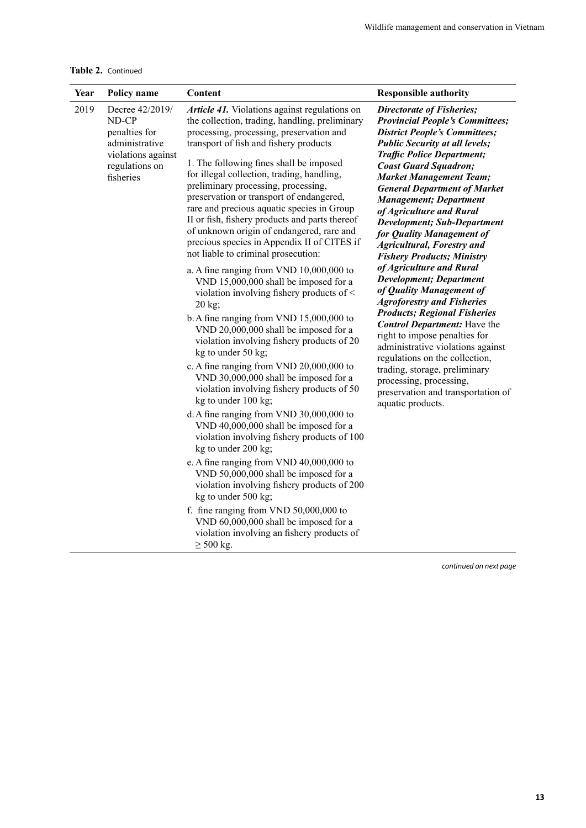**Table 2.** Continued

| Year | Policy name                                                                                                                                                                                                                                                                                                                                                                                                                            | Content                                                                                                                                                                                                                                                                                                                                                                                                                                                                                                                                                                                              | <b>Responsible authority</b>                                                                                                                                                                                                                                                                                                                                                                                                                                                                                        |
|------|----------------------------------------------------------------------------------------------------------------------------------------------------------------------------------------------------------------------------------------------------------------------------------------------------------------------------------------------------------------------------------------------------------------------------------------|------------------------------------------------------------------------------------------------------------------------------------------------------------------------------------------------------------------------------------------------------------------------------------------------------------------------------------------------------------------------------------------------------------------------------------------------------------------------------------------------------------------------------------------------------------------------------------------------------|---------------------------------------------------------------------------------------------------------------------------------------------------------------------------------------------------------------------------------------------------------------------------------------------------------------------------------------------------------------------------------------------------------------------------------------------------------------------------------------------------------------------|
| 2019 | Decree 42/2019/<br>ND-CP<br>penalties for<br>administrative<br>violations against<br>regulations on<br>fisheries                                                                                                                                                                                                                                                                                                                       | Article 41. Violations against regulations on<br>the collection, trading, handling, preliminary<br>processing, processing, preservation and<br>transport of fish and fishery products<br>1. The following fines shall be imposed<br>for illegal collection, trading, handling,<br>preliminary processing, processing,<br>preservation or transport of endangered,<br>rare and precious aquatic species in Group<br>II or fish, fishery products and parts thereof<br>of unknown origin of endangered, rare and<br>precious species in Appendix II of CITES if<br>not liable to criminal prosecution: | <b>Directorate of Fisheries;</b><br><b>Provincial People's Committees;</b><br><b>District People's Committees;</b><br><b>Public Security at all levels;</b><br><b>Traffic Police Department;</b><br><b>Coast Guard Squadron;</b><br><b>Market Management Team;</b><br><b>General Department of Market</b><br><b>Management; Department</b><br>of Agriculture and Rural<br><b>Development; Sub-Department</b><br>for Quality Management of<br><b>Agricultural, Forestry and</b><br><b>Fishery Products; Ministry</b> |
|      | a. A fine ranging from VND 10,000,000 to<br>VND 15,000,000 shall be imposed for a<br>violation involving fishery products of <<br>20 kg;<br>b. A fine ranging from VND $15,000,000$ to<br>VND 20,000,000 shall be imposed for a<br>violation involving fishery products of 20<br>kg to under 50 kg;<br>c. A fine ranging from VND 20,000,000 to<br>VND 30,000,000 shall be imposed for a<br>violation involving fishery products of 50 | of Agriculture and Rural<br><b>Development; Department</b><br>of Quality Management of<br><b>Agroforestry and Fisheries</b><br><b>Products; Regional Fisheries</b><br><b>Control Department:</b> Have the<br>right to impose penalties for<br>administrative violations against<br>regulations on the collection,<br>trading, storage, preliminary<br>processing, processing,<br>preservation and transportation of                                                                                                                                                                                  |                                                                                                                                                                                                                                                                                                                                                                                                                                                                                                                     |
|      |                                                                                                                                                                                                                                                                                                                                                                                                                                        | kg to under 100 kg;<br>d. A fine ranging from VND 30,000,000 to<br>VND 40,000,000 shall be imposed for a<br>violation involving fishery products of 100<br>kg to under 200 kg;<br>e. A fine ranging from VND 40,000,000 to<br>VND 50,000,000 shall be imposed for a<br>violation involving fishery products of 200<br>kg to under 500 kg;<br>f. fine ranging from VND 50,000,000 to<br>VND 60,000,000 shall be imposed for a<br>violation involving an fishery products of<br>$\geq$ 500 kg.                                                                                                         | aquatic products.                                                                                                                                                                                                                                                                                                                                                                                                                                                                                                   |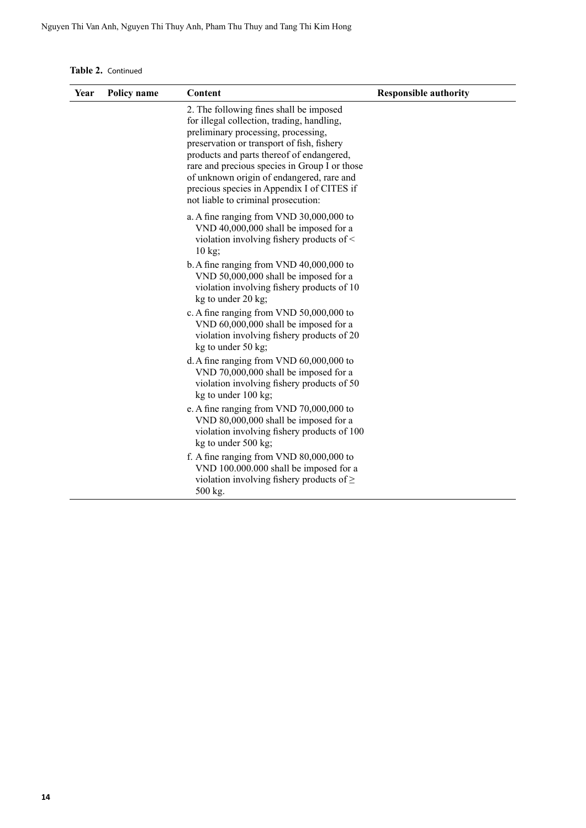**Table 2.** Continued

| Year | Policy name | Content                                                                                                                                                                                                                                                                                                                                                                                                    | <b>Responsible authority</b> |
|------|-------------|------------------------------------------------------------------------------------------------------------------------------------------------------------------------------------------------------------------------------------------------------------------------------------------------------------------------------------------------------------------------------------------------------------|------------------------------|
|      |             | 2. The following fines shall be imposed<br>for illegal collection, trading, handling,<br>preliminary processing, processing,<br>preservation or transport of fish, fishery<br>products and parts thereof of endangered,<br>rare and precious species in Group I or those<br>of unknown origin of endangered, rare and<br>precious species in Appendix I of CITES if<br>not liable to criminal prosecution: |                              |
|      |             | a. A fine ranging from VND 30,000,000 to<br>VND 40,000,000 shall be imposed for a<br>violation involving fishery products of <<br>$10 \text{ kg}$                                                                                                                                                                                                                                                          |                              |
|      |             | b. A fine ranging from VND $40,000,000$ to<br>VND 50,000,000 shall be imposed for a<br>violation involving fishery products of 10<br>kg to under 20 kg;                                                                                                                                                                                                                                                    |                              |
|      |             | c. A fine ranging from VND 50,000,000 to<br>VND 60,000,000 shall be imposed for a<br>violation involving fishery products of 20<br>kg to under 50 kg;                                                                                                                                                                                                                                                      |                              |
|      |             | d. A fine ranging from VND 60,000,000 to<br>VND 70,000,000 shall be imposed for a<br>violation involving fishery products of 50<br>kg to under 100 kg;                                                                                                                                                                                                                                                     |                              |
|      |             | e. A fine ranging from VND 70,000,000 to<br>VND 80,000,000 shall be imposed for a<br>violation involving fishery products of 100<br>kg to under 500 kg;                                                                                                                                                                                                                                                    |                              |
|      |             | f. A fine ranging from VND $80,000,000$ to<br>VND 100.000.000 shall be imposed for a<br>violation involving fishery products of $\geq$<br>500 kg.                                                                                                                                                                                                                                                          |                              |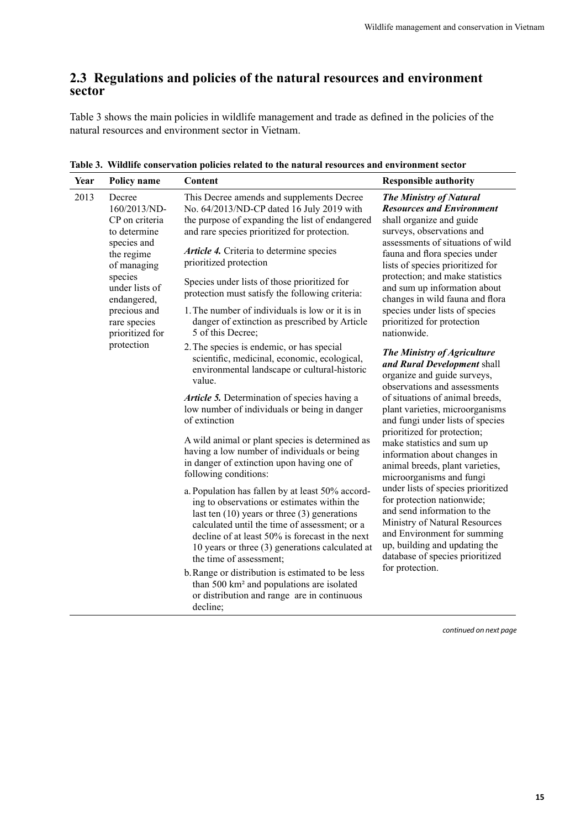#### <span id="page-22-0"></span>**2.3 Regulations and policies of the natural resources and environment sector**

Table 3 shows the main policies in wildlife management and trade as defined in the policies of the natural resources and environment sector in Vietnam.

| Year | Policy name                                                                                                                                      | Content                                                                                                                                                                                                                                                                                                                               | <b>Responsible authority</b>                                                                                                                                                                                                                                                                                                                                                                                               |
|------|--------------------------------------------------------------------------------------------------------------------------------------------------|---------------------------------------------------------------------------------------------------------------------------------------------------------------------------------------------------------------------------------------------------------------------------------------------------------------------------------------|----------------------------------------------------------------------------------------------------------------------------------------------------------------------------------------------------------------------------------------------------------------------------------------------------------------------------------------------------------------------------------------------------------------------------|
| 2013 | Decree<br>160/2013/ND-<br>CP on criteria<br>to determine<br>species and<br>the regime<br>of managing<br>species<br>under lists of<br>endangered, | This Decree amends and supplements Decree<br>No. 64/2013/ND-CP dated 16 July 2019 with<br>the purpose of expanding the list of endangered<br>and rare species prioritized for protection.                                                                                                                                             | <b>The Ministry of Natural</b><br><b>Resources and Environment</b><br>shall organize and guide<br>surveys, observations and<br>assessments of situations of wild<br>fauna and flora species under<br>lists of species prioritized for<br>protection; and make statistics<br>and sum up information about<br>changes in wild fauna and flora<br>species under lists of species<br>prioritized for protection<br>nationwide. |
|      |                                                                                                                                                  | Article 4. Criteria to determine species<br>prioritized protection                                                                                                                                                                                                                                                                    |                                                                                                                                                                                                                                                                                                                                                                                                                            |
|      |                                                                                                                                                  | Species under lists of those prioritized for<br>protection must satisfy the following criteria:                                                                                                                                                                                                                                       |                                                                                                                                                                                                                                                                                                                                                                                                                            |
|      | precious and<br>rare species<br>prioritized for                                                                                                  | 1. The number of individuals is low or it is in<br>danger of extinction as prescribed by Article<br>5 of this Decree;                                                                                                                                                                                                                 |                                                                                                                                                                                                                                                                                                                                                                                                                            |
|      | protection                                                                                                                                       | 2. The species is endemic, or has special<br>scientific, medicinal, economic, ecological,<br>environmental landscape or cultural-historic<br>value.                                                                                                                                                                                   | The Ministry of Agriculture<br>and Rural Development shall<br>organize and guide surveys,<br>observations and assessments                                                                                                                                                                                                                                                                                                  |
|      |                                                                                                                                                  | Article 5. Determination of species having a<br>low number of individuals or being in danger<br>of extinction                                                                                                                                                                                                                         | of situations of animal breeds,<br>plant varieties, microorganisms<br>and fungi under lists of species                                                                                                                                                                                                                                                                                                                     |
|      |                                                                                                                                                  | A wild animal or plant species is determined as<br>having a low number of individuals or being<br>in danger of extinction upon having one of<br>following conditions:                                                                                                                                                                 | prioritized for protection;<br>make statistics and sum up<br>information about changes in<br>animal breeds, plant varieties,<br>microorganisms and fungi                                                                                                                                                                                                                                                                   |
|      |                                                                                                                                                  | a. Population has fallen by at least 50% accord-<br>ing to observations or estimates within the<br>last ten $(10)$ years or three $(3)$ generations<br>calculated until the time of assessment; or a<br>decline of at least 50% is forecast in the next<br>10 years or three (3) generations calculated at<br>the time of assessment; | under lists of species prioritized<br>for protection nationwide;<br>and send information to the<br>Ministry of Natural Resources<br>and Environment for summing<br>up, building and updating the<br>database of species prioritized                                                                                                                                                                                        |
|      |                                                                                                                                                  | b. Range or distribution is estimated to be less<br>than 500 km <sup>2</sup> and populations are isolated<br>or distribution and range are in continuous<br>decline;                                                                                                                                                                  | for protection.                                                                                                                                                                                                                                                                                                                                                                                                            |

**Table 3. Wildlife conservation policies related to the natural resources and environment sector**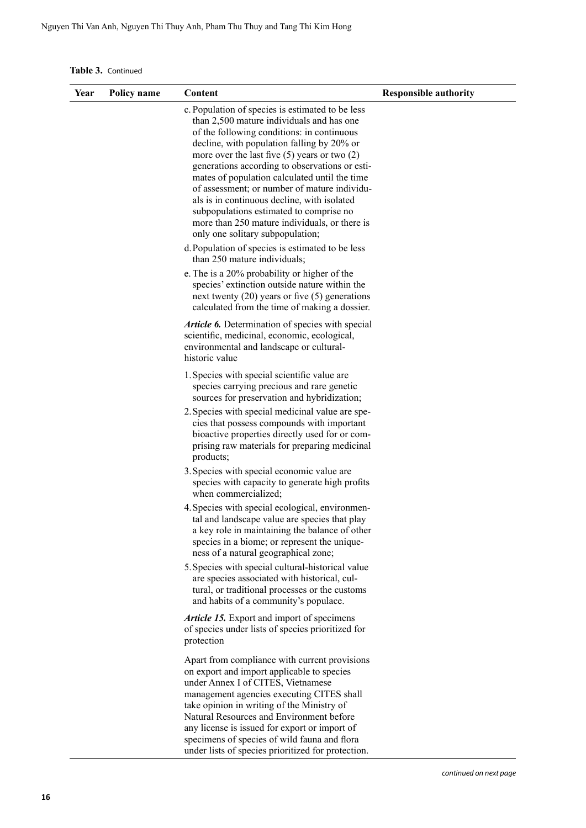**Table 3.** Continued

| Year | Policy name | Content                                                                                                                                                                                                                                                                                                                                                                                                                                                                                                                                                                         | <b>Responsible authority</b> |
|------|-------------|---------------------------------------------------------------------------------------------------------------------------------------------------------------------------------------------------------------------------------------------------------------------------------------------------------------------------------------------------------------------------------------------------------------------------------------------------------------------------------------------------------------------------------------------------------------------------------|------------------------------|
|      |             | c. Population of species is estimated to be less<br>than 2,500 mature individuals and has one<br>of the following conditions: in continuous<br>decline, with population falling by 20% or<br>more over the last five $(5)$ years or two $(2)$<br>generations according to observations or esti-<br>mates of population calculated until the time<br>of assessment; or number of mature individu-<br>als is in continuous decline, with isolated<br>subpopulations estimated to comprise no<br>more than 250 mature individuals, or there is<br>only one solitary subpopulation; |                              |
|      |             | d. Population of species is estimated to be less<br>than 250 mature individuals;                                                                                                                                                                                                                                                                                                                                                                                                                                                                                                |                              |
|      |             | e. The is a 20% probability or higher of the<br>species' extinction outside nature within the<br>next twenty $(20)$ years or five $(5)$ generations<br>calculated from the time of making a dossier.                                                                                                                                                                                                                                                                                                                                                                            |                              |
|      |             | Article 6. Determination of species with special<br>scientific, medicinal, economic, ecological,<br>environmental and landscape or cultural-<br>historic value                                                                                                                                                                                                                                                                                                                                                                                                                  |                              |
|      |             | 1. Species with special scientific value are<br>species carrying precious and rare genetic<br>sources for preservation and hybridization;                                                                                                                                                                                                                                                                                                                                                                                                                                       |                              |
|      |             | 2. Species with special medicinal value are spe-<br>cies that possess compounds with important<br>bioactive properties directly used for or com-<br>prising raw materials for preparing medicinal<br>products;                                                                                                                                                                                                                                                                                                                                                                  |                              |
|      |             | 3. Species with special economic value are<br>species with capacity to generate high profits<br>when commercialized;                                                                                                                                                                                                                                                                                                                                                                                                                                                            |                              |
|      |             | 4. Species with special ecological, environmen-<br>tal and landscape value are species that play<br>a key role in maintaining the balance of other<br>species in a biome; or represent the unique-<br>ness of a natural geographical zone;                                                                                                                                                                                                                                                                                                                                      |                              |
|      |             | 5. Species with special cultural-historical value<br>are species associated with historical, cul-<br>tural, or traditional processes or the customs<br>and habits of a community's populace.                                                                                                                                                                                                                                                                                                                                                                                    |                              |
|      |             | <b>Article 15.</b> Export and import of specimens<br>of species under lists of species prioritized for<br>protection                                                                                                                                                                                                                                                                                                                                                                                                                                                            |                              |
|      |             | Apart from compliance with current provisions<br>on export and import applicable to species<br>under Annex I of CITES, Vietnamese<br>management agencies executing CITES shall<br>take opinion in writing of the Ministry of<br>Natural Resources and Environment before<br>any license is issued for export or import of<br>specimens of species of wild fauna and flora<br>under lists of species prioritized for protection.                                                                                                                                                 |                              |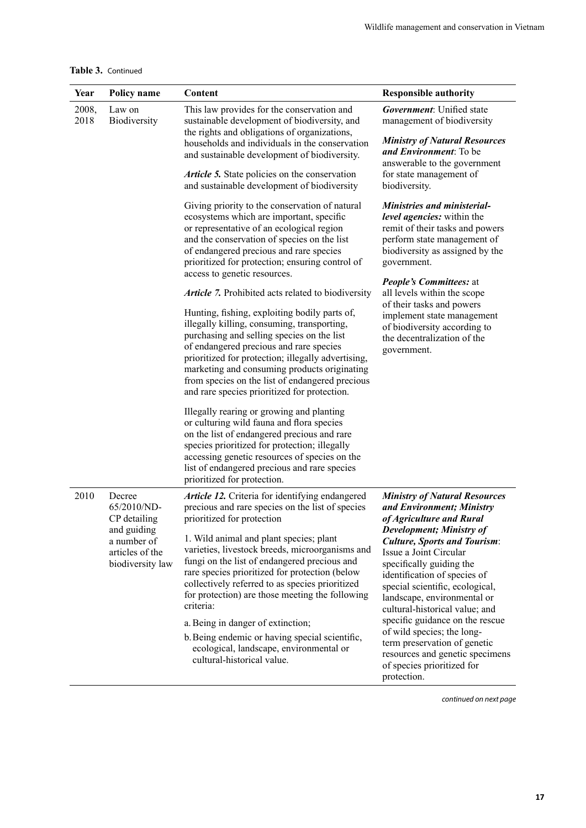| Table 3. Continued |  |
|--------------------|--|
|--------------------|--|

| Year          | Policy name                                                       | Content                                                                                                                                                                                                                                                                                                                                                                                        | <b>Responsible authority</b>                                                                                                                                                                                                                              |
|---------------|-------------------------------------------------------------------|------------------------------------------------------------------------------------------------------------------------------------------------------------------------------------------------------------------------------------------------------------------------------------------------------------------------------------------------------------------------------------------------|-----------------------------------------------------------------------------------------------------------------------------------------------------------------------------------------------------------------------------------------------------------|
| 2008,<br>2018 | Law on<br>Biodiversity                                            | This law provides for the conservation and<br>sustainable development of biodiversity, and<br>the rights and obligations of organizations,<br>households and individuals in the conservation<br>and sustainable development of biodiversity.                                                                                                                                                   | <b>Government:</b> Unified state<br>management of biodiversity<br><b>Ministry of Natural Resources</b><br>and Environment: To be<br>answerable to the government                                                                                          |
|               |                                                                   | Article 5. State policies on the conservation<br>and sustainable development of biodiversity                                                                                                                                                                                                                                                                                                   | for state management of<br>biodiversity.                                                                                                                                                                                                                  |
|               |                                                                   | Giving priority to the conservation of natural<br>ecosystems which are important, specific<br>or representative of an ecological region<br>and the conservation of species on the list<br>of endangered precious and rare species<br>prioritized for protection; ensuring control of<br>access to genetic resources.                                                                           | <b>Ministries and ministerial-</b><br>level agencies: within the<br>remit of their tasks and powers<br>perform state management of<br>biodiversity as assigned by the<br>government.                                                                      |
|               |                                                                   | Article 7. Prohibited acts related to biodiversity                                                                                                                                                                                                                                                                                                                                             | <b>People's Committees: at</b><br>all levels within the scope                                                                                                                                                                                             |
|               |                                                                   | Hunting, fishing, exploiting bodily parts of,<br>illegally killing, consuming, transporting,<br>purchasing and selling species on the list<br>of endangered precious and rare species<br>prioritized for protection; illegally advertising,<br>marketing and consuming products originating<br>from species on the list of endangered precious<br>and rare species prioritized for protection. | of their tasks and powers<br>implement state management<br>of biodiversity according to<br>the decentralization of the<br>government.                                                                                                                     |
|               |                                                                   | Illegally rearing or growing and planting<br>or culturing wild fauna and flora species<br>on the list of endangered precious and rare<br>species prioritized for protection; illegally<br>accessing genetic resources of species on the<br>list of endangered precious and rare species<br>prioritized for protection.                                                                         |                                                                                                                                                                                                                                                           |
| 2010          | Decree<br>65/2010/ND-<br>CP detailing                             | Article 12. Criteria for identifying endangered<br>precious and rare species on the list of species<br>prioritized for protection                                                                                                                                                                                                                                                              | <b>Ministry of Natural Resources</b><br>and Environment; Ministry<br>of Agriculture and Rural                                                                                                                                                             |
|               | and guiding<br>a number of<br>articles of the<br>biodiversity law | 1. Wild animal and plant species; plant<br>varieties, livestock breeds, microorganisms and<br>fungi on the list of endangered precious and<br>rare species prioritized for protection (below<br>collectively referred to as species prioritized<br>for protection) are those meeting the following<br>criteria:                                                                                | Development; Ministry of<br><b>Culture, Sports and Tourism:</b><br>Issue a Joint Circular<br>specifically guiding the<br>identification of species of<br>special scientific, ecological,<br>landscape, environmental or<br>cultural-historical value; and |
|               |                                                                   | a. Being in danger of extinction;<br>b. Being endemic or having special scientific,<br>ecological, landscape, environmental or<br>cultural-historical value.                                                                                                                                                                                                                                   | specific guidance on the rescue<br>of wild species; the long-<br>term preservation of genetic<br>resources and genetic specimens<br>of species prioritized for<br>protection.                                                                             |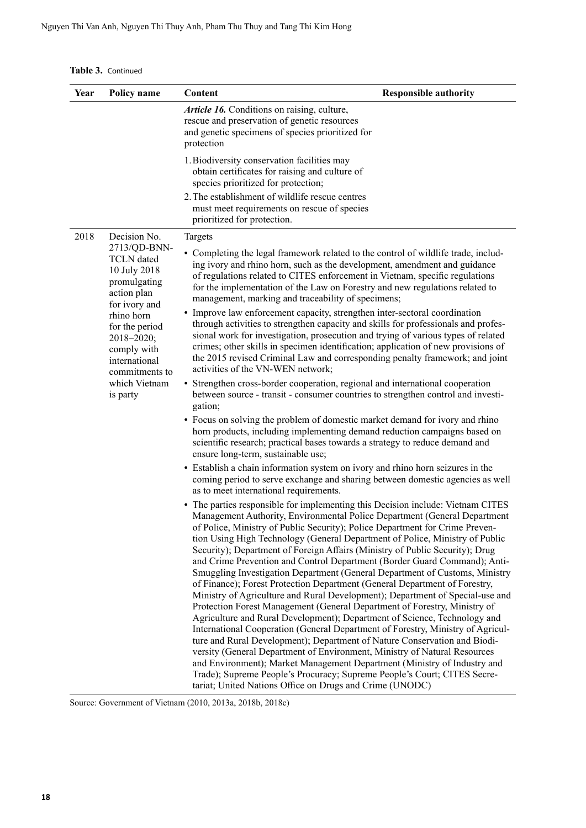**Table 3.** Continued

| Year | Policy name                                                                                                                                                                                                                    | Content                                                                                                                                                                                                                                                                                                                                                                                                                                                                                                                                                                                                                                                                                                                                                                                                                                                                                                                                                                                                                                                                                                                                                                                                                                                                                                                                                            | <b>Responsible authority</b> |
|------|--------------------------------------------------------------------------------------------------------------------------------------------------------------------------------------------------------------------------------|--------------------------------------------------------------------------------------------------------------------------------------------------------------------------------------------------------------------------------------------------------------------------------------------------------------------------------------------------------------------------------------------------------------------------------------------------------------------------------------------------------------------------------------------------------------------------------------------------------------------------------------------------------------------------------------------------------------------------------------------------------------------------------------------------------------------------------------------------------------------------------------------------------------------------------------------------------------------------------------------------------------------------------------------------------------------------------------------------------------------------------------------------------------------------------------------------------------------------------------------------------------------------------------------------------------------------------------------------------------------|------------------------------|
|      |                                                                                                                                                                                                                                | Article 16. Conditions on raising, culture,<br>rescue and preservation of genetic resources<br>and genetic specimens of species prioritized for<br>protection                                                                                                                                                                                                                                                                                                                                                                                                                                                                                                                                                                                                                                                                                                                                                                                                                                                                                                                                                                                                                                                                                                                                                                                                      |                              |
|      |                                                                                                                                                                                                                                | 1. Biodiversity conservation facilities may<br>obtain certificates for raising and culture of<br>species prioritized for protection;                                                                                                                                                                                                                                                                                                                                                                                                                                                                                                                                                                                                                                                                                                                                                                                                                                                                                                                                                                                                                                                                                                                                                                                                                               |                              |
|      |                                                                                                                                                                                                                                | 2. The establishment of wildlife rescue centres<br>must meet requirements on rescue of species<br>prioritized for protection.                                                                                                                                                                                                                                                                                                                                                                                                                                                                                                                                                                                                                                                                                                                                                                                                                                                                                                                                                                                                                                                                                                                                                                                                                                      |                              |
| 2018 | Decision No.                                                                                                                                                                                                                   | Targets                                                                                                                                                                                                                                                                                                                                                                                                                                                                                                                                                                                                                                                                                                                                                                                                                                                                                                                                                                                                                                                                                                                                                                                                                                                                                                                                                            |                              |
|      | 2713/QD-BNN-<br><b>TCLN</b> dated<br>10 July 2018<br>promulgating<br>action plan<br>for ivory and<br>rhino horn<br>for the period<br>2018-2020;<br>comply with<br>international<br>commitments to<br>which Vietnam<br>is party | • Completing the legal framework related to the control of wildlife trade, includ-<br>ing ivory and rhino horn, such as the development, amendment and guidance<br>of regulations related to CITES enforcement in Vietnam, specific regulations<br>for the implementation of the Law on Forestry and new regulations related to<br>management, marking and traceability of specimens;                                                                                                                                                                                                                                                                                                                                                                                                                                                                                                                                                                                                                                                                                                                                                                                                                                                                                                                                                                              |                              |
|      |                                                                                                                                                                                                                                | • Improve law enforcement capacity, strengthen inter-sectoral coordination<br>through activities to strengthen capacity and skills for professionals and profes-<br>sional work for investigation, prosecution and trying of various types of related<br>crimes; other skills in specimen identification; application of new provisions of<br>the 2015 revised Criminal Law and corresponding penalty framework; and joint<br>activities of the VN-WEN network;                                                                                                                                                                                                                                                                                                                                                                                                                                                                                                                                                                                                                                                                                                                                                                                                                                                                                                    |                              |
|      |                                                                                                                                                                                                                                | • Strengthen cross-border cooperation, regional and international cooperation<br>between source - transit - consumer countries to strengthen control and investi-<br>gation;                                                                                                                                                                                                                                                                                                                                                                                                                                                                                                                                                                                                                                                                                                                                                                                                                                                                                                                                                                                                                                                                                                                                                                                       |                              |
|      |                                                                                                                                                                                                                                | • Focus on solving the problem of domestic market demand for ivory and rhino<br>horn products, including implementing demand reduction campaigns based on<br>scientific research; practical bases towards a strategy to reduce demand and<br>ensure long-term, sustainable use;                                                                                                                                                                                                                                                                                                                                                                                                                                                                                                                                                                                                                                                                                                                                                                                                                                                                                                                                                                                                                                                                                    |                              |
|      |                                                                                                                                                                                                                                | • Establish a chain information system on ivory and rhino horn seizures in the<br>coming period to serve exchange and sharing between domestic agencies as well<br>as to meet international requirements.                                                                                                                                                                                                                                                                                                                                                                                                                                                                                                                                                                                                                                                                                                                                                                                                                                                                                                                                                                                                                                                                                                                                                          |                              |
|      |                                                                                                                                                                                                                                | • The parties responsible for implementing this Decision include: Vietnam CITES<br>Management Authority, Environmental Police Department (General Department<br>of Police, Ministry of Public Security); Police Department for Crime Preven-<br>tion Using High Technology (General Department of Police, Ministry of Public<br>Security); Department of Foreign Affairs (Ministry of Public Security); Drug<br>and Crime Prevention and Control Department (Border Guard Command); Anti-<br>Smuggling Investigation Department (General Department of Customs, Ministry<br>of Finance); Forest Protection Department (General Department of Forestry,<br>Ministry of Agriculture and Rural Development); Department of Special-use and<br>Protection Forest Management (General Department of Forestry, Ministry of<br>Agriculture and Rural Development); Department of Science, Technology and<br>International Cooperation (General Department of Forestry, Ministry of Agricul-<br>ture and Rural Development); Department of Nature Conservation and Biodi-<br>versity (General Department of Environment, Ministry of Natural Resources<br>and Environment); Market Management Department (Ministry of Industry and<br>Trade); Supreme People's Procuracy; Supreme People's Court; CITES Secre-<br>tariat; United Nations Office on Drugs and Crime (UNODC) |                              |

Source: Government of Vietnam (2010, 2013a, 2018b, 2018c)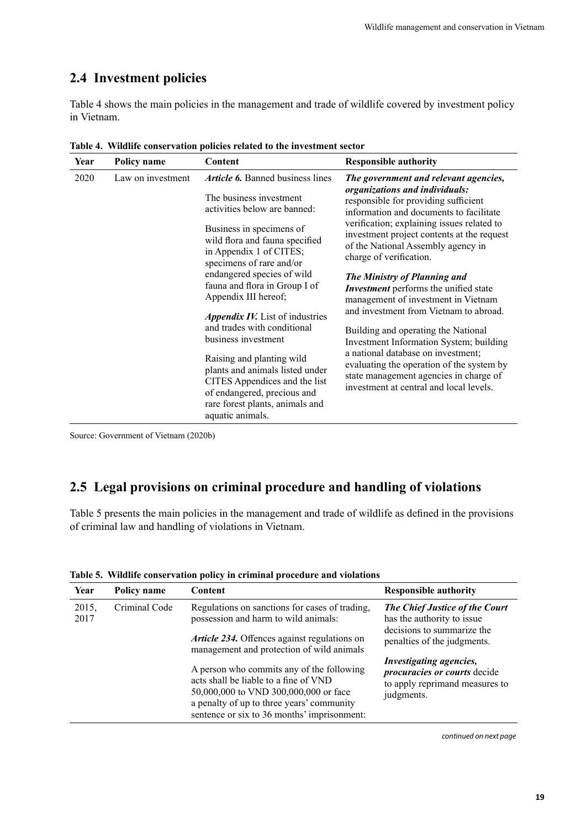#### <span id="page-26-0"></span>**2.4 Investment policies**

Table 4 shows the main policies in the management and trade of wildlife covered by investment policy in Vietnam.

| Year                                                                                                                                                                                                                                      | Policy name                                                                    | Content                                                                                                                                                              | <b>Responsible authority</b>                                                                                                                              |
|-------------------------------------------------------------------------------------------------------------------------------------------------------------------------------------------------------------------------------------------|--------------------------------------------------------------------------------|----------------------------------------------------------------------------------------------------------------------------------------------------------------------|-----------------------------------------------------------------------------------------------------------------------------------------------------------|
| 2020                                                                                                                                                                                                                                      | Law on investment                                                              | <i>Article 6.</i> Banned business lines                                                                                                                              | The government and relevant agencies,                                                                                                                     |
|                                                                                                                                                                                                                                           |                                                                                | The business investment<br>activities below are banned:                                                                                                              | organizations and individuals:<br>responsible for providing sufficient<br>information and documents to facilitate                                         |
|                                                                                                                                                                                                                                           |                                                                                | Business in specimens of<br>wild flora and fauna specified<br>in Appendix 1 of CITES;<br>specimens of rare and/or                                                    | verification; explaining issues related to<br>investment project contents at the request<br>of the National Assembly agency in<br>charge of verification. |
|                                                                                                                                                                                                                                           |                                                                                | endangered species of wild<br>fauna and flora in Group I of<br>Appendix III hereof;                                                                                  | The Ministry of Planning and<br>Investment performs the unified state<br>management of investment in Vietnam                                              |
|                                                                                                                                                                                                                                           |                                                                                | Appendix IV. List of industries                                                                                                                                      | and investment from Vietnam to abroad.                                                                                                                    |
| and trades with conditional<br>business investment<br>Raising and planting wild<br>plants and animals listed under<br>CITES Appendices and the list<br>of endangered, precious and<br>rare forest plants, animals and<br>aquatic animals. | Building and operating the National<br>Investment Information System; building |                                                                                                                                                                      |                                                                                                                                                           |
|                                                                                                                                                                                                                                           |                                                                                | a national database on investment;<br>evaluating the operation of the system by<br>state management agencies in charge of<br>investment at central and local levels. |                                                                                                                                                           |

**Table 4. Wildlife conservation policies related to the investment sector**

Source: Government of Vietnam (2020b)

#### **2.5 Legal provisions on criminal procedure and handling of violations**

Table 5 presents the main policies in the management and trade of wildlife as defined in the provisions of criminal law and handling of violations in Vietnam.

| Year          | Policy name   | Content                                                                                                                                                                                                                 | <b>Responsible authority</b>                                                                                   |
|---------------|---------------|-------------------------------------------------------------------------------------------------------------------------------------------------------------------------------------------------------------------------|----------------------------------------------------------------------------------------------------------------|
| 2015,<br>2017 | Criminal Code | Regulations on sanctions for cases of trading,<br>possession and harm to wild animals:                                                                                                                                  | The Chief Justice of the Court<br>has the authority to issue                                                   |
|               |               | <i>Article 234.</i> Offences against regulations on<br>management and protection of wild animals                                                                                                                        | decisions to summarize the<br>penalties of the judgments.                                                      |
|               |               | A person who commits any of the following<br>acts shall be liable to a fine of VND<br>50,000,000 to VND 300,000,000 or face<br>a penalty of up to three years' community<br>sentence or six to 36 months' imprisonment: | Investigating agencies,<br><i>procuracies or courts</i> decide<br>to apply reprimand measures to<br>judgments. |

**Table 5. Wildlife conservation policy in criminal procedure and violations**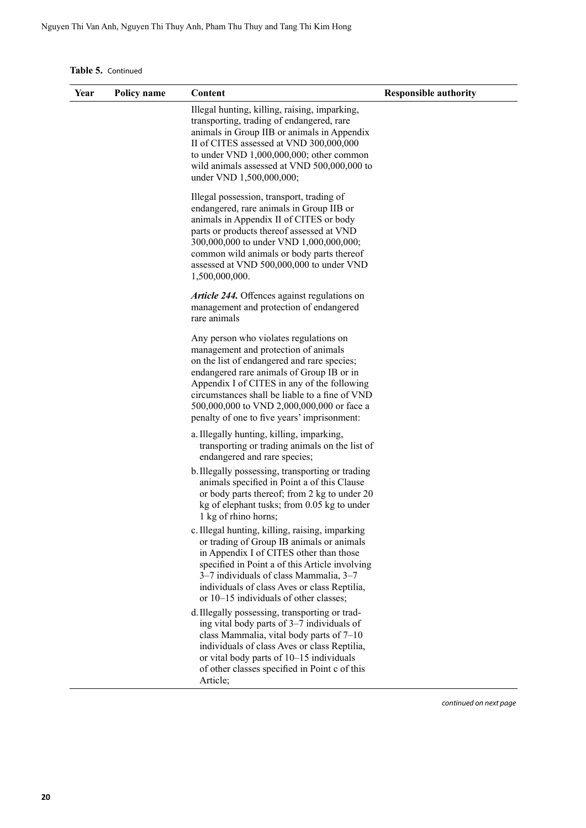**Table 5.** Continued

| Year | Policy name | Content                                                                                                                                                                                                                                                                                                                                                                  | <b>Responsible authority</b> |
|------|-------------|--------------------------------------------------------------------------------------------------------------------------------------------------------------------------------------------------------------------------------------------------------------------------------------------------------------------------------------------------------------------------|------------------------------|
|      |             | Illegal hunting, killing, raising, imparking,<br>transporting, trading of endangered, rare<br>animals in Group IIB or animals in Appendix<br>II of CITES assessed at VND 300,000,000<br>to under VND $1,000,000,000$ ; other common<br>wild animals assessed at VND 500,000,000 to<br>under VND 1,500,000,000;                                                           |                              |
|      |             | Illegal possession, transport, trading of<br>endangered, rare animals in Group IIB or<br>animals in Appendix II of CITES or body<br>parts or products thereof assessed at VND<br>300,000,000 to under VND 1,000,000,000;<br>common wild animals or body parts thereof<br>assessed at VND 500,000,000 to under VND<br>1,500,000,000.                                      |                              |
|      |             | Article 244. Offences against regulations on<br>management and protection of endangered<br>rare animals                                                                                                                                                                                                                                                                  |                              |
|      |             | Any person who violates regulations on<br>management and protection of animals<br>on the list of endangered and rare species;<br>endangered rare animals of Group IB or in<br>Appendix I of CITES in any of the following<br>circumstances shall be liable to a fine of VND<br>500,000,000 to VND 2,000,000,000 or face a<br>penalty of one to five years' imprisonment: |                              |
|      |             | a. Illegally hunting, killing, imparking,<br>transporting or trading animals on the list of<br>endangered and rare species;                                                                                                                                                                                                                                              |                              |
|      |             | b. Illegally possessing, transporting or trading<br>animals specified in Point a of this Clause<br>or body parts thereof; from 2 kg to under 20<br>kg of elephant tusks; from 0.05 kg to under<br>1 kg of rhino horns;                                                                                                                                                   |                              |
|      |             | c. Illegal hunting, killing, raising, imparking<br>or trading of Group IB animals or animals<br>in Appendix I of CITES other than those<br>specified in Point a of this Article involving<br>3–7 individuals of class Mammalia, 3–7<br>individuals of class Aves or class Reptilia,<br>or 10–15 individuals of other classes;                                            |                              |
|      |             | d. Illegally possessing, transporting or trad-<br>ing vital body parts of 3–7 individuals of<br>class Mammalia, vital body parts of 7-10<br>individuals of class Aves or class Reptilia,<br>or vital body parts of 10-15 individuals<br>of other classes specified in Point c of this<br>Article;                                                                        |                              |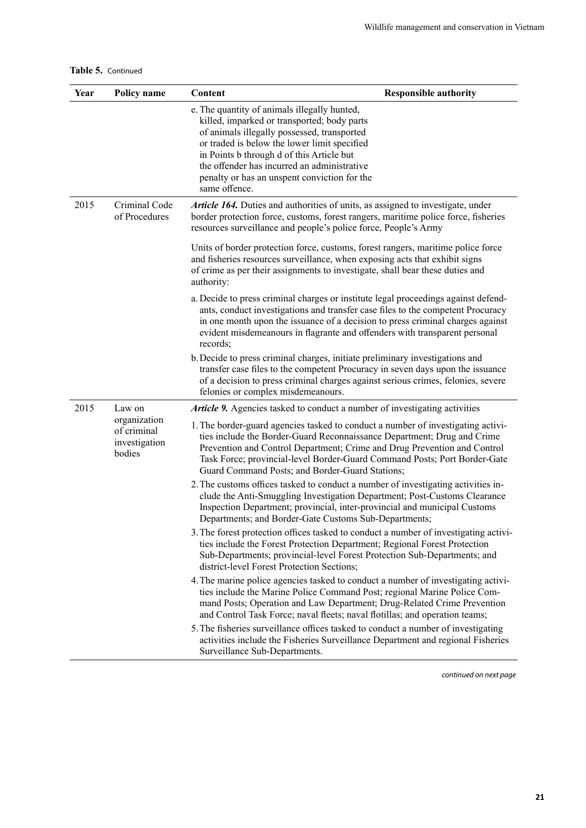|  | Table 5. Continued |
|--|--------------------|
|--|--------------------|

| Year | Policy name                                            | Content                                                                                                                                                                                                                                                                                                                                                                 | <b>Responsible authority</b> |
|------|--------------------------------------------------------|-------------------------------------------------------------------------------------------------------------------------------------------------------------------------------------------------------------------------------------------------------------------------------------------------------------------------------------------------------------------------|------------------------------|
|      |                                                        | e. The quantity of animals illegally hunted,<br>killed, imparked or transported; body parts<br>of animals illegally possessed, transported<br>or traded is below the lower limit specified<br>in Points b through d of this Article but<br>the offender has incurred an administrative<br>penalty or has an unspent conviction for the<br>same offence.                 |                              |
| 2015 | Criminal Code<br>of Procedures                         | Article 164. Duties and authorities of units, as assigned to investigate, under<br>border protection force, customs, forest rangers, maritime police force, fisheries<br>resources surveillance and people's police force, People's Army                                                                                                                                |                              |
|      |                                                        | Units of border protection force, customs, forest rangers, maritime police force<br>and fisheries resources surveillance, when exposing acts that exhibit signs<br>of crime as per their assignments to investigate, shall bear these duties and<br>authority:                                                                                                          |                              |
|      |                                                        | a. Decide to press criminal charges or institute legal proceedings against defend-<br>ants, conduct investigations and transfer case files to the competent Procuracy<br>in one month upon the issuance of a decision to press criminal charges against<br>evident misdemeanours in flagrante and offenders with transparent personal<br>records;                       |                              |
|      |                                                        | b. Decide to press criminal charges, initiate preliminary investigations and<br>transfer case files to the competent Procuracy in seven days upon the issuance<br>of a decision to press criminal charges against serious crimes, felonies, severe<br>felonies or complex misdemeanours.                                                                                |                              |
| 2015 | Law on                                                 | <b>Article 9.</b> Agencies tasked to conduct a number of investigating activities                                                                                                                                                                                                                                                                                       |                              |
|      | organization<br>of criminal<br>investigation<br>bodies | 1. The border-guard agencies tasked to conduct a number of investigating activi-<br>ties include the Border-Guard Reconnaissance Department; Drug and Crime<br>Prevention and Control Department; Crime and Drug Prevention and Control<br>Task Force; provincial-level Border-Guard Command Posts; Port Border-Gate<br>Guard Command Posts; and Border-Guard Stations; |                              |
|      |                                                        | 2. The customs offices tasked to conduct a number of investigating activities in-<br>clude the Anti-Smuggling Investigation Department; Post-Customs Clearance<br>Inspection Department; provincial, inter-provincial and municipal Customs<br>Departments; and Border-Gate Customs Sub-Departments;                                                                    |                              |
|      |                                                        | 3. The forest protection offices tasked to conduct a number of investigating activi-<br>ties include the Forest Protection Department; Regional Forest Protection<br>Sub-Departments; provincial-level Forest Protection Sub-Departments; and<br>district-level Forest Protection Sections;                                                                             |                              |
|      |                                                        | 4. The marine police agencies tasked to conduct a number of investigating activi-<br>ties include the Marine Police Command Post; regional Marine Police Com-<br>mand Posts; Operation and Law Department; Drug-Related Crime Prevention<br>and Control Task Force; naval fleets; naval flotillas; and operation teams;                                                 |                              |
|      |                                                        | 5. The fisheries surveillance offices tasked to conduct a number of investigating<br>activities include the Fisheries Surveillance Department and regional Fisheries<br>Surveillance Sub-Departments.                                                                                                                                                                   |                              |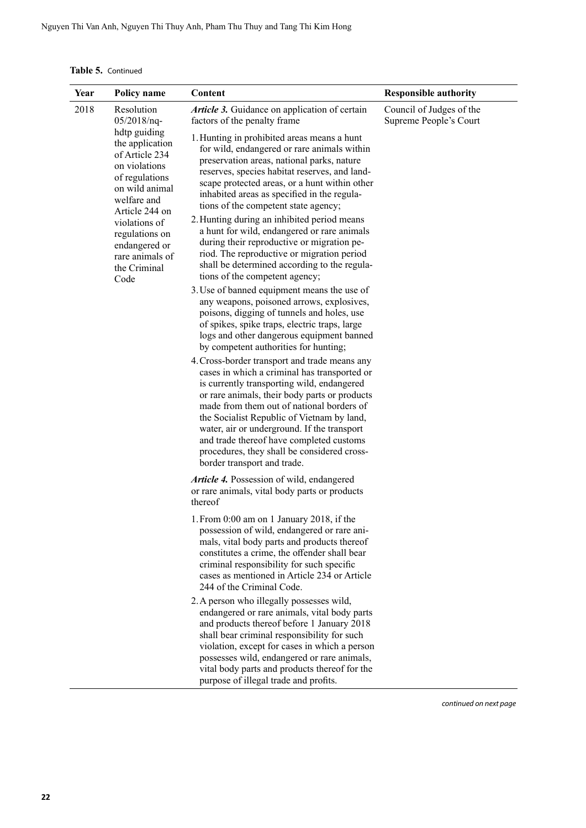**Table 5.** Continued

| Year | Policy name                                                                                                                                                                                                            | Content                                                                                                                                                                                                                                                                                                                                                                                                                                                          | <b>Responsible authority</b>                                                                                                                                                                                                                                                                                      |
|------|------------------------------------------------------------------------------------------------------------------------------------------------------------------------------------------------------------------------|------------------------------------------------------------------------------------------------------------------------------------------------------------------------------------------------------------------------------------------------------------------------------------------------------------------------------------------------------------------------------------------------------------------------------------------------------------------|-------------------------------------------------------------------------------------------------------------------------------------------------------------------------------------------------------------------------------------------------------------------------------------------------------------------|
| 2018 | Resolution<br>$05/2018/nq$ -<br>hdtp guiding                                                                                                                                                                           | Article 3. Guidance on application of certain<br>factors of the penalty frame                                                                                                                                                                                                                                                                                                                                                                                    | Council of Judges of the<br>Supreme People's Court                                                                                                                                                                                                                                                                |
|      | the application<br>of Article 234<br>on violations<br>of regulations<br>on wild animal<br>welfare and<br>Article 244 on<br>violations of<br>regulations on<br>endangered or<br>rare animals of<br>the Criminal<br>Code | 1. Hunting in prohibited areas means a hunt<br>for wild, endangered or rare animals within<br>preservation areas, national parks, nature<br>reserves, species habitat reserves, and land-<br>scape protected areas, or a hunt within other<br>inhabited areas as specified in the regula-<br>tions of the competent state agency;                                                                                                                                |                                                                                                                                                                                                                                                                                                                   |
|      |                                                                                                                                                                                                                        | 2. Hunting during an inhibited period means<br>a hunt for wild, endangered or rare animals<br>during their reproductive or migration pe-<br>riod. The reproductive or migration period<br>shall be determined according to the regula-<br>tions of the competent agency;                                                                                                                                                                                         |                                                                                                                                                                                                                                                                                                                   |
|      |                                                                                                                                                                                                                        | 3. Use of banned equipment means the use of<br>any weapons, poisoned arrows, explosives,<br>poisons, digging of tunnels and holes, use<br>of spikes, spike traps, electric traps, large<br>logs and other dangerous equipment banned<br>by competent authorities for hunting;                                                                                                                                                                                    |                                                                                                                                                                                                                                                                                                                   |
|      |                                                                                                                                                                                                                        | 4. Cross-border transport and trade means any<br>cases in which a criminal has transported or<br>is currently transporting wild, endangered<br>or rare animals, their body parts or products<br>made from them out of national borders of<br>the Socialist Republic of Vietnam by land,<br>water, air or underground. If the transport<br>and trade thereof have completed customs<br>procedures, they shall be considered cross-<br>border transport and trade. |                                                                                                                                                                                                                                                                                                                   |
|      |                                                                                                                                                                                                                        | Article 4. Possession of wild, endangered<br>or rare animals, vital body parts or products<br>thereof                                                                                                                                                                                                                                                                                                                                                            |                                                                                                                                                                                                                                                                                                                   |
|      |                                                                                                                                                                                                                        |                                                                                                                                                                                                                                                                                                                                                                                                                                                                  | 1. From 0:00 am on 1 January 2018, if the<br>possession of wild, endangered or rare ani-<br>mals, vital body parts and products thereof<br>constitutes a crime, the offender shall bear<br>criminal responsibility for such specific<br>cases as mentioned in Article 234 or Article<br>244 of the Criminal Code. |
|      |                                                                                                                                                                                                                        | 2. A person who illegally possesses wild,<br>endangered or rare animals, vital body parts<br>and products thereof before 1 January 2018<br>shall bear criminal responsibility for such<br>violation, except for cases in which a person<br>possesses wild, endangered or rare animals,<br>vital body parts and products thereof for the<br>purpose of illegal trade and profits.                                                                                 |                                                                                                                                                                                                                                                                                                                   |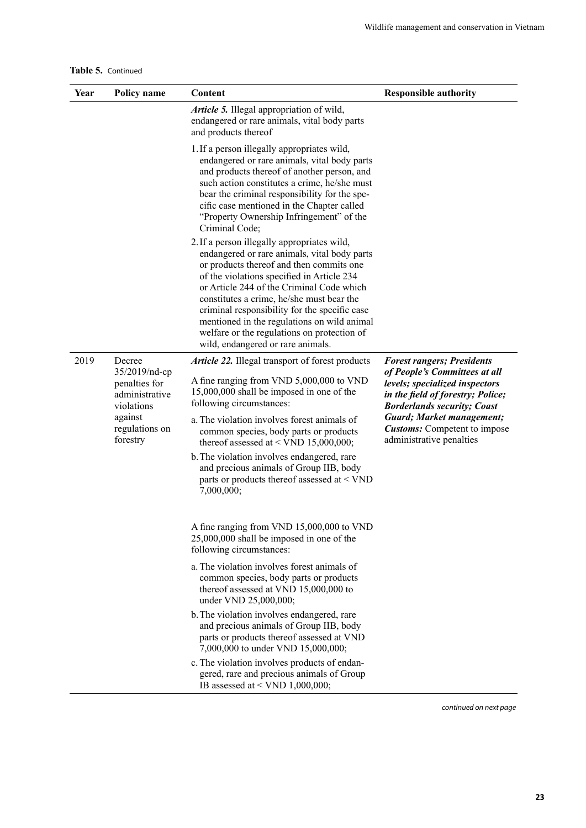|  | Table 5. Continued |
|--|--------------------|
|--|--------------------|

| Year | <b>Policy name</b>                                                                                      | Content                                                                                                                                                                                                                                                                                                                                                                                                                                                             | <b>Responsible authority</b>                                                                                                                                                                                                                                                            |
|------|---------------------------------------------------------------------------------------------------------|---------------------------------------------------------------------------------------------------------------------------------------------------------------------------------------------------------------------------------------------------------------------------------------------------------------------------------------------------------------------------------------------------------------------------------------------------------------------|-----------------------------------------------------------------------------------------------------------------------------------------------------------------------------------------------------------------------------------------------------------------------------------------|
|      |                                                                                                         | Article 5. Illegal appropriation of wild,<br>endangered or rare animals, vital body parts<br>and products thereof                                                                                                                                                                                                                                                                                                                                                   |                                                                                                                                                                                                                                                                                         |
|      |                                                                                                         | 1. If a person illegally appropriates wild,<br>endangered or rare animals, vital body parts<br>and products thereof of another person, and<br>such action constitutes a crime, he/she must<br>bear the criminal responsibility for the spe-<br>cific case mentioned in the Chapter called<br>"Property Ownership Infringement" of the<br>Criminal Code;                                                                                                             |                                                                                                                                                                                                                                                                                         |
|      |                                                                                                         | 2. If a person illegally appropriates wild,<br>endangered or rare animals, vital body parts<br>or products thereof and then commits one<br>of the violations specified in Article 234<br>or Article 244 of the Criminal Code which<br>constitutes a crime, he/she must bear the<br>criminal responsibility for the specific case<br>mentioned in the regulations on wild animal<br>welfare or the regulations on protection of<br>wild, endangered or rare animals. |                                                                                                                                                                                                                                                                                         |
| 2019 | Decree                                                                                                  | Article 22. Illegal transport of forest products                                                                                                                                                                                                                                                                                                                                                                                                                    | <b>Forest rangers; Presidents</b><br>of People's Committees at all<br>levels; specialized inspectors<br>in the field of forestry; Police;<br><b>Borderlands security; Coast</b><br><b>Guard</b> ; Market management;<br><b>Customs:</b> Competent to impose<br>administrative penalties |
|      | 35/2019/nd-cp<br>penalties for<br>administrative<br>violations<br>against<br>regulations on<br>forestry | A fine ranging from VND 5,000,000 to VND<br>15,000,000 shall be imposed in one of the<br>following circumstances:                                                                                                                                                                                                                                                                                                                                                   |                                                                                                                                                                                                                                                                                         |
|      |                                                                                                         | a. The violation involves forest animals of<br>common species, body parts or products<br>thereof assessed at < VND 15,000,000;                                                                                                                                                                                                                                                                                                                                      |                                                                                                                                                                                                                                                                                         |
|      |                                                                                                         | b. The violation involves endangered, rare<br>and precious animals of Group IIB, body<br>parts or products thereof assessed at <vnd<br>7,000,000;</vnd<br>                                                                                                                                                                                                                                                                                                          |                                                                                                                                                                                                                                                                                         |
|      |                                                                                                         | A fine ranging from VND 15,000,000 to VND<br>25,000,000 shall be imposed in one of the<br>following circumstances:                                                                                                                                                                                                                                                                                                                                                  |                                                                                                                                                                                                                                                                                         |
|      |                                                                                                         | a. The violation involves forest animals of<br>common species, body parts or products<br>thereof assessed at VND 15,000,000 to<br>under VND 25,000,000;                                                                                                                                                                                                                                                                                                             |                                                                                                                                                                                                                                                                                         |
|      |                                                                                                         | b. The violation involves endangered, rare<br>and precious animals of Group IIB, body<br>parts or products thereof assessed at VND<br>7,000,000 to under VND 15,000,000;                                                                                                                                                                                                                                                                                            |                                                                                                                                                                                                                                                                                         |
|      |                                                                                                         | c. The violation involves products of endan-<br>gered, rare and precious animals of Group<br>IB assessed at < VND 1,000,000;                                                                                                                                                                                                                                                                                                                                        |                                                                                                                                                                                                                                                                                         |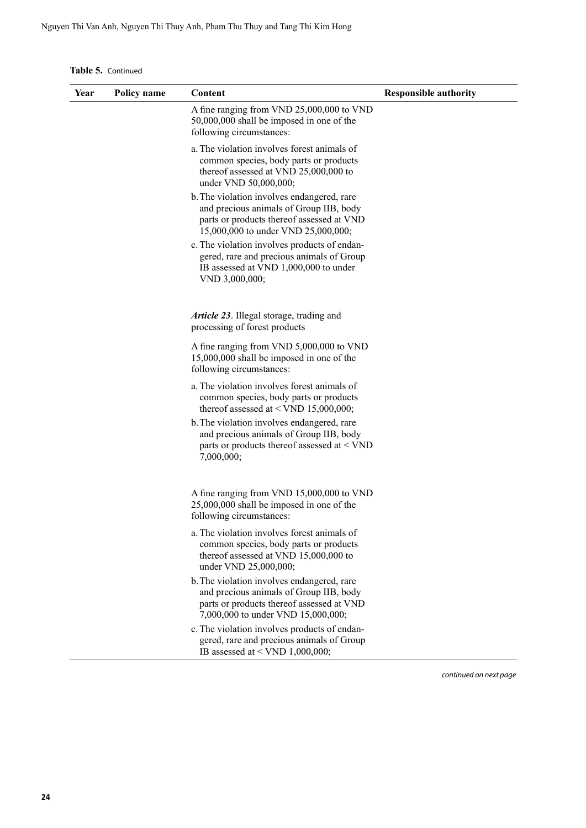**Table 5.** Continued

| Year | Policy name | Content                                                                                                                                                                   | <b>Responsible authority</b> |
|------|-------------|---------------------------------------------------------------------------------------------------------------------------------------------------------------------------|------------------------------|
|      |             | A fine ranging from VND 25,000,000 to VND<br>50,000,000 shall be imposed in one of the<br>following circumstances:                                                        |                              |
|      |             | a. The violation involves forest animals of<br>common species, body parts or products<br>thereof assessed at VND 25,000,000 to<br>under VND 50,000,000;                   |                              |
|      |             | b. The violation involves endangered, rare<br>and precious animals of Group IIB, body<br>parts or products thereof assessed at VND<br>15,000,000 to under VND 25,000,000; |                              |
|      |             | c. The violation involves products of endan-<br>gered, rare and precious animals of Group<br>IB assessed at VND 1,000,000 to under<br>VND 3,000,000;                      |                              |
|      |             | <i>Article 23.</i> Illegal storage, trading and<br>processing of forest products                                                                                          |                              |
|      |             | A fine ranging from VND 5,000,000 to VND<br>15,000,000 shall be imposed in one of the<br>following circumstances:                                                         |                              |
|      |             | a. The violation involves forest animals of<br>common species, body parts or products<br>thereof assessed at < VND 15,000,000;                                            |                              |
|      |             | b. The violation involves endangered, rare<br>and precious animals of Group IIB, body<br>parts or products thereof assessed at < VND<br>7,000,000;                        |                              |
|      |             | A fine ranging from VND 15,000,000 to VND<br>25,000,000 shall be imposed in one of the<br>following circumstances:                                                        |                              |
|      |             | a. The violation involves forest animals of<br>common species, body parts or products<br>thereof assessed at VND 15,000,000 to<br>under VND 25,000,000;                   |                              |
|      |             | b. The violation involves endangered, rare<br>and precious animals of Group IIB, body<br>parts or products thereof assessed at VND<br>7,000,000 to under VND 15,000,000;  |                              |
|      |             | c. The violation involves products of endan-<br>gered, rare and precious animals of Group<br>IB assessed at < VND 1,000,000;                                              |                              |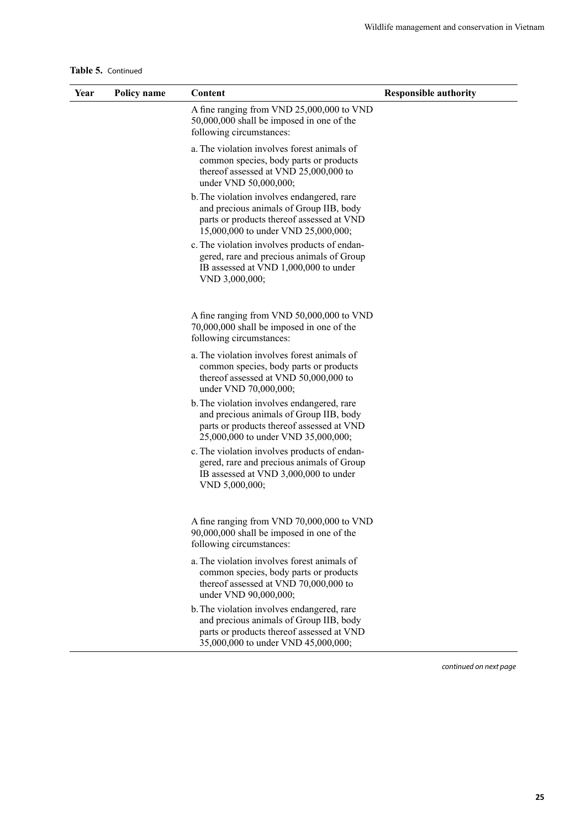|  | Table 5. Continued |
|--|--------------------|
|--|--------------------|

| Year | Policy name | Content                                                                                                                                                                   | <b>Responsible authority</b> |
|------|-------------|---------------------------------------------------------------------------------------------------------------------------------------------------------------------------|------------------------------|
|      |             | A fine ranging from VND 25,000,000 to VND<br>50,000,000 shall be imposed in one of the<br>following circumstances:                                                        |                              |
|      |             | a. The violation involves forest animals of<br>common species, body parts or products<br>thereof assessed at VND 25,000,000 to<br>under VND 50,000,000;                   |                              |
|      |             | b. The violation involves endangered, rare<br>and precious animals of Group IIB, body<br>parts or products thereof assessed at VND<br>15,000,000 to under VND 25,000,000; |                              |
|      |             | c. The violation involves products of endan-<br>gered, rare and precious animals of Group<br>IB assessed at VND 1,000,000 to under<br>VND 3,000,000;                      |                              |
|      |             | A fine ranging from VND 50,000,000 to VND<br>70,000,000 shall be imposed in one of the<br>following circumstances:                                                        |                              |
|      |             | a. The violation involves forest animals of<br>common species, body parts or products<br>thereof assessed at VND 50,000,000 to<br>under VND 70,000,000;                   |                              |
|      |             | b. The violation involves endangered, rare<br>and precious animals of Group IIB, body<br>parts or products thereof assessed at VND<br>25,000,000 to under VND 35,000,000; |                              |
|      |             | c. The violation involves products of endan-<br>gered, rare and precious animals of Group<br>IB assessed at VND 3,000,000 to under<br>VND 5,000,000;                      |                              |
|      |             | A fine ranging from VND 70,000,000 to VND<br>90,000,000 shall be imposed in one of the<br>following circumstances:                                                        |                              |
|      |             | a. The violation involves forest animals of<br>common species, body parts or products<br>thereof assessed at VND 70,000,000 to<br>under VND 90,000,000;                   |                              |
|      |             | b. The violation involves endangered, rare<br>and precious animals of Group IIB, body<br>parts or products thereof assessed at VND<br>35,000,000 to under VND 45,000,000; |                              |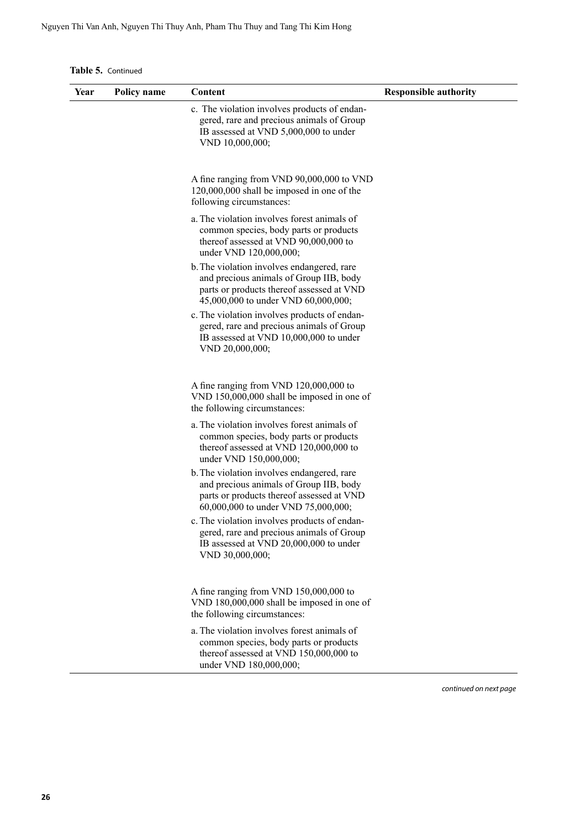**Table 5.** Continued

| Year | Policy name | Content                                                                                                                                                                   | <b>Responsible authority</b> |
|------|-------------|---------------------------------------------------------------------------------------------------------------------------------------------------------------------------|------------------------------|
|      |             | c. The violation involves products of endan-<br>gered, rare and precious animals of Group<br>IB assessed at VND 5,000,000 to under<br>VND 10,000,000;                     |                              |
|      |             | A fine ranging from VND 90,000,000 to VND<br>120,000,000 shall be imposed in one of the<br>following circumstances:                                                       |                              |
|      |             | a. The violation involves forest animals of<br>common species, body parts or products<br>thereof assessed at VND 90,000,000 to<br>under VND 120,000,000;                  |                              |
|      |             | b. The violation involves endangered, rare<br>and precious animals of Group IIB, body<br>parts or products thereof assessed at VND<br>45,000,000 to under VND 60,000,000; |                              |
|      |             | c. The violation involves products of endan-<br>gered, rare and precious animals of Group<br>IB assessed at VND 10,000,000 to under<br>VND 20,000,000;                    |                              |
|      |             | A fine ranging from VND 120,000,000 to<br>VND 150,000,000 shall be imposed in one of<br>the following circumstances:                                                      |                              |
|      |             | a. The violation involves forest animals of<br>common species, body parts or products<br>thereof assessed at VND 120,000,000 to<br>under VND 150,000,000;                 |                              |
|      |             | b. The violation involves endangered, rare<br>and precious animals of Group IIB, body<br>parts or products thereof assessed at VND<br>60,000,000 to under VND 75,000,000; |                              |
|      |             | c. The violation involves products of endan-<br>gered, rare and precious animals of Group<br>IB assessed at VND 20,000,000 to under<br>VND 30,000,000;                    |                              |
|      |             | A fine ranging from VND 150,000,000 to<br>VND 180,000,000 shall be imposed in one of<br>the following circumstances:                                                      |                              |
|      |             | a. The violation involves forest animals of<br>common species, body parts or products<br>thereof assessed at VND 150,000,000 to<br>under VND 180,000,000;                 |                              |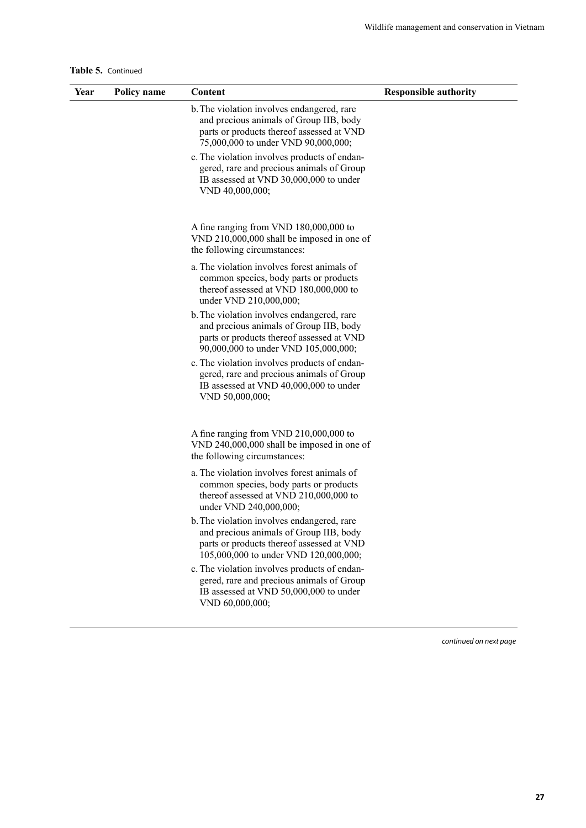**Table 5.** Continued

| Year | Policy name | Content                                                                                                                                                                     | <b>Responsible authority</b> |
|------|-------------|-----------------------------------------------------------------------------------------------------------------------------------------------------------------------------|------------------------------|
|      |             | b. The violation involves endangered, rare<br>and precious animals of Group IIB, body<br>parts or products thereof assessed at VND<br>75,000,000 to under VND 90,000,000;   |                              |
|      |             | c. The violation involves products of endan-<br>gered, rare and precious animals of Group<br>IB assessed at VND 30,000,000 to under<br>VND 40,000,000;                      |                              |
|      |             | A fine ranging from VND 180,000,000 to<br>VND 210,000,000 shall be imposed in one of<br>the following circumstances:                                                        |                              |
|      |             | a. The violation involves forest animals of<br>common species, body parts or products<br>thereof assessed at VND 180,000,000 to<br>under VND 210,000,000;                   |                              |
|      |             | b. The violation involves endangered, rare<br>and precious animals of Group IIB, body<br>parts or products thereof assessed at VND<br>90,000,000 to under VND 105,000,000;  |                              |
|      |             | c. The violation involves products of endan-<br>gered, rare and precious animals of Group<br>IB assessed at VND 40,000,000 to under<br>VND 50,000,000;                      |                              |
|      |             | A fine ranging from VND 210,000,000 to<br>VND 240,000,000 shall be imposed in one of<br>the following circumstances:                                                        |                              |
|      |             | a. The violation involves forest animals of<br>common species, body parts or products<br>thereof assessed at VND 210,000,000 to<br>under VND 240,000,000;                   |                              |
|      |             | b. The violation involves endangered, rare<br>and precious animals of Group IIB, body<br>parts or products thereof assessed at VND<br>105,000,000 to under VND 120,000,000; |                              |
|      |             | c. The violation involves products of endan-<br>gered, rare and precious animals of Group<br>IB assessed at VND 50,000,000 to under<br>VND 60,000,000;                      |                              |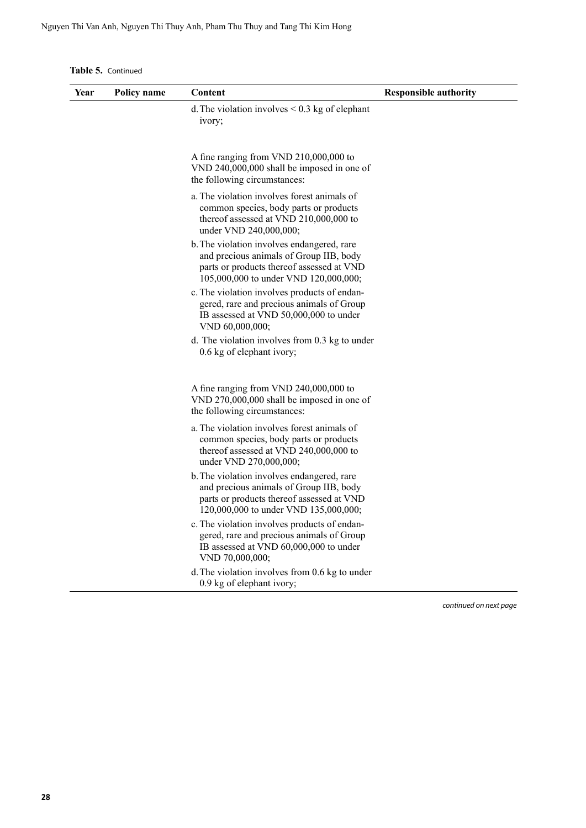**Table 5.** Continued

| Year | Policy name | Content                                                                                                                                                                     | <b>Responsible authority</b> |
|------|-------------|-----------------------------------------------------------------------------------------------------------------------------------------------------------------------------|------------------------------|
|      |             | d. The violation involves $< 0.3$ kg of elephant<br>ivory;                                                                                                                  |                              |
|      |             | A fine ranging from VND 210,000,000 to<br>VND 240,000,000 shall be imposed in one of<br>the following circumstances:                                                        |                              |
|      |             | a. The violation involves forest animals of<br>common species, body parts or products<br>thereof assessed at VND $210,000,000$ to<br>under VND 240,000,000;                 |                              |
|      |             | b. The violation involves endangered, rare<br>and precious animals of Group IIB, body<br>parts or products thereof assessed at VND<br>105,000,000 to under VND 120,000,000; |                              |
|      |             | c. The violation involves products of endan-<br>gered, rare and precious animals of Group<br>IB assessed at VND 50,000,000 to under<br>VND 60,000,000;                      |                              |
|      |             | d. The violation involves from 0.3 kg to under<br>0.6 kg of elephant ivory;                                                                                                 |                              |
|      |             | A fine ranging from VND 240,000,000 to<br>VND 270,000,000 shall be imposed in one of<br>the following circumstances:                                                        |                              |
|      |             | a. The violation involves forest animals of<br>common species, body parts or products<br>thereof assessed at VND 240,000,000 to<br>under VND 270,000,000;                   |                              |
|      |             | b. The violation involves endangered, rare<br>and precious animals of Group IIB, body<br>parts or products thereof assessed at VND<br>120,000,000 to under VND 135,000,000; |                              |
|      |             | c. The violation involves products of endan-<br>gered, rare and precious animals of Group<br>IB assessed at VND 60,000,000 to under<br>VND 70,000,000;                      |                              |
|      |             | d. The violation involves from 0.6 kg to under<br>0.9 kg of elephant ivory;                                                                                                 |                              |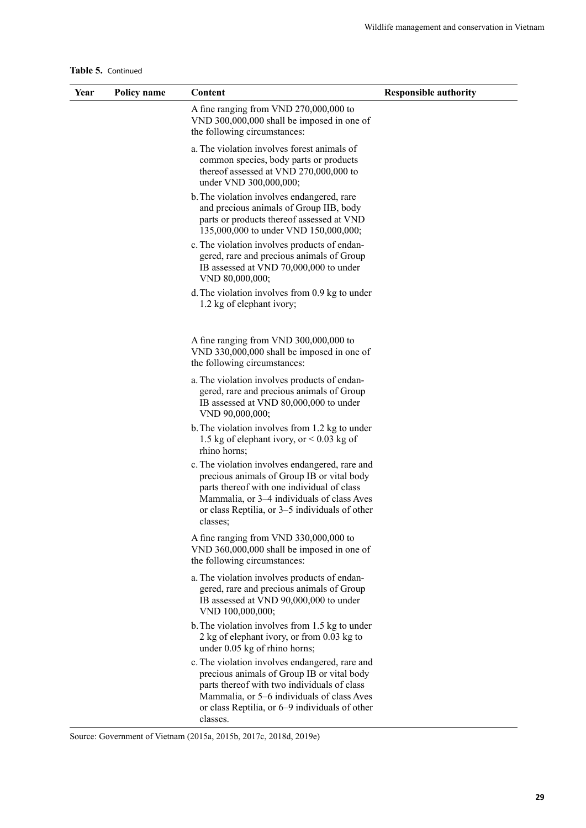|  | Table 5. Continued |
|--|--------------------|
|--|--------------------|

| Year | Policy name | Content                                                                                                                                                                                                                                                 | <b>Responsible authority</b> |
|------|-------------|---------------------------------------------------------------------------------------------------------------------------------------------------------------------------------------------------------------------------------------------------------|------------------------------|
|      |             | A fine ranging from VND 270,000,000 to<br>VND 300,000,000 shall be imposed in one of<br>the following circumstances:                                                                                                                                    |                              |
|      |             | a. The violation involves forest animals of<br>common species, body parts or products<br>thereof assessed at VND 270,000,000 to<br>under VND 300,000,000;                                                                                               |                              |
|      |             | b. The violation involves endangered, rare<br>and precious animals of Group IIB, body<br>parts or products thereof assessed at VND<br>135,000,000 to under VND 150,000,000;                                                                             |                              |
|      |             | c. The violation involves products of endan-<br>gered, rare and precious animals of Group<br>IB assessed at VND 70,000,000 to under<br>VND 80,000,000;                                                                                                  |                              |
|      |             | d. The violation involves from 0.9 kg to under<br>1.2 kg of elephant ivory;                                                                                                                                                                             |                              |
|      |             | A fine ranging from VND 300,000,000 to<br>VND 330,000,000 shall be imposed in one of<br>the following circumstances:                                                                                                                                    |                              |
|      |             | a. The violation involves products of endan-<br>gered, rare and precious animals of Group<br>IB assessed at VND 80,000,000 to under<br>VND 90,000,000;                                                                                                  |                              |
|      |             | b. The violation involves from 1.2 kg to under<br>1.5 kg of elephant ivory, or $< 0.03$ kg of<br>rhino horns;                                                                                                                                           |                              |
|      |             | c. The violation involves endangered, rare and<br>precious animals of Group IB or vital body<br>parts thereof with one individual of class<br>Mammalia, or 3-4 individuals of class Aves<br>or class Reptilia, or 3-5 individuals of other<br>classes;  |                              |
|      |             | A fine ranging from VND 330,000,000 to<br>VND 360,000,000 shall be imposed in one of<br>the following circumstances:                                                                                                                                    |                              |
|      |             | a. The violation involves products of endan-<br>gered, rare and precious animals of Group<br>IB assessed at VND 90,000,000 to under<br>VND 100,000,000;                                                                                                 |                              |
|      |             | b. The violation involves from 1.5 kg to under<br>2 kg of elephant ivory, or from 0.03 kg to<br>under 0.05 kg of rhino horns;                                                                                                                           |                              |
|      |             | c. The violation involves endangered, rare and<br>precious animals of Group IB or vital body<br>parts thereof with two individuals of class<br>Mammalia, or 5-6 individuals of class Aves<br>or class Reptilia, or 6–9 individuals of other<br>classes. |                              |

Source: Government of Vietnam (2015a, 2015b, 2017c, 2018d, 2019e)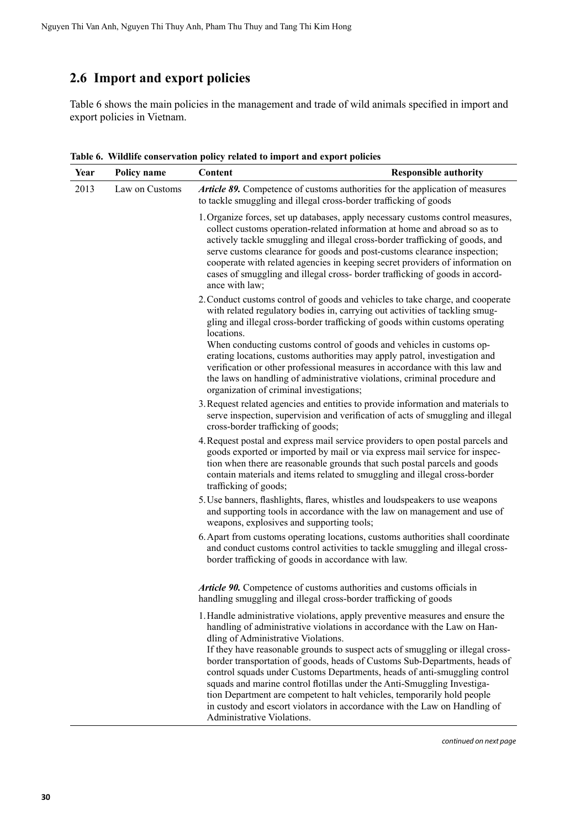### <span id="page-37-0"></span>**2.6 Import and export policies**

Table 6 shows the main policies in the management and trade of wild animals specified in import and export policies in Vietnam.

| Year | Policy name    | Content                                                                                                                                                                                                                                                                                                                                                                                                                                                                                                                                                                                                                                                                                                        | <b>Responsible authority</b> |
|------|----------------|----------------------------------------------------------------------------------------------------------------------------------------------------------------------------------------------------------------------------------------------------------------------------------------------------------------------------------------------------------------------------------------------------------------------------------------------------------------------------------------------------------------------------------------------------------------------------------------------------------------------------------------------------------------------------------------------------------------|------------------------------|
| 2013 | Law on Customs | Article 89. Competence of customs authorities for the application of measures<br>to tackle smuggling and illegal cross-border trafficking of goods                                                                                                                                                                                                                                                                                                                                                                                                                                                                                                                                                             |                              |
|      |                | 1. Organize forces, set up databases, apply necessary customs control measures,<br>collect customs operation-related information at home and abroad so as to<br>actively tackle smuggling and illegal cross-border trafficking of goods, and<br>serve customs clearance for goods and post-customs clearance inspection;<br>cooperate with related agencies in keeping secret providers of information on<br>cases of smuggling and illegal cross- border trafficking of goods in accord-<br>ance with law;                                                                                                                                                                                                    |                              |
|      |                | 2. Conduct customs control of goods and vehicles to take charge, and cooperate<br>with related regulatory bodies in, carrying out activities of tackling smug-<br>gling and illegal cross-border trafficking of goods within customs operating<br>locations.<br>When conducting customs control of goods and vehicles in customs op-<br>erating locations, customs authorities may apply patrol, investigation and<br>verification or other professional measures in accordance with this law and<br>the laws on handling of administrative violations, criminal procedure and<br>organization of criminal investigations;                                                                                     |                              |
|      |                | 3. Request related agencies and entities to provide information and materials to<br>serve inspection, supervision and verification of acts of smuggling and illegal<br>cross-border trafficking of goods;                                                                                                                                                                                                                                                                                                                                                                                                                                                                                                      |                              |
|      |                | 4. Request postal and express mail service providers to open postal parcels and<br>goods exported or imported by mail or via express mail service for inspec-<br>tion when there are reasonable grounds that such postal parcels and goods<br>contain materials and items related to smuggling and illegal cross-border<br>trafficking of goods;                                                                                                                                                                                                                                                                                                                                                               |                              |
|      |                | 5. Use banners, flashlights, flares, whistles and loudspeakers to use weapons<br>and supporting tools in accordance with the law on management and use of<br>weapons, explosives and supporting tools;                                                                                                                                                                                                                                                                                                                                                                                                                                                                                                         |                              |
|      |                | 6. Apart from customs operating locations, customs authorities shall coordinate<br>and conduct customs control activities to tackle smuggling and illegal cross-<br>border trafficking of goods in accordance with law.                                                                                                                                                                                                                                                                                                                                                                                                                                                                                        |                              |
|      |                | Article 90. Competence of customs authorities and customs officials in<br>handling smuggling and illegal cross-border trafficking of goods                                                                                                                                                                                                                                                                                                                                                                                                                                                                                                                                                                     |                              |
|      |                | 1. Handle administrative violations, apply preventive measures and ensure the<br>handling of administrative violations in accordance with the Law on Han-<br>dling of Administrative Violations.<br>If they have reasonable grounds to suspect acts of smuggling or illegal cross-<br>border transportation of goods, heads of Customs Sub-Departments, heads of<br>control squads under Customs Departments, heads of anti-smuggling control<br>squads and marine control flotillas under the Anti-Smuggling Investiga-<br>tion Department are competent to halt vehicles, temporarily hold people<br>in custody and escort violators in accordance with the Law on Handling of<br>Administrative Violations. |                              |

**Table 6. Wildlife conservation policy related to import and export policies**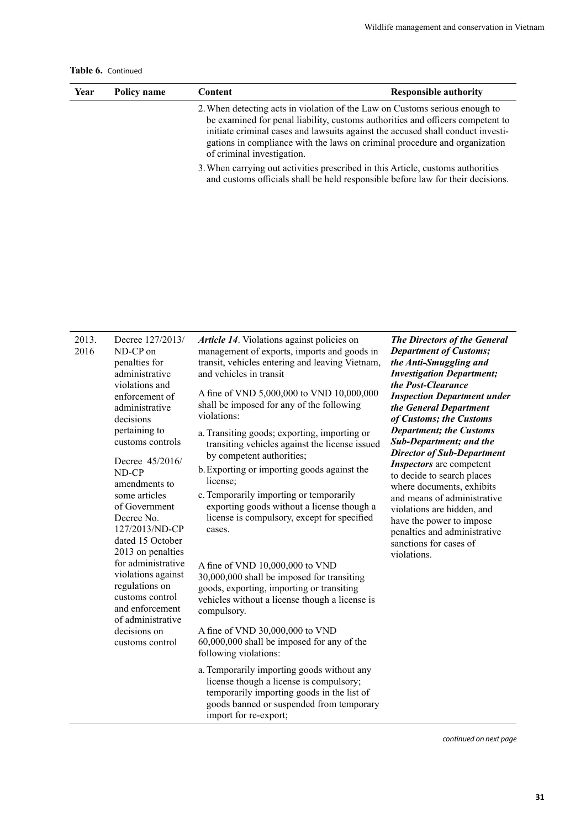| Table 6. Continued |  |
|--------------------|--|
|--------------------|--|

| Year | Policy name | Content                    | <b>Responsible authority</b>                                                                                                                                                                                                                                                                                                   |
|------|-------------|----------------------------|--------------------------------------------------------------------------------------------------------------------------------------------------------------------------------------------------------------------------------------------------------------------------------------------------------------------------------|
|      |             | of criminal investigation. | 2. When detecting acts in violation of the Law on Customs serious enough to<br>be examined for penal liability, customs authorities and officers competent to<br>initiate criminal cases and lawsuits against the accused shall conduct investi-<br>gations in compliance with the laws on criminal procedure and organization |
|      |             |                            | 3. When carrying out activities prescribed in this Article, customs authorities<br>and customs officials shall be held responsible before law for their decisions.                                                                                                                                                             |

| 2013.<br>2016 | Decree 127/2013/<br>ND-CP on<br>penalties for<br>administrative                                                                                                                                                                                                     | Article 14. Violations against policies on<br>management of exports, imports and goods in<br>transit, vehicles entering and leaving Vietnam,<br>and vehicles in transit                                  | The Directors of the General<br><b>Department of Customs;</b><br>the Anti-Smuggling and<br><b>Investigation Department;</b>                                                                                            |
|---------------|---------------------------------------------------------------------------------------------------------------------------------------------------------------------------------------------------------------------------------------------------------------------|----------------------------------------------------------------------------------------------------------------------------------------------------------------------------------------------------------|------------------------------------------------------------------------------------------------------------------------------------------------------------------------------------------------------------------------|
|               | violations and<br>enforcement of<br>administrative<br>decisions                                                                                                                                                                                                     | A fine of VND 5,000,000 to VND 10,000,000<br>shall be imposed for any of the following<br>violations:                                                                                                    | the Post-Clearance<br><b>Inspection Department under</b><br>the General Department<br>of Customs; the Customs<br><b>Department; the Customs</b><br><b>Sub-Department; and the</b><br><b>Director of Sub-Department</b> |
|               | pertaining to<br>customs controls                                                                                                                                                                                                                                   | a. Transiting goods; exporting, importing or<br>transiting vehicles against the license issued<br>by competent authorities;                                                                              |                                                                                                                                                                                                                        |
|               | Decree 45/2016/<br>ND-CP<br>amendments to                                                                                                                                                                                                                           | b. Exporting or importing goods against the<br>license;                                                                                                                                                  | <b>Inspectors</b> are competent<br>to decide to search places<br>where documents, exhibits                                                                                                                             |
|               | some articles<br>of Government<br>Decree No.<br>127/2013/ND-CP<br>dated 15 October<br>2013 on penalties<br>for administrative<br>violations against<br>regulations on<br>customs control<br>and enforcement<br>of administrative<br>decisions on<br>customs control | c. Temporarily importing or temporarily<br>exporting goods without a license though a<br>license is compulsory, except for specified<br>cases.                                                           | and means of administrative<br>violations are hidden, and<br>have the power to impose<br>penalties and administrative<br>sanctions for cases of<br>violations.                                                         |
|               |                                                                                                                                                                                                                                                                     | A fine of VND 10,000,000 to VND<br>30,000,000 shall be imposed for transiting<br>goods, exporting, importing or transiting<br>vehicles without a license though a license is<br>compulsory.              |                                                                                                                                                                                                                        |
|               |                                                                                                                                                                                                                                                                     | A fine of VND 30,000,000 to VND<br>60,000,000 shall be imposed for any of the<br>following violations:                                                                                                   |                                                                                                                                                                                                                        |
|               |                                                                                                                                                                                                                                                                     | a. Temporarily importing goods without any<br>license though a license is compulsory;<br>temporarily importing goods in the list of<br>goods banned or suspended from temporary<br>import for re-export; |                                                                                                                                                                                                                        |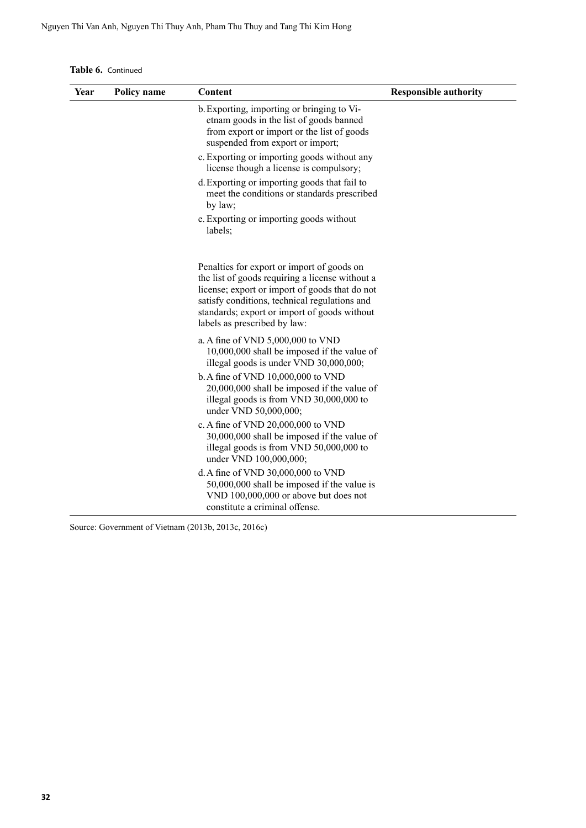**Table 6.** Continued

| Year | Policy name | Content                                                                                                                                                                                                                                                                          | <b>Responsible authority</b> |
|------|-------------|----------------------------------------------------------------------------------------------------------------------------------------------------------------------------------------------------------------------------------------------------------------------------------|------------------------------|
|      |             | b. Exporting, importing or bringing to Vi-<br>etnam goods in the list of goods banned<br>from export or import or the list of goods<br>suspended from export or import;                                                                                                          |                              |
|      |             | c. Exporting or importing goods without any<br>license though a license is compulsory;                                                                                                                                                                                           |                              |
|      |             | d. Exporting or importing goods that fail to<br>meet the conditions or standards prescribed<br>by law;                                                                                                                                                                           |                              |
|      |             | e. Exporting or importing goods without<br>labels;                                                                                                                                                                                                                               |                              |
|      |             | Penalties for export or import of goods on<br>the list of goods requiring a license without a<br>license; export or import of goods that do not<br>satisfy conditions, technical regulations and<br>standards; export or import of goods without<br>labels as prescribed by law: |                              |
|      |             | a. A fine of VND 5,000,000 to VND<br>10,000,000 shall be imposed if the value of<br>illegal goods is under VND 30,000,000;                                                                                                                                                       |                              |
|      |             | b. A fine of VND 10,000,000 to VND<br>20,000,000 shall be imposed if the value of<br>illegal goods is from VND 30,000,000 to<br>under VND 50,000,000;                                                                                                                            |                              |
|      |             | c. A fine of VND 20,000,000 to VND<br>30,000,000 shall be imposed if the value of<br>illegal goods is from VND 50,000,000 to<br>under VND 100,000,000;                                                                                                                           |                              |
|      |             | d. A fine of VND 30,000,000 to VND<br>50,000,000 shall be imposed if the value is<br>VND 100,000,000 or above but does not<br>constitute a criminal offense.                                                                                                                     |                              |

Source: Government of Vietnam (2013b, 2013c, 2016c)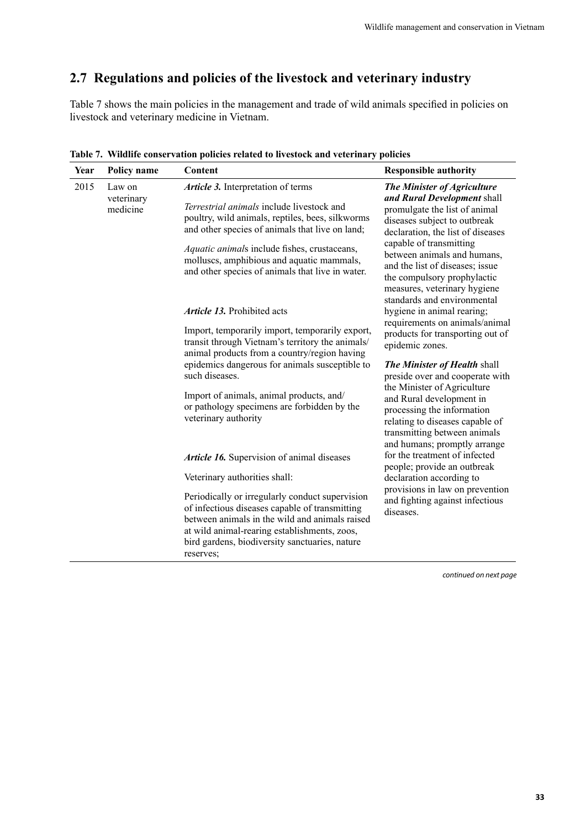### <span id="page-40-0"></span>**2.7 Regulations and policies of the livestock and veterinary industry**

Table 7 shows the main policies in the management and trade of wild animals specified in policies on livestock and veterinary medicine in Vietnam.

| Year | Policy name                      | Content                                                                                                                                                                                                                                                                                                                                 | <b>Responsible authority</b>                                                                                                                                                                                                                                                                                                                                |
|------|----------------------------------|-----------------------------------------------------------------------------------------------------------------------------------------------------------------------------------------------------------------------------------------------------------------------------------------------------------------------------------------|-------------------------------------------------------------------------------------------------------------------------------------------------------------------------------------------------------------------------------------------------------------------------------------------------------------------------------------------------------------|
| 2015 | Law on<br>veterinary<br>medicine | Article 3. Interpretation of terms<br>Terrestrial animals include livestock and<br>poultry, wild animals, reptiles, bees, silkworms<br>and other species of animals that live on land;<br>Aquatic animals include fishes, crustaceans,<br>molluscs, amphibious and aquatic mammals,<br>and other species of animals that live in water. | The Minister of Agriculture<br>and Rural Development shall<br>promulgate the list of animal<br>diseases subject to outbreak<br>declaration, the list of diseases<br>capable of transmitting<br>between animals and humans,<br>and the list of diseases; issue<br>the compulsory prophylactic<br>measures, veterinary hygiene<br>standards and environmental |
|      |                                  | Article 13. Prohibited acts                                                                                                                                                                                                                                                                                                             | hygiene in animal rearing;                                                                                                                                                                                                                                                                                                                                  |
|      |                                  | Import, temporarily import, temporarily export,<br>transit through Vietnam's territory the animals/<br>animal products from a country/region having<br>epidemics dangerous for animals susceptible to<br>such diseases.<br>Import of animals, animal products, and/                                                                     | requirements on animals/animal<br>products for transporting out of<br>epidemic zones.<br>The Minister of Health shall<br>preside over and cooperate with<br>the Minister of Agriculture<br>and Rural development in                                                                                                                                         |
|      |                                  | or pathology specimens are forbidden by the<br>veterinary authority<br>Article 16. Supervision of animal diseases                                                                                                                                                                                                                       | processing the information<br>relating to diseases capable of<br>transmitting between animals<br>and humans; promptly arrange<br>for the treatment of infected<br>people; provide an outbreak                                                                                                                                                               |
|      |                                  | Veterinary authorities shall:                                                                                                                                                                                                                                                                                                           | declaration according to                                                                                                                                                                                                                                                                                                                                    |
|      |                                  | Periodically or irregularly conduct supervision<br>of infectious diseases capable of transmitting<br>between animals in the wild and animals raised<br>at wild animal-rearing establishments, zoos,<br>bird gardens, biodiversity sanctuaries, nature<br>reserves;                                                                      | provisions in law on prevention<br>and fighting against infectious<br>diseases.                                                                                                                                                                                                                                                                             |

**Table 7. Wildlife conservation policies related to livestock and veterinary policies**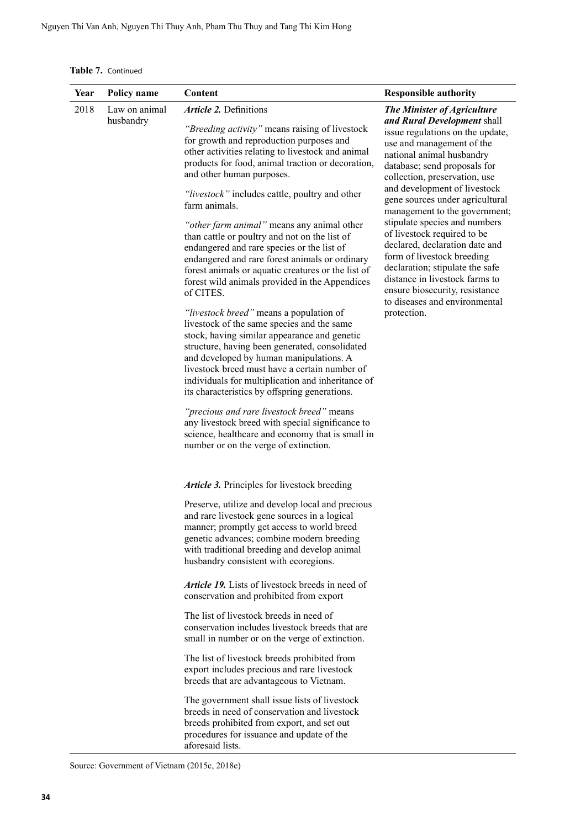**Table 7.** Continued

| Year | Policy name                           | Content                                                                                                                                                                                                                                                                                                                                                                                   | <b>Responsible authority</b>                                                                                                                                                                                                                                                                          |
|------|---------------------------------------|-------------------------------------------------------------------------------------------------------------------------------------------------------------------------------------------------------------------------------------------------------------------------------------------------------------------------------------------------------------------------------------------|-------------------------------------------------------------------------------------------------------------------------------------------------------------------------------------------------------------------------------------------------------------------------------------------------------|
| 2018 | Law on animal<br>husbandry            | <b>Article 2. Definitions</b><br>"Breeding activity" means raising of livestock<br>for growth and reproduction purposes and<br>other activities relating to livestock and animal<br>products for food, animal traction or decoration,<br>and other human purposes.<br>"livestock" includes cattle, poultry and other<br>farm animals.                                                     | The Minister of Agriculture<br>and Rural Development shall<br>issue regulations on the update,<br>use and management of the<br>national animal husbandry<br>database; send proposals for<br>collection, preservation, use<br>and development of livestock<br>gene sources under agricultural          |
|      |                                       | "other farm animal" means any animal other<br>than cattle or poultry and not on the list of<br>endangered and rare species or the list of<br>endangered and rare forest animals or ordinary<br>forest animals or aquatic creatures or the list of<br>forest wild animals provided in the Appendices<br>of CITES.                                                                          | management to the government;<br>stipulate species and numbers<br>of livestock required to be<br>declared, declaration date and<br>form of livestock breeding<br>declaration; stipulate the safe<br>distance in livestock farms to<br>ensure biosecurity, resistance<br>to diseases and environmental |
|      |                                       | "livestock breed" means a population of<br>livestock of the same species and the same<br>stock, having similar appearance and genetic<br>structure, having been generated, consolidated<br>and developed by human manipulations. A<br>livestock breed must have a certain number of<br>individuals for multiplication and inheritance of<br>its characteristics by offspring generations. | protection.                                                                                                                                                                                                                                                                                           |
|      |                                       | "precious and rare livestock breed" means<br>any livestock breed with special significance to<br>science, healthcare and economy that is small in<br>number or on the verge of extinction.                                                                                                                                                                                                |                                                                                                                                                                                                                                                                                                       |
|      |                                       | Article 3. Principles for livestock breeding                                                                                                                                                                                                                                                                                                                                              |                                                                                                                                                                                                                                                                                                       |
|      | husbandry consistent with ecoregions. | Preserve, utilize and develop local and precious<br>and rare livestock gene sources in a logical<br>manner; promptly get access to world breed<br>genetic advances; combine modern breeding<br>with traditional breeding and develop animal                                                                                                                                               |                                                                                                                                                                                                                                                                                                       |
|      |                                       | <b>Article 19.</b> Lists of livestock breeds in need of<br>conservation and prohibited from export                                                                                                                                                                                                                                                                                        |                                                                                                                                                                                                                                                                                                       |
|      |                                       | The list of livestock breeds in need of<br>conservation includes livestock breeds that are<br>small in number or on the verge of extinction.                                                                                                                                                                                                                                              |                                                                                                                                                                                                                                                                                                       |
|      |                                       | The list of livestock breeds prohibited from<br>export includes precious and rare livestock<br>breeds that are advantageous to Vietnam.                                                                                                                                                                                                                                                   |                                                                                                                                                                                                                                                                                                       |
|      |                                       | The government shall issue lists of livestock<br>breeds in need of conservation and livestock<br>breeds prohibited from export, and set out<br>procedures for issuance and update of the<br>aforesaid lists.                                                                                                                                                                              |                                                                                                                                                                                                                                                                                                       |

Source: Government of Vietnam (2015c, 2018e)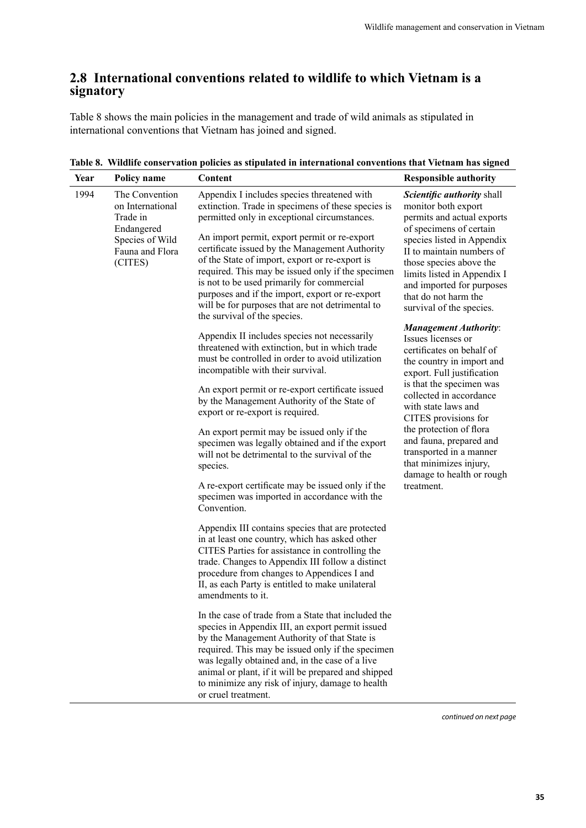#### <span id="page-42-0"></span>**2.8 International conventions related to wildlife to which Vietnam is a signatory**

Table 8 shows the main policies in the management and trade of wild animals as stipulated in international conventions that Vietnam has joined and signed.

| Year | Policy name                                                                                                   | Content                                                                                                                                                                                                                                                                                                                                                                                                                                                                                                                                         | <b>Responsible authority</b>                                                                                                                                                                                                                                                                                     |
|------|---------------------------------------------------------------------------------------------------------------|-------------------------------------------------------------------------------------------------------------------------------------------------------------------------------------------------------------------------------------------------------------------------------------------------------------------------------------------------------------------------------------------------------------------------------------------------------------------------------------------------------------------------------------------------|------------------------------------------------------------------------------------------------------------------------------------------------------------------------------------------------------------------------------------------------------------------------------------------------------------------|
| 1994 | The Convention<br>on International<br>Trade in<br>Endangered<br>Species of Wild<br>Fauna and Flora<br>(CITES) | Appendix I includes species threatened with<br>extinction. Trade in specimens of these species is<br>permitted only in exceptional circumstances.<br>An import permit, export permit or re-export<br>certificate issued by the Management Authority<br>of the State of import, export or re-export is<br>required. This may be issued only if the specimen<br>is not to be used primarily for commercial<br>purposes and if the import, export or re-export<br>will be for purposes that are not detrimental to<br>the survival of the species. | Scientific authority shall<br>monitor both export<br>permits and actual exports<br>of specimens of certain<br>species listed in Appendix<br>II to maintain numbers of<br>those species above the<br>limits listed in Appendix I<br>and imported for purposes<br>that do not harm the<br>survival of the species. |
|      |                                                                                                               | Appendix II includes species not necessarily<br>threatened with extinction, but in which trade<br>must be controlled in order to avoid utilization<br>incompatible with their survival.                                                                                                                                                                                                                                                                                                                                                         | <b>Management Authority:</b><br>Issues licenses or<br>certificates on behalf of<br>the country in import and<br>export. Full justification                                                                                                                                                                       |
|      |                                                                                                               | An export permit or re-export certificate issued<br>by the Management Authority of the State of<br>export or re-export is required.                                                                                                                                                                                                                                                                                                                                                                                                             | is that the specimen was<br>collected in accordance<br>with state laws and<br>CITES provisions for                                                                                                                                                                                                               |
|      |                                                                                                               | An export permit may be issued only if the<br>specimen was legally obtained and if the export<br>will not be detrimental to the survival of the<br>species.                                                                                                                                                                                                                                                                                                                                                                                     | the protection of flora<br>and fauna, prepared and<br>transported in a manner<br>that minimizes injury,<br>damage to health or rough                                                                                                                                                                             |
|      |                                                                                                               | A re-export certificate may be issued only if the<br>specimen was imported in accordance with the<br>Convention.                                                                                                                                                                                                                                                                                                                                                                                                                                | treatment.                                                                                                                                                                                                                                                                                                       |
|      |                                                                                                               | Appendix III contains species that are protected<br>in at least one country, which has asked other<br>CITES Parties for assistance in controlling the<br>trade. Changes to Appendix III follow a distinct<br>procedure from changes to Appendices I and<br>II, as each Party is entitled to make unilateral<br>amendments to it.                                                                                                                                                                                                                |                                                                                                                                                                                                                                                                                                                  |
|      |                                                                                                               | In the case of trade from a State that included the<br>species in Appendix III, an export permit issued<br>by the Management Authority of that State is<br>required. This may be issued only if the specimen<br>was legally obtained and, in the case of a live<br>animal or plant, if it will be prepared and shipped<br>to minimize any risk of injury, damage to health<br>or cruel treatment.                                                                                                                                               |                                                                                                                                                                                                                                                                                                                  |

**Table 8. Wildlife conservation policies as stipulated in international conventions that Vietnam has signed**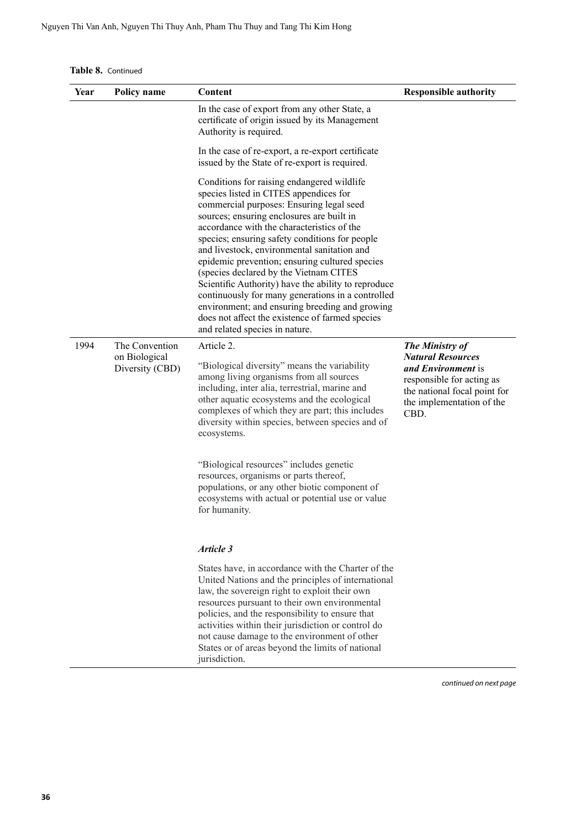|  |  | Table 8. Continued |
|--|--|--------------------|
|--|--|--------------------|

| Year | Policy name                                        | Content                                                                                                                                                                                                                                                                                                                                                                                                                                                                                                                                                                                                                                                                     | <b>Responsible authority</b>                                                                                                                                        |
|------|----------------------------------------------------|-----------------------------------------------------------------------------------------------------------------------------------------------------------------------------------------------------------------------------------------------------------------------------------------------------------------------------------------------------------------------------------------------------------------------------------------------------------------------------------------------------------------------------------------------------------------------------------------------------------------------------------------------------------------------------|---------------------------------------------------------------------------------------------------------------------------------------------------------------------|
|      |                                                    | In the case of export from any other State, a<br>certificate of origin issued by its Management<br>Authority is required.                                                                                                                                                                                                                                                                                                                                                                                                                                                                                                                                                   |                                                                                                                                                                     |
|      |                                                    | In the case of re-export, a re-export certificate<br>issued by the State of re-export is required.                                                                                                                                                                                                                                                                                                                                                                                                                                                                                                                                                                          |                                                                                                                                                                     |
|      |                                                    | Conditions for raising endangered wildlife<br>species listed in CITES appendices for<br>commercial purposes: Ensuring legal seed<br>sources; ensuring enclosures are built in<br>accordance with the characteristics of the<br>species; ensuring safety conditions for people<br>and livestock, environmental sanitation and<br>epidemic prevention; ensuring cultured species<br>(species declared by the Vietnam CITES<br>Scientific Authority) have the ability to reproduce<br>continuously for many generations in a controlled<br>environment; and ensuring breeding and growing<br>does not affect the existence of farmed species<br>and related species in nature. |                                                                                                                                                                     |
| 1994 | The Convention<br>on Biological<br>Diversity (CBD) | Article 2.<br>"Biological diversity" means the variability<br>among living organisms from all sources<br>including, inter alia, terrestrial, marine and<br>other aquatic ecosystems and the ecological<br>complexes of which they are part; this includes<br>diversity within species, between species and of<br>ecosystems.                                                                                                                                                                                                                                                                                                                                                | The Ministry of<br><b>Natural Resources</b><br>and Environment is<br>responsible for acting as<br>the national focal point for<br>the implementation of the<br>CBD. |
|      |                                                    | "Biological resources" includes genetic<br>resources, organisms or parts thereof,<br>populations, or any other biotic component of<br>ecosystems with actual or potential use or value<br>for humanity.                                                                                                                                                                                                                                                                                                                                                                                                                                                                     |                                                                                                                                                                     |
|      |                                                    | Article 3                                                                                                                                                                                                                                                                                                                                                                                                                                                                                                                                                                                                                                                                   |                                                                                                                                                                     |
|      |                                                    | States have, in accordance with the Charter of the<br>United Nations and the principles of international<br>law, the sovereign right to exploit their own<br>resources pursuant to their own environmental<br>policies, and the responsibility to ensure that<br>activities within their jurisdiction or control do<br>not cause damage to the environment of other<br>States or of areas beyond the limits of national<br>jurisdiction.                                                                                                                                                                                                                                    |                                                                                                                                                                     |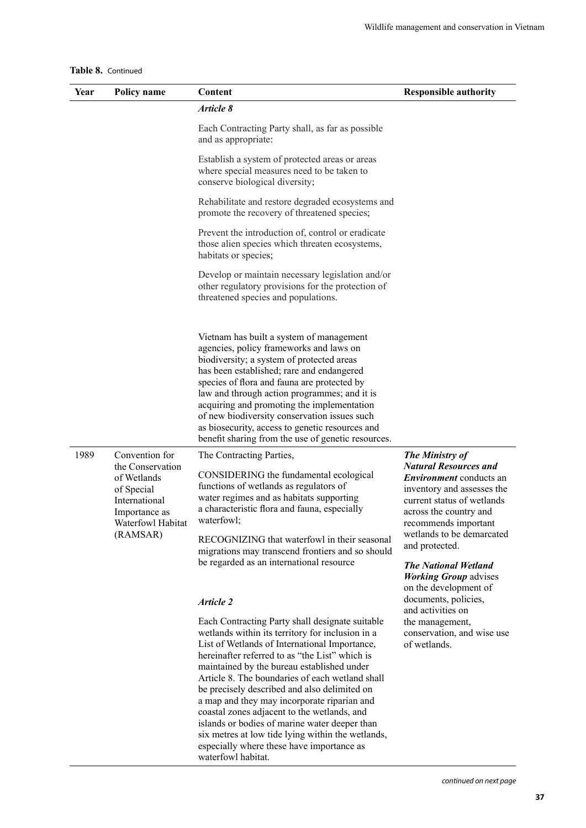|  |  | Table 8. Continued |
|--|--|--------------------|
|--|--|--------------------|

| <b>Policy name</b>                                                                                                                 | Content                                                                                                                                                                                                                                                                                                                                                                                                                                                                                                                                                                                                                                                                                        | <b>Responsible authority</b>                                                                                                                                                                                                                                                                                                                                                                                                                                |
|------------------------------------------------------------------------------------------------------------------------------------|------------------------------------------------------------------------------------------------------------------------------------------------------------------------------------------------------------------------------------------------------------------------------------------------------------------------------------------------------------------------------------------------------------------------------------------------------------------------------------------------------------------------------------------------------------------------------------------------------------------------------------------------------------------------------------------------|-------------------------------------------------------------------------------------------------------------------------------------------------------------------------------------------------------------------------------------------------------------------------------------------------------------------------------------------------------------------------------------------------------------------------------------------------------------|
|                                                                                                                                    | Article 8                                                                                                                                                                                                                                                                                                                                                                                                                                                                                                                                                                                                                                                                                      |                                                                                                                                                                                                                                                                                                                                                                                                                                                             |
|                                                                                                                                    | Each Contracting Party shall, as far as possible<br>and as appropriate:                                                                                                                                                                                                                                                                                                                                                                                                                                                                                                                                                                                                                        |                                                                                                                                                                                                                                                                                                                                                                                                                                                             |
|                                                                                                                                    | Establish a system of protected areas or areas<br>where special measures need to be taken to<br>conserve biological diversity;                                                                                                                                                                                                                                                                                                                                                                                                                                                                                                                                                                 |                                                                                                                                                                                                                                                                                                                                                                                                                                                             |
|                                                                                                                                    | Rehabilitate and restore degraded ecosystems and<br>promote the recovery of threatened species;                                                                                                                                                                                                                                                                                                                                                                                                                                                                                                                                                                                                |                                                                                                                                                                                                                                                                                                                                                                                                                                                             |
|                                                                                                                                    | Prevent the introduction of, control or eradicate<br>those alien species which threaten ecosystems,<br>habitats or species;                                                                                                                                                                                                                                                                                                                                                                                                                                                                                                                                                                    |                                                                                                                                                                                                                                                                                                                                                                                                                                                             |
|                                                                                                                                    | Develop or maintain necessary legislation and/or<br>other regulatory provisions for the protection of<br>threatened species and populations.                                                                                                                                                                                                                                                                                                                                                                                                                                                                                                                                                   |                                                                                                                                                                                                                                                                                                                                                                                                                                                             |
|                                                                                                                                    | Vietnam has built a system of management<br>agencies, policy frameworks and laws on<br>biodiversity; a system of protected areas<br>has been established; rare and endangered<br>species of flora and fauna are protected by<br>law and through action programmes; and it is<br>acquiring and promoting the implementation<br>of new biodiversity conservation issues such<br>as biosecurity, access to genetic resources and<br>benefit sharing from the use of genetic resources.                                                                                                                                                                                                            |                                                                                                                                                                                                                                                                                                                                                                                                                                                             |
| Convention for<br>the Conservation<br>of Wetlands<br>of Special<br>International<br>Importance as<br>Waterfowl Habitat<br>(RAMSAR) | The Contracting Parties,<br>CONSIDERING the fundamental ecological<br>functions of wetlands as regulators of<br>water regimes and as habitats supporting<br>a characteristic flora and fauna, especially<br>waterfowl;<br>RECOGNIZING that waterfowl in their seasonal<br>migrations may transcend frontiers and so should<br>be regarded as an international resource<br>Article 2<br>Each Contracting Party shall designate suitable<br>wetlands within its territory for inclusion in a<br>List of Wetlands of International Importance,<br>hereinafter referred to as "the List" which is<br>maintained by the bureau established under<br>Article 8. The boundaries of each wetland shall | <b>The Ministry of</b><br><b>Natural Resources and</b><br><i>Environment</i> conducts an<br>inventory and assesses the<br>current status of wetlands<br>across the country and<br>recommends important<br>wetlands to be demarcated<br>and protected.<br><b>The National Wetland</b><br><b>Working Group advises</b><br>on the development of<br>documents, policies,<br>and activities on<br>the management,<br>conservation, and wise use<br>of wetlands. |
|                                                                                                                                    |                                                                                                                                                                                                                                                                                                                                                                                                                                                                                                                                                                                                                                                                                                | be precisely described and also delimited on                                                                                                                                                                                                                                                                                                                                                                                                                |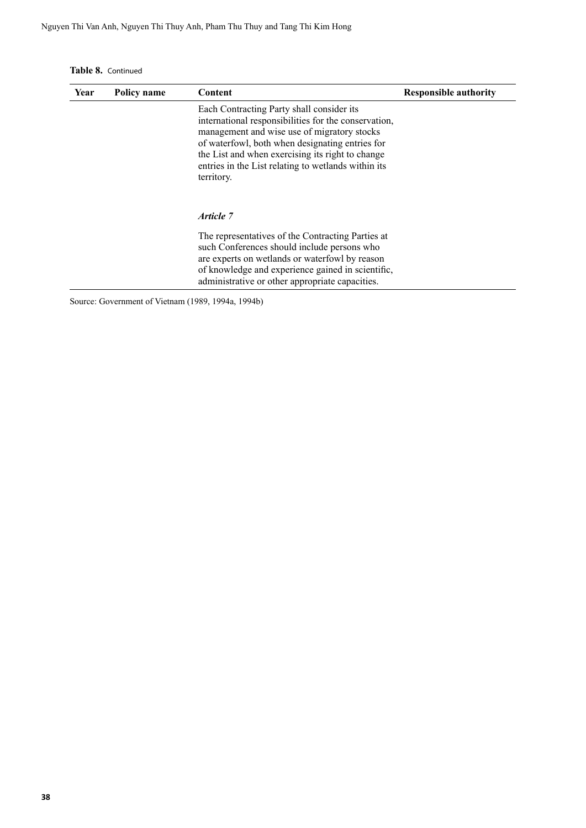**Table 8.** Continued

| Year | Policy name | Content                                                                                                                                                                                                                                                                                                                      | <b>Responsible authority</b> |
|------|-------------|------------------------------------------------------------------------------------------------------------------------------------------------------------------------------------------------------------------------------------------------------------------------------------------------------------------------------|------------------------------|
|      |             | Each Contracting Party shall consider its<br>international responsibilities for the conservation,<br>management and wise use of migratory stocks<br>of waterfowl, both when designating entries for<br>the List and when exercising its right to change<br>entries in the List relating to wetlands within its<br>territory. |                              |
|      |             | Article 7                                                                                                                                                                                                                                                                                                                    |                              |
|      |             | The representatives of the Contracting Parties at<br>such Conferences should include persons who<br>are experts on wetlands or waterfowl by reason<br>of knowledge and experience gained in scientific,<br>administrative or other appropriate capacities.                                                                   |                              |

Source: Government of Vietnam (1989, 1994a, 1994b)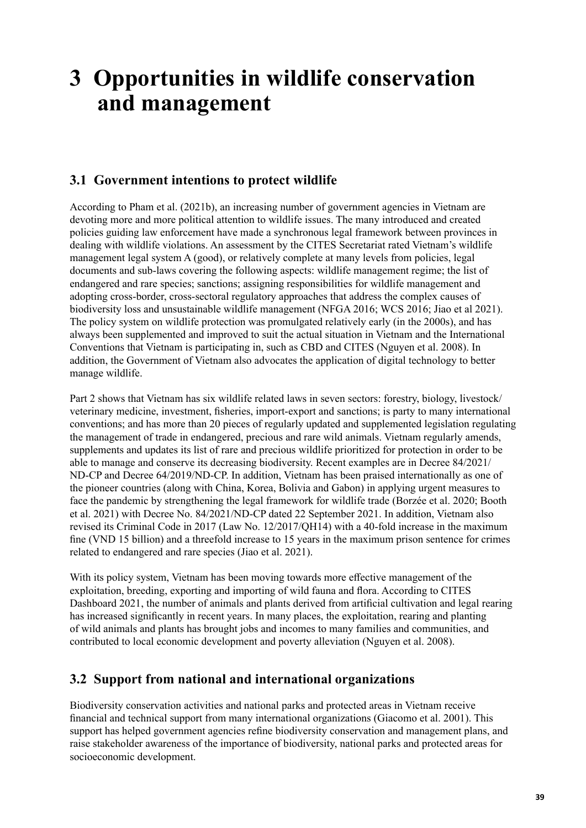## <span id="page-46-0"></span>**3 Opportunities in wildlife conservation and management**

#### **3.1 Government intentions to protect wildlife**

According to Pham et al. (2021b), an increasing number of government agencies in Vietnam are devoting more and more political attention to wildlife issues. The many introduced and created policies guiding law enforcement have made a synchronous legal framework between provinces in dealing with wildlife violations. An assessment by the CITES Secretariat rated Vietnam's wildlife management legal system A (good), or relatively complete at many levels from policies, legal documents and sub-laws covering the following aspects: wildlife management regime; the list of endangered and rare species; sanctions; assigning responsibilities for wildlife management and adopting cross-border, cross-sectoral regulatory approaches that address the complex causes of biodiversity loss and unsustainable wildlife management (NFGA 2016; WCS 2016; Jiao et al 2021). The policy system on wildlife protection was promulgated relatively early (in the 2000s), and has always been supplemented and improved to suit the actual situation in Vietnam and the International Conventions that Vietnam is participating in, such as CBD and CITES (Nguyen et al. 2008). In addition, the Government of Vietnam also advocates the application of digital technology to better manage wildlife.

Part 2 shows that Vietnam has six wildlife related laws in seven sectors: forestry, biology, livestock/ veterinary medicine, investment, fisheries, import-export and sanctions; is party to many international conventions; and has more than 20 pieces of regularly updated and supplemented legislation regulating the management of trade in endangered, precious and rare wild animals. Vietnam regularly amends, supplements and updates its list of rare and precious wildlife prioritized for protection in order to be able to manage and conserve its decreasing biodiversity. Recent examples are in Decree 84/2021/ ND-CP and Decree 64/2019/ND-CP. In addition, Vietnam has been praised internationally as one of the pioneer countries (along with China, Korea, Bolivia and Gabon) in applying urgent measures to face the pandemic by strengthening the legal framework for wildlife trade (Borzée et al. 2020; Booth et al. 2021) with Decree No. 84/2021/ND-CP dated 22 September 2021. In addition, Vietnam also revised its Criminal Code in 2017 (Law No. 12/2017/QH14) with a 40-fold increase in the maximum fine (VND 15 billion) and a threefold increase to 15 years in the maximum prison sentence for crimes related to endangered and rare species (Jiao et al. 2021).

With its policy system, Vietnam has been moving towards more effective management of the exploitation, breeding, exporting and importing of wild fauna and flora. According to CITES Dashboard 2021, the number of animals and plants derived from artificial cultivation and legal rearing has increased significantly in recent years. In many places, the exploitation, rearing and planting of wild animals and plants has brought jobs and incomes to many families and communities, and contributed to local economic development and poverty alleviation (Nguyen et al. 2008).

#### **3.2 Support from national and international organizations**

Biodiversity conservation activities and national parks and protected areas in Vietnam receive financial and technical support from many international organizations (Giacomo et al. 2001). This support has helped government agencies refine biodiversity conservation and management plans, and raise stakeholder awareness of the importance of biodiversity, national parks and protected areas for socioeconomic development.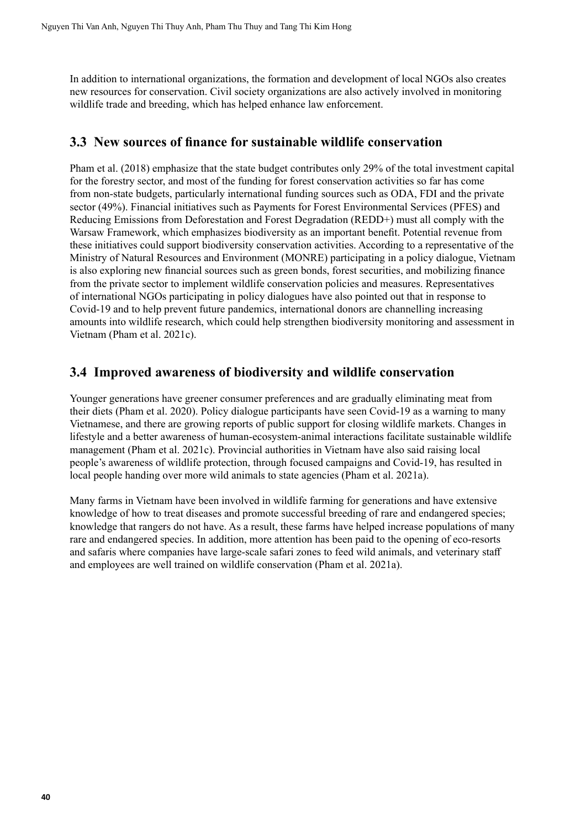<span id="page-47-0"></span>In addition to international organizations, the formation and development of local NGOs also creates new resources for conservation. Civil society organizations are also actively involved in monitoring wildlife trade and breeding, which has helped enhance law enforcement.

#### **3.3 New sources of finance for sustainable wildlife conservation**

Pham et al. (2018) emphasize that the state budget contributes only 29% of the total investment capital for the forestry sector, and most of the funding for forest conservation activities so far has come from non-state budgets, particularly international funding sources such as ODA, FDI and the private sector (49%). Financial initiatives such as Payments for Forest Environmental Services (PFES) and Reducing Emissions from Deforestation and Forest Degradation (REDD+) must all comply with the Warsaw Framework, which emphasizes biodiversity as an important benefit. Potential revenue from these initiatives could support biodiversity conservation activities. According to a representative of the Ministry of Natural Resources and Environment (MONRE) participating in a policy dialogue, Vietnam is also exploring new financial sources such as green bonds, forest securities, and mobilizing finance from the private sector to implement wildlife conservation policies and measures. Representatives of international NGOs participating in policy dialogues have also pointed out that in response to Covid-19 and to help prevent future pandemics, international donors are channelling increasing amounts into wildlife research, which could help strengthen biodiversity monitoring and assessment in Vietnam (Pham et al. 2021c).

#### **3.4 Improved awareness of biodiversity and wildlife conservation**

Younger generations have greener consumer preferences and are gradually eliminating meat from their diets (Pham et al. 2020). Policy dialogue participants have seen Covid-19 as a warning to many Vietnamese, and there are growing reports of public support for closing wildlife markets. Changes in lifestyle and a better awareness of human-ecosystem-animal interactions facilitate sustainable wildlife management (Pham et al. 2021c). Provincial authorities in Vietnam have also said raising local people's awareness of wildlife protection, through focused campaigns and Covid-19, has resulted in local people handing over more wild animals to state agencies (Pham et al. 2021a).

Many farms in Vietnam have been involved in wildlife farming for generations and have extensive knowledge of how to treat diseases and promote successful breeding of rare and endangered species; knowledge that rangers do not have. As a result, these farms have helped increase populations of many rare and endangered species. In addition, more attention has been paid to the opening of eco-resorts and safaris where companies have large-scale safari zones to feed wild animals, and veterinary staff and employees are well trained on wildlife conservation (Pham et al. 2021a).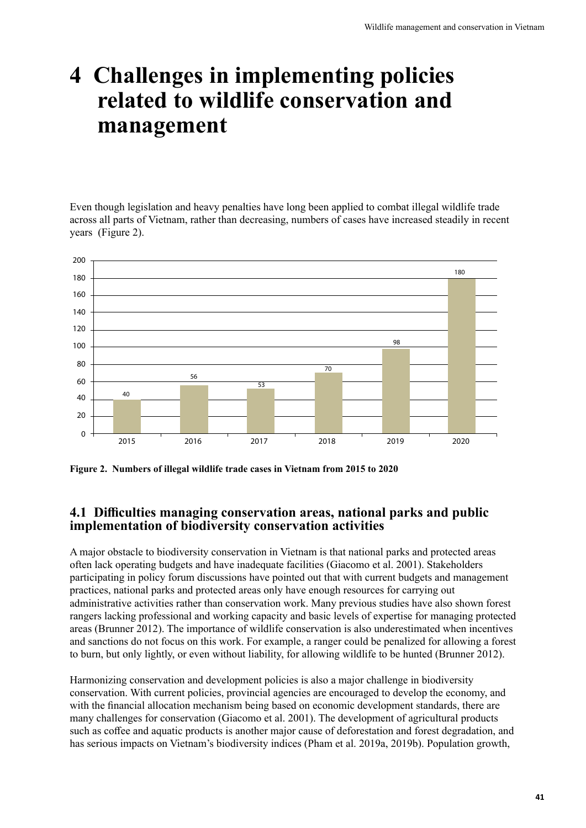## <span id="page-48-0"></span>**4 Challenges in implementing policies related to wildlife conservation and management**

Even though legislation and heavy penalties have long been applied to combat illegal wildlife trade across all parts of Vietnam, rather than decreasing, numbers of cases have increased steadily in recent years (Figure 2).



**Figure 2. Numbers of illegal wildlife trade cases in Vietnam from 2015 to 2020**

#### **4.1 Difficulties managing conservation areas, national parks and public implementation of biodiversity conservation activities**

A major obstacle to biodiversity conservation in Vietnam is that national parks and protected areas often lack operating budgets and have inadequate facilities (Giacomo et al. 2001). Stakeholders participating in policy forum discussions have pointed out that with current budgets and management practices, national parks and protected areas only have enough resources for carrying out administrative activities rather than conservation work. Many previous studies have also shown forest rangers lacking professional and working capacity and basic levels of expertise for managing protected areas (Brunner 2012). The importance of wildlife conservation is also underestimated when incentives and sanctions do not focus on this work. For example, a ranger could be penalized for allowing a forest to burn, but only lightly, or even without liability, for allowing wildlife to be hunted (Brunner 2012).

Harmonizing conservation and development policies is also a major challenge in biodiversity conservation. With current policies, provincial agencies are encouraged to develop the economy, and with the financial allocation mechanism being based on economic development standards, there are many challenges for conservation (Giacomo et al. 2001). The development of agricultural products such as coffee and aquatic products is another major cause of deforestation and forest degradation, and has serious impacts on Vietnam's biodiversity indices (Pham et al. 2019a, 2019b). Population growth,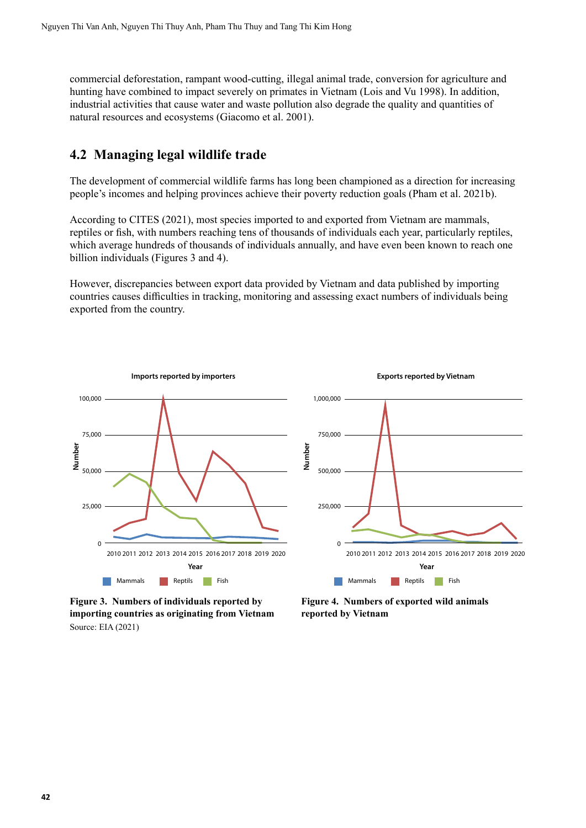<span id="page-49-0"></span>commercial deforestation, rampant wood-cutting, illegal animal trade, conversion for agriculture and hunting have combined to impact severely on primates in Vietnam (Lois and Vu 1998). In addition, industrial activities that cause water and waste pollution also degrade the quality and quantities of natural resources and ecosystems (Giacomo et al. 2001).

#### **4.2 Managing legal wildlife trade**

The development of commercial wildlife farms has long been championed as a direction for increasing people's incomes and helping provinces achieve their poverty reduction goals (Pham et al. 2021b).

According to CITES (2021), most species imported to and exported from Vietnam are mammals, reptiles or fish, with numbers reaching tens of thousands of individuals each year, particularly reptiles, which average hundreds of thousands of individuals annually, and have even been known to reach one billion individuals (Figures 3 and 4).

However, discrepancies between export data provided by Vietnam and data published by importing countries causes difficulties in tracking, monitoring and assessing exact numbers of individuals being exported from the country.





**Figure 4. Numbers of exported wild animals reported by Vietnam**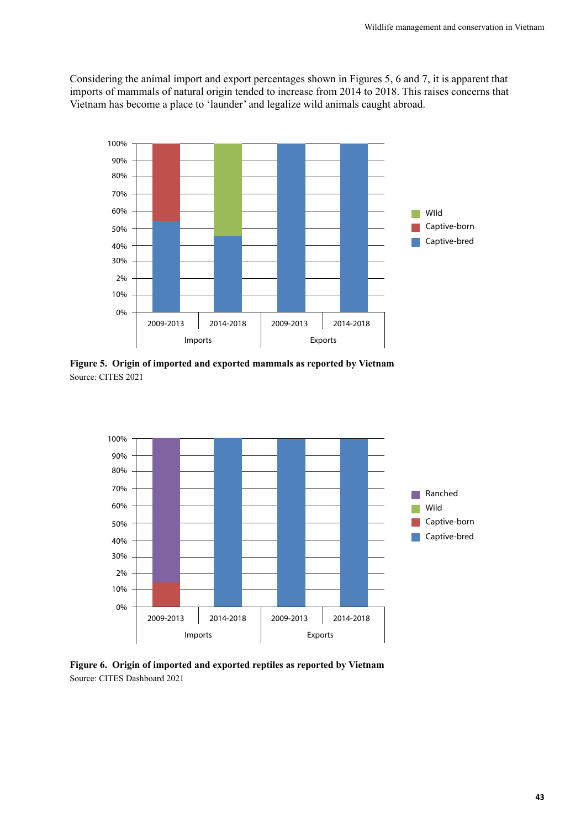<span id="page-50-0"></span>Considering the animal import and export percentages shown in Figures 5, 6 and 7, it is apparent that imports of mammals of natural origin tended to increase from 2014 to 2018. This raises concerns that Vietnam has become a place to 'launder' and legalize wild animals caught abroad.



**Figure 5. Origin of imported and exported mammals as reported by Vietnam** Source: CITES 2021



**Figure 6. Origin of imported and exported reptiles as reported by Vietnam** Source: CITES Dashboard 2021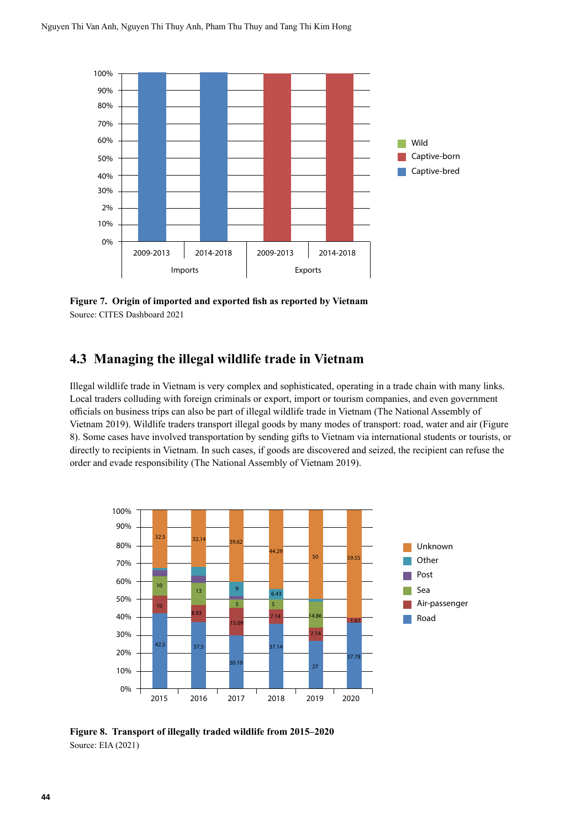<span id="page-51-0"></span>

**Figure 7. Origin of imported and exported fish as reported by Vietnam** Source: CITES Dashboard 2021

#### **4.3 Managing the illegal wildlife trade in Vietnam**

Illegal wildlife trade in Vietnam is very complex and sophisticated, operating in a trade chain with many links. Local traders colluding with foreign criminals or export, import or tourism companies, and even government officials on business trips can also be part of illegal wildlife trade in Vietnam (The National Assembly of Vietnam 2019). Wildlife traders transport illegal goods by many modes of transport: road, water and air (Figure 8). Some cases have involved transportation by sending gifts to Vietnam via international students or tourists, or directly to recipients in Vietnam. In such cases, if goods are discovered and seized, the recipient can refuse the order and evade responsibility (The National Assembly of Vietnam 2019).



**Figure 8. Transport of illegally traded wildlife from 2015–2020** Source: EIA (2021)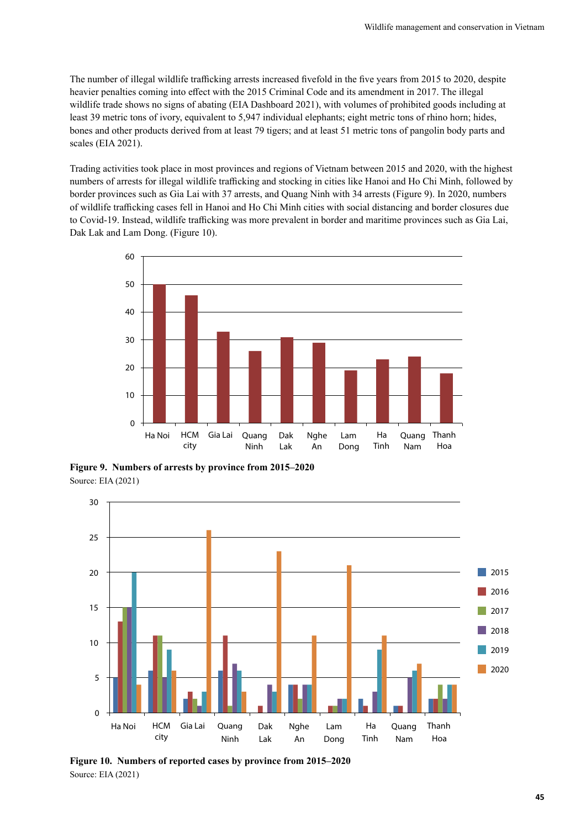<span id="page-52-0"></span>The number of illegal wildlife trafficking arrests increased fivefold in the five years from 2015 to 2020, despite heavier penalties coming into effect with the 2015 Criminal Code and its amendment in 2017. The illegal wildlife trade shows no signs of abating (EIA Dashboard 2021), with volumes of prohibited goods including at least 39 metric tons of ivory, equivalent to 5,947 individual elephants; eight metric tons of rhino horn; hides, bones and other products derived from at least 79 tigers; and at least 51 metric tons of pangolin body parts and scales (EIA 2021).

Trading activities took place in most provinces and regions of Vietnam between 2015 and 2020, with the highest numbers of arrests for illegal wildlife trafficking and stocking in cities like Hanoi and Ho Chi Minh, followed by border provinces such as Gia Lai with 37 arrests, and Quang Ninh with 34 arrests (Figure 9). In 2020, numbers of wildlife trafficking cases fell in Hanoi and Ho Chi Minh cities with social distancing and border closures due to Covid-19. Instead, wildlife trafficking was more prevalent in border and maritime provinces such as Gia Lai, Dak Lak and Lam Dong. (Figure 10).



**Figure 9. Numbers of arrests by province from 2015–2020** Source: EIA (2021)



**Figure 10. Numbers of reported cases by province from 2015–2020** Source: EIA (2021)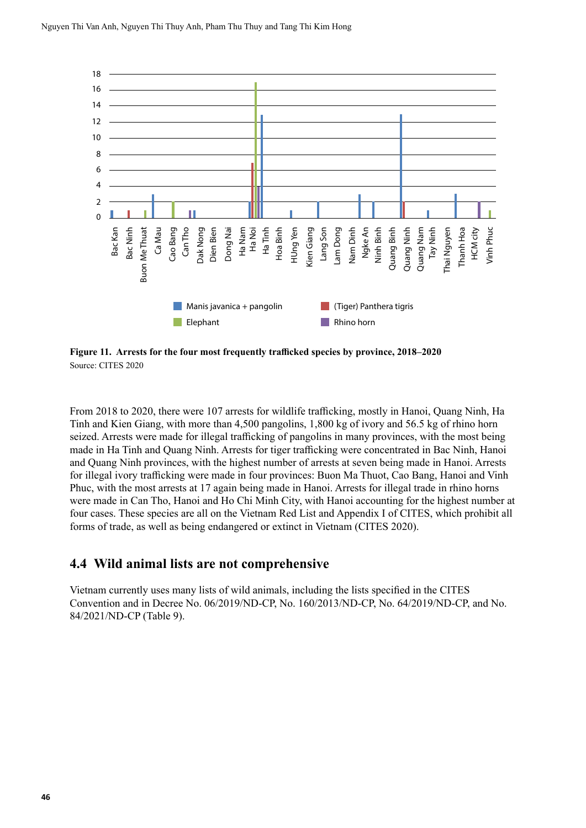<span id="page-53-0"></span>

**Figure 11. Arrests for the four most frequently trafficked species by province, 2018–2020** Source: CITES 2020

From 2018 to 2020, there were 107 arrests for wildlife trafficking, mostly in Hanoi, Quang Ninh, Ha Tinh and Kien Giang, with more than 4,500 pangolins, 1,800 kg of ivory and 56.5 kg of rhino horn seized. Arrests were made for illegal trafficking of pangolins in many provinces, with the most being made in Ha Tinh and Quang Ninh. Arrests for tiger trafficking were concentrated in Bac Ninh, Hanoi and Quang Ninh provinces, with the highest number of arrests at seven being made in Hanoi. Arrests for illegal ivory trafficking were made in four provinces: Buon Ma Thuot, Cao Bang, Hanoi and Vinh Phuc, with the most arrests at 17 again being made in Hanoi. Arrests for illegal trade in rhino horns were made in Can Tho, Hanoi and Ho Chi Minh City, with Hanoi accounting for the highest number at four cases. These species are all on the Vietnam Red List and Appendix I of CITES, which prohibit all forms of trade, as well as being endangered or extinct in Vietnam (CITES 2020).

#### **4.4 Wild animal lists are not comprehensive**

Vietnam currently uses many lists of wild animals, including the lists specified in the CITES Convention and in Decree No. 06/2019/ND-CP, No. 160/2013/ND-CP, No. 64/2019/ND-CP, and No. 84/2021/ND-CP (Table 9).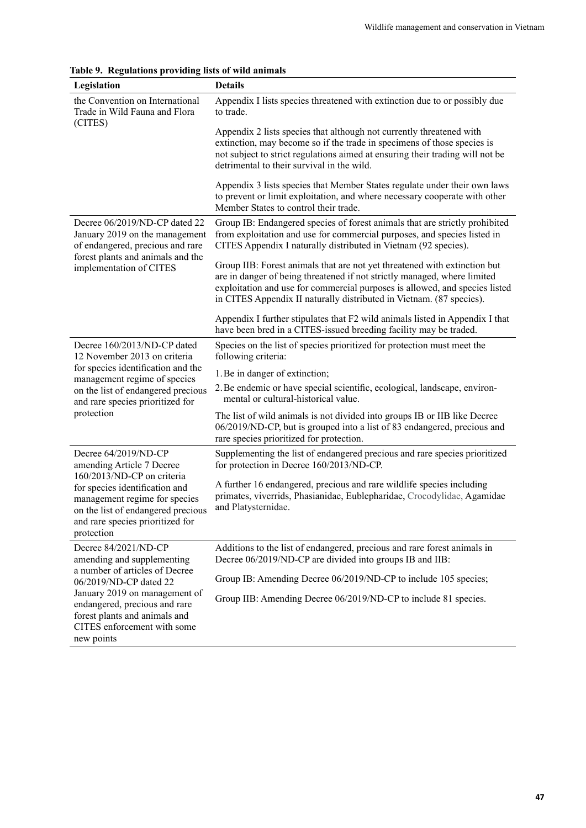<span id="page-54-0"></span>

|  | Table 9. Regulations providing lists of wild animals |  |
|--|------------------------------------------------------|--|
|  |                                                      |  |

| Legislation                                                                                                                                                                           | <b>Details</b>                                                                                                                                                                                                                                                                                               |
|---------------------------------------------------------------------------------------------------------------------------------------------------------------------------------------|--------------------------------------------------------------------------------------------------------------------------------------------------------------------------------------------------------------------------------------------------------------------------------------------------------------|
| the Convention on International<br>Trade in Wild Fauna and Flora<br>(CITES)                                                                                                           | Appendix I lists species threatened with extinction due to or possibly due<br>to trade.                                                                                                                                                                                                                      |
|                                                                                                                                                                                       | Appendix 2 lists species that although not currently threatened with<br>extinction, may become so if the trade in specimens of those species is<br>not subject to strict regulations aimed at ensuring their trading will not be<br>detrimental to their survival in the wild.                               |
|                                                                                                                                                                                       | Appendix 3 lists species that Member States regulate under their own laws<br>to prevent or limit exploitation, and where necessary cooperate with other<br>Member States to control their trade.                                                                                                             |
| Decree 06/2019/ND-CP dated 22<br>January 2019 on the management<br>of endangered, precious and rare                                                                                   | Group IB: Endangered species of forest animals that are strictly prohibited<br>from exploitation and use for commercial purposes, and species listed in<br>CITES Appendix I naturally distributed in Vietnam (92 species).                                                                                   |
| forest plants and animals and the<br>implementation of CITES                                                                                                                          | Group IIB: Forest animals that are not yet threatened with extinction but<br>are in danger of being threatened if not strictly managed, where limited<br>exploitation and use for commercial purposes is allowed, and species listed<br>in CITES Appendix II naturally distributed in Vietnam. (87 species). |
|                                                                                                                                                                                       | Appendix I further stipulates that F2 wild animals listed in Appendix I that<br>have been bred in a CITES-issued breeding facility may be traded.                                                                                                                                                            |
| Decree 160/2013/ND-CP dated<br>12 November 2013 on criteria                                                                                                                           | Species on the list of species prioritized for protection must meet the<br>following criteria:                                                                                                                                                                                                               |
| for species identification and the<br>management regime of species                                                                                                                    | 1. Be in danger of extinction;                                                                                                                                                                                                                                                                               |
| on the list of endangered precious<br>and rare species prioritized for                                                                                                                | 2. Be endemic or have special scientific, ecological, landscape, environ-<br>mental or cultural-historical value.                                                                                                                                                                                            |
| protection                                                                                                                                                                            | The list of wild animals is not divided into groups IB or IIB like Decree<br>06/2019/ND-CP, but is grouped into a list of 83 endangered, precious and<br>rare species prioritized for protection.                                                                                                            |
| Decree 64/2019/ND-CP<br>amending Article 7 Decree                                                                                                                                     | Supplementing the list of endangered precious and rare species prioritized<br>for protection in Decree 160/2013/ND-CP.                                                                                                                                                                                       |
| 160/2013/ND-CP on criteria<br>for species identification and<br>management regime for species<br>on the list of endangered precious<br>and rare species prioritized for<br>protection | A further 16 endangered, precious and rare wildlife species including<br>primates, viverrids, Phasianidae, Eublepharidae, Crocodylidae, Agamidae<br>and Platysternidae.                                                                                                                                      |
| Decree 84/2021/ND-CP<br>amending and supplementing                                                                                                                                    | Additions to the list of endangered, precious and rare forest animals in<br>Decree 06/2019/ND-CP are divided into groups IB and IIB:                                                                                                                                                                         |
| a number of articles of Decree<br>06/2019/ND-CP dated 22                                                                                                                              | Group IB: Amending Decree 06/2019/ND-CP to include 105 species;                                                                                                                                                                                                                                              |
| January 2019 on management of<br>endangered, precious and rare<br>forest plants and animals and<br>CITES enforcement with some<br>new points                                          | Group IIB: Amending Decree 06/2019/ND-CP to include 81 species.                                                                                                                                                                                                                                              |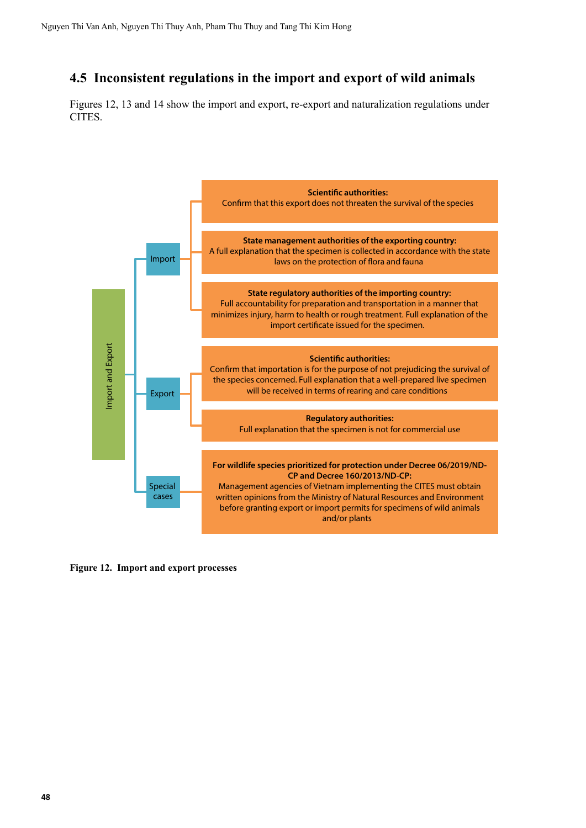### <span id="page-55-0"></span>**4.5 Inconsistent regulations in the import and export of wild animals**

Figures 12, 13 and 14 show the import and export, re-export and naturalization regulations under CITES.



**Figure 12. Import and export processes**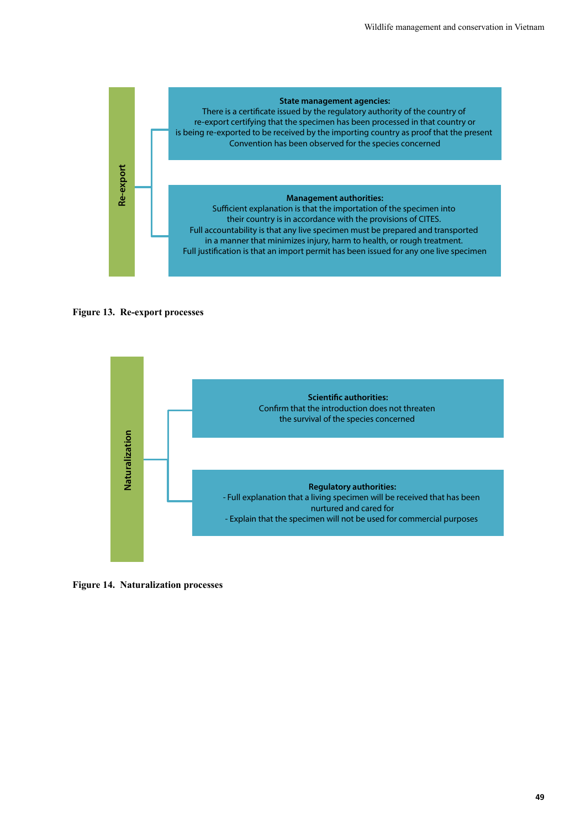<span id="page-56-0"></span>





**Figure 14. Naturalization processes**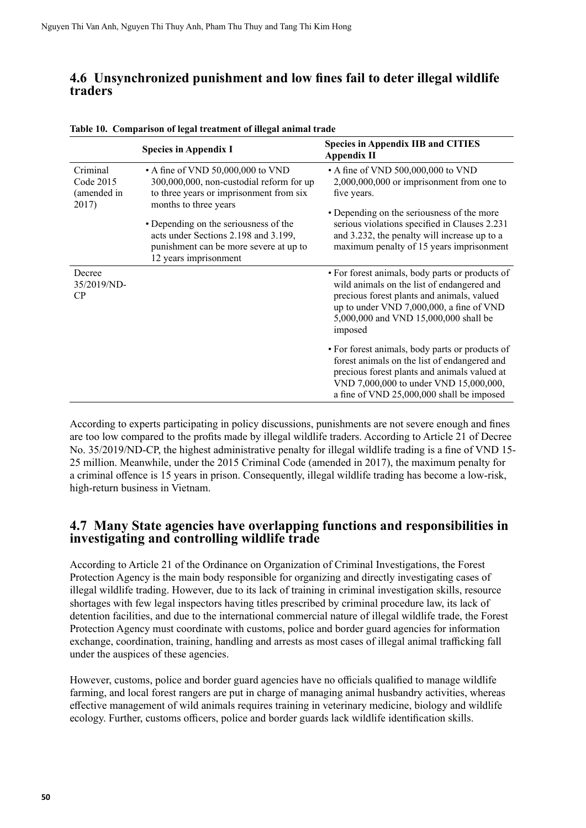#### <span id="page-57-0"></span>**4.6 Unsynchronized punishment and low fines fail to deter illegal wildlife traders**

|                                               | <b>Species in Appendix I</b>                                                                                                                      | <b>Species in Appendix IIB and CITIES</b><br>Appendix II                                                                                                                                                                                    |
|-----------------------------------------------|---------------------------------------------------------------------------------------------------------------------------------------------------|---------------------------------------------------------------------------------------------------------------------------------------------------------------------------------------------------------------------------------------------|
| Criminal<br>Code 2015<br>(amended in<br>2017) | • A fine of VND 50,000,000 to VND<br>300,000,000, non-custodial reform for up<br>to three years or imprisonment from six<br>months to three years | • A fine of VND 500,000,000 to VND<br>$2,000,000,000$ or imprisonment from one to<br>five years.                                                                                                                                            |
|                                               | • Depending on the seriousness of the<br>acts under Sections 2.198 and 3.199,<br>punishment can be more severe at up to<br>12 years imprisonment  | • Depending on the seriousness of the more<br>serious violations specified in Clauses 2.231<br>and 3.232, the penalty will increase up to a<br>maximum penalty of 15 years imprisonment                                                     |
| Decree<br>35/2019/ND-<br>CP                   |                                                                                                                                                   | • For forest animals, body parts or products of<br>wild animals on the list of endangered and<br>precious forest plants and animals, valued<br>up to under VND 7,000,000, a fine of VND<br>5,000,000 and VND 15,000,000 shall be<br>imposed |
|                                               |                                                                                                                                                   | • For forest animals, body parts or products of<br>forest animals on the list of endangered and<br>precious forest plants and animals valued at<br>VND 7,000,000 to under VND 15,000,000,<br>a fine of VND 25,000,000 shall be imposed      |

|  | Table 10. Comparison of legal treatment of illegal animal trade |  |
|--|-----------------------------------------------------------------|--|
|  |                                                                 |  |

According to experts participating in policy discussions, punishments are not severe enough and fines are too low compared to the profits made by illegal wildlife traders. According to Article 21 of Decree No. 35/2019/ND-CP, the highest administrative penalty for illegal wildlife trading is a fine of VND 15- 25 million. Meanwhile, under the 2015 Criminal Code (amended in 2017), the maximum penalty for a criminal offence is 15 years in prison. Consequently, illegal wildlife trading has become a low-risk, high-return business in Vietnam.

#### **4.7 Many State agencies have overlapping functions and responsibilities in investigating and controlling wildlife trade**

According to Article 21 of the Ordinance on Organization of Criminal Investigations, the Forest Protection Agency is the main body responsible for organizing and directly investigating cases of illegal wildlife trading. However, due to its lack of training in criminal investigation skills, resource shortages with few legal inspectors having titles prescribed by criminal procedure law, its lack of detention facilities, and due to the international commercial nature of illegal wildlife trade, the Forest Protection Agency must coordinate with customs, police and border guard agencies for information exchange, coordination, training, handling and arrests as most cases of illegal animal trafficking fall under the auspices of these agencies.

However, customs, police and border guard agencies have no officials qualified to manage wildlife farming, and local forest rangers are put in charge of managing animal husbandry activities, whereas effective management of wild animals requires training in veterinary medicine, biology and wildlife ecology. Further, customs officers, police and border guards lack wildlife identification skills.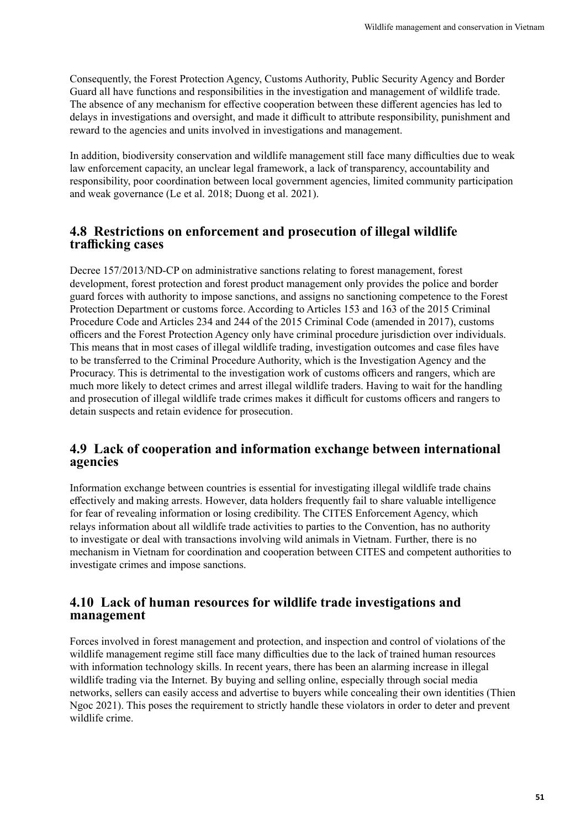<span id="page-58-0"></span>Consequently, the Forest Protection Agency, Customs Authority, Public Security Agency and Border Guard all have functions and responsibilities in the investigation and management of wildlife trade. The absence of any mechanism for effective cooperation between these different agencies has led to delays in investigations and oversight, and made it difficult to attribute responsibility, punishment and reward to the agencies and units involved in investigations and management.

In addition, biodiversity conservation and wildlife management still face many difficulties due to weak law enforcement capacity, an unclear legal framework, a lack of transparency, accountability and responsibility, poor coordination between local government agencies, limited community participation and weak governance (Le et al. 2018; Duong et al. 2021).

#### **4.8 Restrictions on enforcement and prosecution of illegal wildlife trafficking cases**

Decree 157/2013/ND-CP on administrative sanctions relating to forest management, forest development, forest protection and forest product management only provides the police and border guard forces with authority to impose sanctions, and assigns no sanctioning competence to the Forest Protection Department or customs force. According to Articles 153 and 163 of the 2015 Criminal Procedure Code and Articles 234 and 244 of the 2015 Criminal Code (amended in 2017), customs officers and the Forest Protection Agency only have criminal procedure jurisdiction over individuals. This means that in most cases of illegal wildlife trading, investigation outcomes and case files have to be transferred to the Criminal Procedure Authority, which is the Investigation Agency and the Procuracy. This is detrimental to the investigation work of customs officers and rangers, which are much more likely to detect crimes and arrest illegal wildlife traders. Having to wait for the handling and prosecution of illegal wildlife trade crimes makes it difficult for customs officers and rangers to detain suspects and retain evidence for prosecution.

#### **4.9 Lack of cooperation and information exchange between international agencies**

Information exchange between countries is essential for investigating illegal wildlife trade chains effectively and making arrests. However, data holders frequently fail to share valuable intelligence for fear of revealing information or losing credibility. The CITES Enforcement Agency, which relays information about all wildlife trade activities to parties to the Convention, has no authority to investigate or deal with transactions involving wild animals in Vietnam. Further, there is no mechanism in Vietnam for coordination and cooperation between CITES and competent authorities to investigate crimes and impose sanctions.

#### **4.10 Lack of human resources for wildlife trade investigations and management**

Forces involved in forest management and protection, and inspection and control of violations of the wildlife management regime still face many difficulties due to the lack of trained human resources with information technology skills. In recent years, there has been an alarming increase in illegal wildlife trading via the Internet. By buying and selling online, especially through social media networks, sellers can easily access and advertise to buyers while concealing their own identities (Thien Ngoc 2021). This poses the requirement to strictly handle these violators in order to deter and prevent wildlife crime.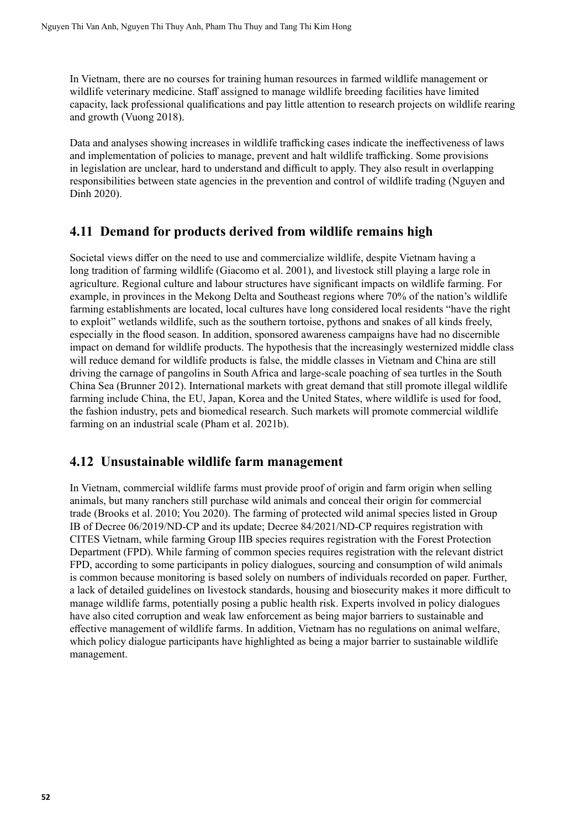<span id="page-59-0"></span>In Vietnam, there are no courses for training human resources in farmed wildlife management or wildlife veterinary medicine. Staff assigned to manage wildlife breeding facilities have limited capacity, lack professional qualifications and pay little attention to research projects on wildlife rearing and growth (Vuong 2018).

Data and analyses showing increases in wildlife trafficking cases indicate the ineffectiveness of laws and implementation of policies to manage, prevent and halt wildlife trafficking. Some provisions in legislation are unclear, hard to understand and difficult to apply. They also result in overlapping responsibilities between state agencies in the prevention and control of wildlife trading (Nguyen and Dinh 2020).

#### **4.11 Demand for products derived from wildlife remains high**

Societal views differ on the need to use and commercialize wildlife, despite Vietnam having a long tradition of farming wildlife (Giacomo et al. 2001), and livestock still playing a large role in agriculture. Regional culture and labour structures have significant impacts on wildlife farming. For example, in provinces in the Mekong Delta and Southeast regions where 70% of the nation's wildlife farming establishments are located, local cultures have long considered local residents "have the right to exploit" wetlands wildlife, such as the southern tortoise, pythons and snakes of all kinds freely, especially in the flood season. In addition, sponsored awareness campaigns have had no discernible impact on demand for wildlife products. The hypothesis that the increasingly westernized middle class will reduce demand for wildlife products is false, the middle classes in Vietnam and China are still driving the carnage of pangolins in South Africa and large-scale poaching of sea turtles in the South China Sea (Brunner 2012). International markets with great demand that still promote illegal wildlife farming include China, the EU, Japan, Korea and the United States, where wildlife is used for food, the fashion industry, pets and biomedical research. Such markets will promote commercial wildlife farming on an industrial scale (Pham et al. 2021b).

#### **4.12 Unsustainable wildlife farm management**

In Vietnam, commercial wildlife farms must provide proof of origin and farm origin when selling animals, but many ranchers still purchase wild animals and conceal their origin for commercial trade (Brooks et al. 2010; You 2020). The farming of protected wild animal species listed in Group IB of Decree 06/2019/ND-CP and its update; Decree 84/2021/ND-CP requires registration with CITES Vietnam, while farming Group IIB species requires registration with the Forest Protection Department (FPD). While farming of common species requires registration with the relevant district FPD, according to some participants in policy dialogues, sourcing and consumption of wild animals is common because monitoring is based solely on numbers of individuals recorded on paper. Further, a lack of detailed guidelines on livestock standards, housing and biosecurity makes it more difficult to manage wildlife farms, potentially posing a public health risk. Experts involved in policy dialogues have also cited corruption and weak law enforcement as being major barriers to sustainable and effective management of wildlife farms. In addition, Vietnam has no regulations on animal welfare, which policy dialogue participants have highlighted as being a major barrier to sustainable wildlife management.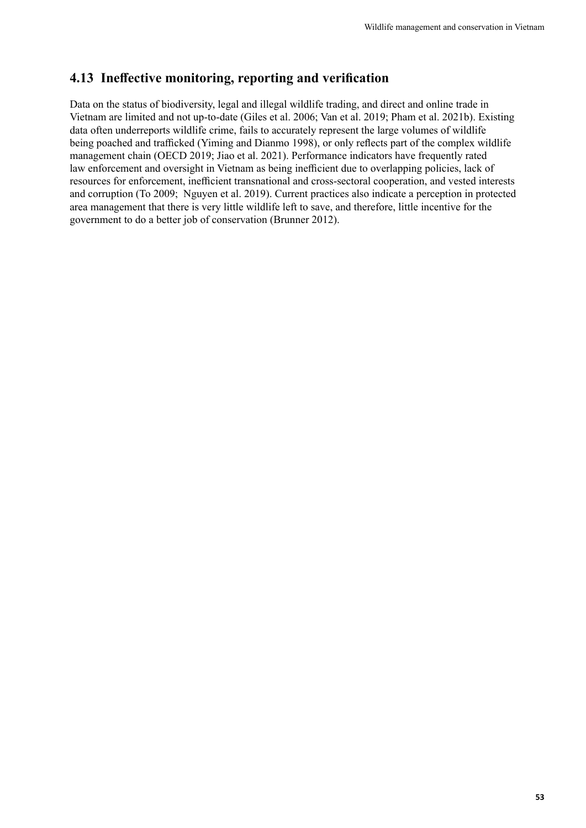### <span id="page-60-0"></span>**4.13 Ineffective monitoring, reporting and verification**

Data on the status of biodiversity, legal and illegal wildlife trading, and direct and online trade in Vietnam are limited and not up-to-date (Giles et al. 2006; Van et al. 2019; Pham et al. 2021b). Existing data often underreports wildlife crime, fails to accurately represent the large volumes of wildlife being poached and trafficked (Yiming and Dianmo 1998), or only reflects part of the complex wildlife management chain (OECD 2019; Jiao et al. 2021). Performance indicators have frequently rated law enforcement and oversight in Vietnam as being inefficient due to overlapping policies, lack of resources for enforcement, inefficient transnational and cross-sectoral cooperation, and vested interests and corruption (To 2009; Nguyen et al. 2019). Current practices also indicate a perception in protected area management that there is very little wildlife left to save, and therefore, little incentive for the government to do a better job of conservation (Brunner 2012).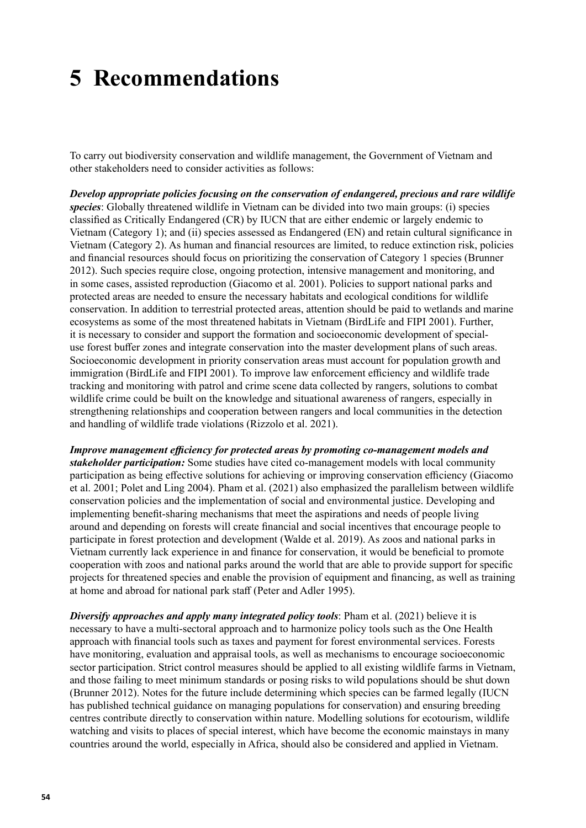## <span id="page-61-0"></span>**5 Recommendations**

To carry out biodiversity conservation and wildlife management, the Government of Vietnam and other stakeholders need to consider activities as follows:

*Develop appropriate policies focusing on the conservation of endangered, precious and rare wildlife species*: Globally threatened wildlife in Vietnam can be divided into two main groups: (i) species classified as Critically Endangered (CR) by IUCN that are either endemic or largely endemic to Vietnam (Category 1); and (ii) species assessed as Endangered (EN) and retain cultural significance in Vietnam (Category 2). As human and financial resources are limited, to reduce extinction risk, policies and financial resources should focus on prioritizing the conservation of Category 1 species (Brunner 2012). Such species require close, ongoing protection, intensive management and monitoring, and in some cases, assisted reproduction (Giacomo et al. 2001). Policies to support national parks and protected areas are needed to ensure the necessary habitats and ecological conditions for wildlife conservation. In addition to terrestrial protected areas, attention should be paid to wetlands and marine ecosystems as some of the most threatened habitats in Vietnam (BirdLife and FIPI 2001). Further, it is necessary to consider and support the formation and socioeconomic development of specialuse forest buffer zones and integrate conservation into the master development plans of such areas. Socioeconomic development in priority conservation areas must account for population growth and immigration (BirdLife and FIPI 2001). To improve law enforcement efficiency and wildlife trade tracking and monitoring with patrol and crime scene data collected by rangers, solutions to combat wildlife crime could be built on the knowledge and situational awareness of rangers, especially in strengthening relationships and cooperation between rangers and local communities in the detection and handling of wildlife trade violations (Rizzolo et al. 2021).

*Improve management efficiency for protected areas by promoting co-management models and stakeholder participation:* Some studies have cited co-management models with local community participation as being effective solutions for achieving or improving conservation efficiency (Giacomo et al. 2001; Polet and Ling 2004). Pham et al. (2021) also emphasized the parallelism between wildlife conservation policies and the implementation of social and environmental justice. Developing and implementing benefit-sharing mechanisms that meet the aspirations and needs of people living around and depending on forests will create financial and social incentives that encourage people to participate in forest protection and development (Walde et al. 2019). As zoos and national parks in Vietnam currently lack experience in and finance for conservation, it would be beneficial to promote cooperation with zoos and national parks around the world that are able to provide support for specific projects for threatened species and enable the provision of equipment and financing, as well as training at home and abroad for national park staff (Peter and Adler 1995).

*Diversify approaches and apply many integrated policy tools*: Pham et al. (2021) believe it is necessary to have a multi-sectoral approach and to harmonize policy tools such as the One Health approach with financial tools such as taxes and payment for forest environmental services. Forests have monitoring, evaluation and appraisal tools, as well as mechanisms to encourage socioeconomic sector participation. Strict control measures should be applied to all existing wildlife farms in Vietnam, and those failing to meet minimum standards or posing risks to wild populations should be shut down (Brunner 2012). Notes for the future include determining which species can be farmed legally (IUCN has published technical guidance on managing populations for conservation) and ensuring breeding centres contribute directly to conservation within nature. Modelling solutions for ecotourism, wildlife watching and visits to places of special interest, which have become the economic mainstays in many countries around the world, especially in Africa, should also be considered and applied in Vietnam.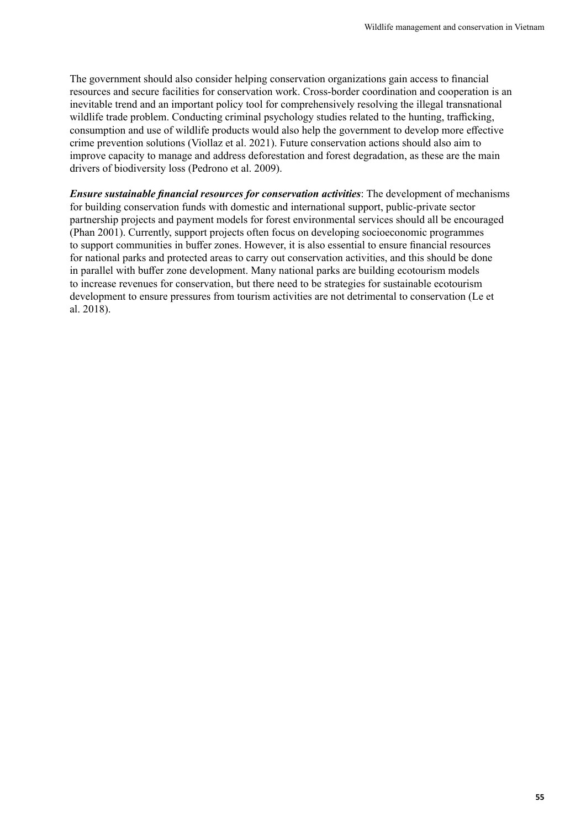The government should also consider helping conservation organizations gain access to financial resources and secure facilities for conservation work. Cross-border coordination and cooperation is an inevitable trend and an important policy tool for comprehensively resolving the illegal transnational wildlife trade problem. Conducting criminal psychology studies related to the hunting, trafficking, consumption and use of wildlife products would also help the government to develop more effective crime prevention solutions (Viollaz et al. 2021). Future conservation actions should also aim to improve capacity to manage and address deforestation and forest degradation, as these are the main drivers of biodiversity loss (Pedrono et al. 2009).

*Ensure sustainable financial resources for conservation activities*: The development of mechanisms for building conservation funds with domestic and international support, public-private sector partnership projects and payment models for forest environmental services should all be encouraged (Phan 2001). Currently, support projects often focus on developing socioeconomic programmes to support communities in buffer zones. However, it is also essential to ensure financial resources for national parks and protected areas to carry out conservation activities, and this should be done in parallel with buffer zone development. Many national parks are building ecotourism models to increase revenues for conservation, but there need to be strategies for sustainable ecotourism development to ensure pressures from tourism activities are not detrimental to conservation (Le et al. 2018).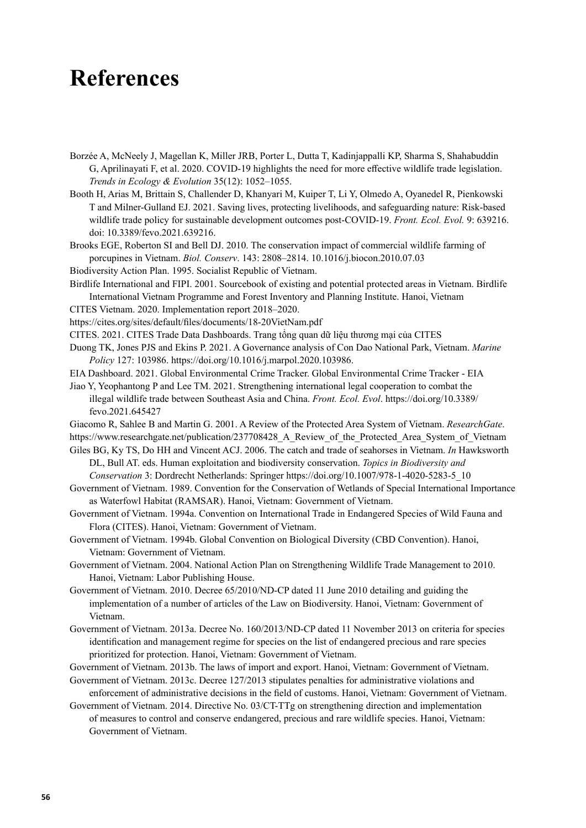### <span id="page-63-0"></span>**References**

- Borzée A, McNeely J, Magellan K, Miller JRB, Porter L, Dutta T, Kadinjappalli KP, Sharma S, Shahabuddin G, Aprilinayati F, et al. 2020. COVID-19 highlights the need for more effective wildlife trade legislation. *Trends in Ecology & Evolution* 35(12): 1052–1055.
- Booth H, Arias M, Brittain S, Challender D, Khanyari M, Kuiper T, Li Y, Olmedo A, Oyanedel R, Pienkowski T and Milner-Gulland EJ. 2021. Saving lives, protecting livelihoods, and safeguarding nature: Risk-based wildlife trade policy for sustainable development outcomes post-COVID-19. *Front. Ecol. Evol.* 9: 639216. doi: 10.3389/fevo.2021.639216.
- Brooks EGE, Roberton SI and Bell DJ. 2010. The conservation impact of commercial wildlife farming of porcupines in Vietnam. *Biol. Conserv*. 143: 2808–2814. 10.1016/j.biocon.2010.07.03

Biodiversity Action Plan. 1995. Socialist Republic of Vietnam.

- Birdlife International and FIPI. 2001. Sourcebook of existing and potential protected areas in Vietnam. Birdlife International Vietnam Programme and Forest Inventory and Planning Institute. Hanoi, Vietnam
- CITES Vietnam. 2020. Implementation report 2018–2020.

<https://cites.org/sites/default/files/documents/18-20VietNam.pdf>

- CITES. 2021. CITES Trade Data Dashboards. [Trang tổng quan dữ liệu thương mại của](https://dashboards.cites.org/national?id=VN) CITES
- Duong TK, Jones PJS and Ekins P. 2021. A Governance analysis of Con Dao National Park, Vietnam. *Marine Policy* 127: 103986. [https://doi.org/10.1016/j.marpol.2020.103986.](https://doi.org/10.1016/j.marpol.2020.103986)
- EIA Dashboard. 2021. Global Environmental Crime Tracker. [Global Environmental Crime Tracker EIA](https://eia-international.org/global-environmental-crime-tracker/)
- Jiao Y, Yeophantong P and Lee TM. 2021. Strengthening international legal cooperation to combat the illegal wildlife trade between Southeast Asia and China. *Front. Ecol. Evol*. [https://doi.org/10.3389/](https://doi.org/10.3389/fevo.2021.645427) [fevo.2021.645427](https://doi.org/10.3389/fevo.2021.645427)
- Giacomo R, Sahlee B and Martin G. 2001. A Review of the Protected Area System of Vietnam. *ResearchGate*. https://www.researchgate.net/publication/237708428 A Review of the Protected Area System of Vietnam
- Giles BG, Ky TS, Do HH and Vincent ACJ. 2006. The catch and trade of seahorses in Vietnam. *In* Hawksworth DL, Bull AT. eds. Human exploitation and biodiversity conservation. *Topics in Biodiversity and Conservation* 3: Dordrecht Netherlands: Springer [https://doi.org/10.1007/978-1-4020-5283-5\\_10](https://doi.org/10.1007/978-1-4020-5283-5_10)
- Government of Vietnam. 1989. Convention for the Conservation of Wetlands of Special International Importance as Waterfowl Habitat (RAMSAR). Hanoi, Vietnam: Government of Vietnam.
- Government of Vietnam. 1994a. Convention on International Trade in Endangered Species of Wild Fauna and Flora (CITES). Hanoi, Vietnam: Government of Vietnam.
- Government of Vietnam. 1994b. Global Convention on Biological Diversity (CBD Convention). Hanoi, Vietnam: Government of Vietnam.
- Government of Vietnam. 2004. National Action Plan on Strengthening Wildlife Trade Management to 2010. Hanoi, Vietnam: Labor Publishing House.
- Government of Vietnam. 2010. Decree 65/2010/ND-CP dated 11 June 2010 detailing and guiding the implementation of a number of articles of the Law on Biodiversity. Hanoi, Vietnam: Government of Vietnam.
- Government of Vietnam. 2013a. Decree No. 160/2013/ND-CP dated 11 November 2013 on criteria for species identification and management regime for species on the list of endangered precious and rare species prioritized for protection. Hanoi, Vietnam: Government of Vietnam.
- Government of Vietnam. 2013b. The laws of import and export. Hanoi, Vietnam: Government of Vietnam.
- Government of Vietnam. 2013c. Decree 127/2013 stipulates penalties for administrative violations and enforcement of administrative decisions in the field of customs. Hanoi, Vietnam: Government of Vietnam.
- Government of Vietnam. 2014. Directive No. 03/CT-TTg on strengthening direction and implementation of measures to control and conserve endangered, precious and rare wildlife species. Hanoi, Vietnam: Government of Vietnam.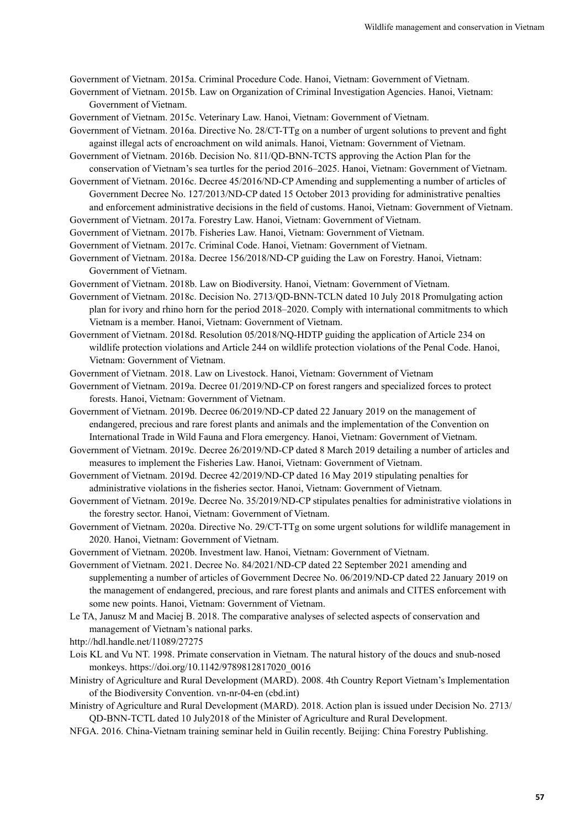Government of Vietnam. 2015a. Criminal Procedure Code. Hanoi, Vietnam: Government of Vietnam.

- Government of Vietnam. 2015b. Law on Organization of Criminal Investigation Agencies. Hanoi, Vietnam: Government of Vietnam.
- Government of Vietnam. 2015c. Veterinary Law. Hanoi, Vietnam: Government of Vietnam.
- Government of Vietnam. 2016a. Directive No. 28/CT-TTg on a number of urgent solutions to prevent and fight against illegal acts of encroachment on wild animals. Hanoi, Vietnam: Government of Vietnam.
- Government of Vietnam. 2016b. Decision No. 811/QD-BNN-TCTS approving the Action Plan for the conservation of Vietnam's sea turtles for the period 2016–2025. Hanoi, Vietnam: Government of Vietnam.

Government of Vietnam. 2016c. Decree 45/2016/ND-CP Amending and supplementing a number of articles of Government Decree No. 127/2013/ND-CP dated 15 October 2013 providing for administrative penalties and enforcement administrative decisions in the field of customs. Hanoi, Vietnam: Government of Vietnam.

- Government of Vietnam. 2017a. Forestry Law. Hanoi, Vietnam: Government of Vietnam.
- Government of Vietnam. 2017b. Fisheries Law. Hanoi, Vietnam: Government of Vietnam.
- Government of Vietnam. 2017c. Criminal Code. Hanoi, Vietnam: Government of Vietnam.
- Government of Vietnam. 2018a. Decree 156/2018/ND-CP guiding the Law on Forestry. Hanoi, Vietnam: Government of Vietnam.
- Government of Vietnam. 2018b. Law on Biodiversity. Hanoi, Vietnam: Government of Vietnam.
- Government of Vietnam. 2018c. Decision No. 2713/QD-BNN-TCLN dated 10 July 2018 Promulgating action plan for ivory and rhino horn for the period 2018–2020. Comply with international commitments to which Vietnam is a member. Hanoi, Vietnam: Government of Vietnam.
- Government of Vietnam. 2018d. Resolution 05/2018/NQ-HDTP guiding the application of Article 234 on wildlife protection violations and Article 244 on wildlife protection violations of the Penal Code. Hanoi, Vietnam: Government of Vietnam.
- Government of Vietnam. 2018. Law on Livestock. Hanoi, Vietnam: Government of Vietnam
- Government of Vietnam. 2019a. Decree 01/2019/ND-CP on forest rangers and specialized forces to protect forests. Hanoi, Vietnam: Government of Vietnam.
- Government of Vietnam. 2019b. Decree 06/2019/ND-CP dated 22 January 2019 on the management of endangered, precious and rare forest plants and animals and the implementation of the Convention on International Trade in Wild Fauna and Flora emergency. Hanoi, Vietnam: Government of Vietnam.
- Government of Vietnam. 2019c. Decree 26/2019/ND-CP dated 8 March 2019 detailing a number of articles and measures to implement the Fisheries Law. Hanoi, Vietnam: Government of Vietnam.
- Government of Vietnam. 2019d. Decree 42/2019/ND-CP dated 16 May 2019 stipulating penalties for administrative violations in the fisheries sector. Hanoi, Vietnam: Government of Vietnam.
- Government of Vietnam. 2019e. Decree No. 35/2019/ND-CP stipulates penalties for administrative violations in the forestry sector. Hanoi, Vietnam: Government of Vietnam.
- Government of Vietnam. 2020a. Directive No. 29/CT-TTg on some urgent solutions for wildlife management in 2020. Hanoi, Vietnam: Government of Vietnam.
- Government of Vietnam. 2020b. Investment law. Hanoi, Vietnam: Government of Vietnam.
- Government of Vietnam. 2021. Decree No. 84/2021/ND-CP dated 22 September 2021 amending and supplementing a number of articles of Government Decree No. 06/2019/ND-CP dated 22 January 2019 on the management of endangered, precious, and rare forest plants and animals and CITES enforcement with some new points. Hanoi, Vietnam: Government of Vietnam.
- Le TA, Janusz M and Maciej B. 2018. The comparative analyses of selected aspects of conservation and management of Vietnam's national parks.
- <http://hdl.handle.net/11089/27275>
- Lois KL and Vu NT. 1998. Primate conservation in Vietnam. The natural history of the doucs and snub-nosed monkeys. https://doi.org/10.1142/9789812817020\_0016
- Ministry of Agriculture and Rural Development (MARD). 2008. 4th Country Report Vietnam's Implementation of the Biodiversity Convention. vn-nr-04-en (cbd.int)
- Ministry of Agriculture and Rural Development (MARD). 2018. Action plan is issued under Decision No. 2713/ QD-BNN-TCTL dated 10 July2018 of the Minister of Agriculture and Rural Development.
- NFGA. 2016. China-Vietnam training seminar held in Guilin recently. Beijing: China Forestry Publishing.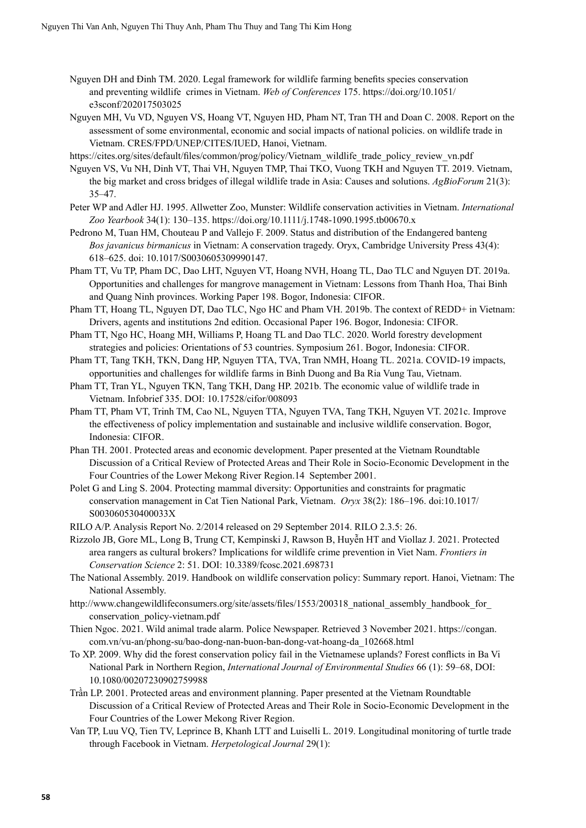- Nguyen DH and Đinh TM. 2020. Legal framework for wildlife farming benefits species conservation and preventing wildlife crimes in Vietnam. *Web of Conferences* 175. https://doi.org/10.1051/ e3sconf/202017503025
- Nguyen MH, Vu VD, Nguyen VS, Hoang VT, Nguyen HD, Pham NT, Tran TH and Doan C. 2008. Report on the assessment of some environmental, economic and social impacts of national policies. on wildlife trade in Vietnam. CRES/FPD/UNEP/CITES/IUED, Hanoi, Vietnam.
- [https://cites.org/sites/default/files/common/prog/policy/Vietnam\\_wildlife\\_trade\\_policy\\_review\\_vn.pdf](https://cites.org/sites/default/files/common/prog/policy/Vietnam_wildlife_trade_policy_review_vn.pdf)
- Nguyen VS, Vu NH, Dinh VT, Thai VH, Nguyen TMP, Thai TKO, Vuong TKH and Nguyen TT. 2019. Vietnam, the big market and cross bridges of illegal wildlife trade in Asia: Causes and solutions. *AgBioForum* 21(3): 35–47.
- Peter WP and Adler HJ. 1995. Allwetter Zoo, Munster: Wildlife conservation activities in Vietnam. *International Zoo Yearbook* 34(1): 130–135. <https://doi.org/10.1111/j.1748-1090.1995.tb00670.x>
- Pedrono M, Tuan HM, Chouteau P and Vallejo F. 2009. Status and distribution of the Endangered banteng *Bos javanicus birmanicus* in Vietnam: A conservation tragedy. Oryx, Cambridge University Press 43(4): 618–625. doi: 10.1017/S0030605309990147.
- Pham TT, Vu TP, Pham DC, Dao LHT, Nguyen VT, Hoang NVH, Hoang TL, Dao TLC and Nguyen DT. 2019a. Opportunities and challenges for mangrove management in Vietnam: Lessons from Thanh Hoa, Thai Binh and Quang Ninh provinces. Working Paper 198. Bogor, Indonesia: CIFOR.
- Pham TT, Hoang TL, Nguyen DT, Dao TLC, Ngo HC and Pham VH. 2019b. The context of REDD+ in Vietnam: Drivers, agents and institutions 2nd edition. Occasional Paper 196. Bogor, Indonesia: CIFOR.
- Pham TT, Ngo HC, Hoang MH, Williams P, Hoang TL and Dao TLC. 2020. World forestry development strategies and policies: Orientations of 53 countries. Symposium 261. Bogor, Indonesia: CIFOR.
- Pham TT, Tang TKH, TKN, Dang HP, Nguyen TTA, TVA, Tran NMH, Hoang TL. 2021a. COVID-19 impacts, opportunities and challenges for wildlife farms in Binh Duong and Ba Ria Vung Tau, Vietnam.
- Pham TT, Tran YL, Nguyen TKN, Tang TKH, Dang HP. 2021b. The economic value of wildlife trade in Vietnam. Infobrief 335. DOI: 10.17528/cifor/008093
- Pham TT, Pham VT, Trinh TM, Cao NL, Nguyen TTA, Nguyen TVA, Tang TKH, Nguyen VT. 2021c. Improve the effectiveness of policy implementation and sustainable and inclusive wildlife conservation. Bogor, Indonesia: CIFOR.
- Phan TH. 2001. Protected areas and economic development. Paper presented at the Vietnam Roundtable Discussion of a Critical Review of Protected Areas and Their Role in Socio-Economic Development in the Four Countries of the Lower Mekong River Region.14 September 2001.
- Polet G and Ling S. 2004. Protecting mammal diversity: Opportunities and constraints for pragmatic conservation management in Cat Tien National Park, Vietnam. *Oryx* 38(2): 186–196. doi:10.1017/ S003060530400033X
- RILO A/P. Analysis Report No. 2/2014 released on 29 September 2014. RILO 2.3.5: 26.
- Rizzolo JB, Gore ML, Long B, Trung CT, Kempinski J, Rawson B, Huyễn HT and Viollaz J. 2021. Protected area rangers as cultural brokers? Implications for wildlife crime prevention in Viet Nam. *Frontiers in Conservation Science* 2: 51. DOI: 10.3389/fcosc.2021.698731
- The National Assembly. 2019. Handbook on wildlife conservation policy: Summary report. Hanoi, Vietnam: The National Assembly.
- http://www.changewildlifeconsumers.org/site/assets/files/1553/200318\_national\_assembly\_handbook\_for conservation\_policy-vietnam.pdf
- Thien Ngoc. 2021. Wild animal trade alarm. Police Newspaper. Retrieved 3 November 2021. https://congan. com.vn/vu-an/phong-su/bao-dong-nan-buon-ban-dong-vat-hoang-da\_102668.html
- To XP. 2009. Why did the forest conservation policy fail in the Vietnamese uplands? Forest conflicts in Ba Vi National Park in Northern Region, *International Journal of Environmental Studies* 66 (1): 59–68, DOI: 10.1080/00207230902759988
- Trần LP. 2001. Protected areas and environment planning. Paper presented at the Vietnam Roundtable Discussion of a Critical Review of Protected Areas and Their Role in Socio-Economic Development in the Four Countries of the Lower Mekong River Region.
- Van TP, Luu VQ, Tien TV, Leprince B, Khanh LTT and Luiselli L. 2019. Longitudinal monitoring of turtle trade through Facebook in Vietnam. *Herpetological Journal* 29(1):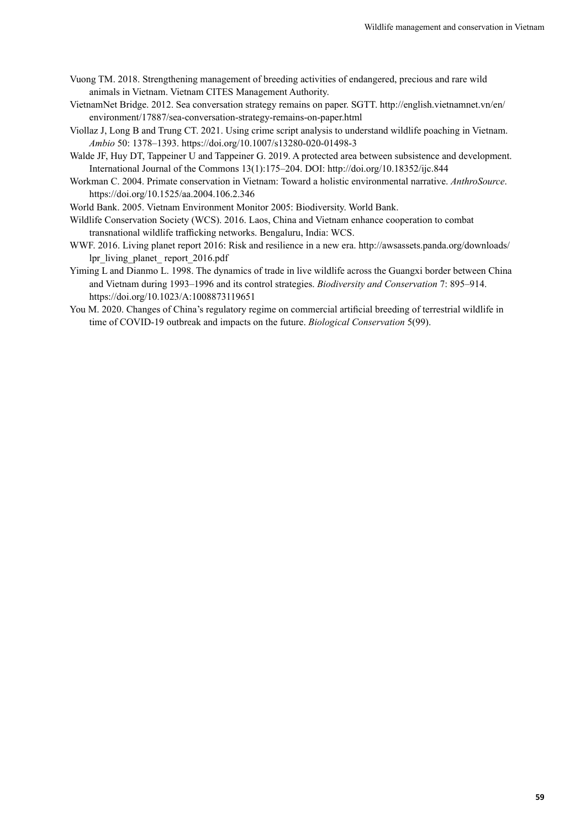- Vuong TM. 2018. Strengthening management of breeding activities of endangered, precious and rare wild animals in Vietnam. Vietnam CITES Management Authority.
- VietnamNet Bridge. 2012. Sea conversation strategy remains on paper. SGTT. [http://english.vietnamnet.vn/en/](http://english.vietnamnet.vn/en/environment/17887/sea-conversation-strategy-remains-on-paper.html) [environment/17887/sea-conversation-strategy-remains-on-paper.html](http://english.vietnamnet.vn/en/environment/17887/sea-conversation-strategy-remains-on-paper.html)
- Viollaz J, Long B and Trung CT. 2021. Using crime script analysis to understand wildlife poaching in Vietnam. *Ambio* 50: 1378–1393. <https://doi.org/10.1007/s13280-020-01498-3>
- Walde JF, Huy DT, Tappeiner U and Tappeiner G. 2019. A protected area between subsistence and development. International Journal of the Commons 13(1):175–204. DOI: <http://doi.org/10.18352/ijc.844>
- Workman C. 2004. Primate conservation in Vietnam: Toward a holistic environmental narrative. *AnthroSource*. <https://doi.org/10.1525/aa.2004.106.2.346>

World Bank. 2005. Vietnam Environment Monitor 2005: Biodiversity. World Bank.

- Wildlife Conservation Society (WCS). 2016. Laos, China and Vietnam enhance cooperation to combat transnational wildlife trafficking networks. Bengaluru, India: WCS.
- WWF. 2016. Living planet report 2016: Risk and resilience in a new era. [http://awsassets.panda.org/downloads/](http://awsassets.panda.org/downloads/lpr_living_planet_ report_2016.pdf) [lpr\\_living\\_planet\\_ report\\_2016.pdf](http://awsassets.panda.org/downloads/lpr_living_planet_ report_2016.pdf)
- Yiming L and Dianmo L. 1998. The dynamics of trade in live wildlife across the Guangxi border between China and Vietnam during 1993–1996 and its control strategies. *Biodiversity and Conservation* 7: 895–914. <https://doi.org/10.1023/A:1008873119651>
- You M. 2020. Changes of China's regulatory regime on commercial artificial breeding of terrestrial wildlife in time of COVID-19 outbreak and impacts on the future. *Biological Conservation* 5(99).